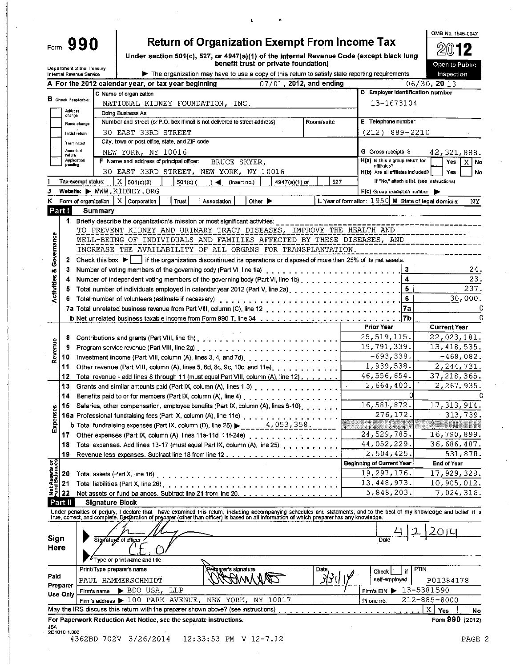| orm. |  |  |
|------|--|--|
|      |  |  |

## **Return of Organization Exempt From Income Tax**

Under section 501(c), 527, or 4947(a)(1) of the Internal Revenue Code (except black lung<br>benefit trust or private foundation)

| $20$ 12        |
|----------------|
| Open to Public |
| mspection      |
|                |

OMB No. 1545-0047

|                             |                               | Department of the Treasury<br>Internal Revenue Service |                 |                                                                                                                                            |                      |                                 | The organization may have to use a copy of this return to satisfy state reporting requirements. |               |            |     |                                                |    | Inspection                                                                                                                                                                |  |  |
|-----------------------------|-------------------------------|--------------------------------------------------------|-----------------|--------------------------------------------------------------------------------------------------------------------------------------------|----------------------|---------------------------------|-------------------------------------------------------------------------------------------------|---------------|------------|-----|------------------------------------------------|----|---------------------------------------------------------------------------------------------------------------------------------------------------------------------------|--|--|
|                             |                               |                                                        |                 | A For the 2012 calendar year, or tax year beginning                                                                                        |                      |                                 | 07/01, 2012, and ending                                                                         |               |            |     |                                                |    | 06/30, 20 13                                                                                                                                                              |  |  |
|                             |                               |                                                        |                 | C Name of organization                                                                                                                     |                      |                                 |                                                                                                 |               |            |     | D Employer identification number               |    |                                                                                                                                                                           |  |  |
|                             | <b>B</b> Check if applicable: |                                                        |                 | NATIONAL KIDNEY FOUNDATION, INC.                                                                                                           |                      |                                 |                                                                                                 |               |            |     | 13-1673104                                     |    |                                                                                                                                                                           |  |  |
|                             | Address<br>change             |                                                        |                 | Doing Business As                                                                                                                          |                      |                                 |                                                                                                 |               |            |     |                                                |    |                                                                                                                                                                           |  |  |
|                             |                               | Name change                                            |                 | Number and street (or P.O. box if mail is not delivered to street address)                                                                 |                      |                                 |                                                                                                 |               | Room/suite |     | E Telephone number                             |    |                                                                                                                                                                           |  |  |
|                             |                               | Initial return                                         |                 | 30 EAST 33RD STREET                                                                                                                        |                      |                                 |                                                                                                 |               |            |     | $(212)$ 889-2210                               |    |                                                                                                                                                                           |  |  |
|                             | Terminateo                    |                                                        |                 | City, town or post office, state, and ZIP code                                                                                             |                      |                                 |                                                                                                 |               |            |     |                                                |    |                                                                                                                                                                           |  |  |
|                             | Amended<br>return             |                                                        |                 | NEW YORK, NY 10016                                                                                                                         |                      |                                 |                                                                                                 |               |            |     | G Gross receipts \$                            |    | 42, 321, 888.                                                                                                                                                             |  |  |
|                             | Application<br>pending        |                                                        |                 | F Name and address of principal officer:                                                                                                   |                      | BRUCE SKYER,                    |                                                                                                 |               |            |     | H(a) is this a group return for<br>affiliates? |    | X   No<br>Yes                                                                                                                                                             |  |  |
|                             |                               |                                                        |                 | 30 EAST 33RD STREET, NEW YORK, NY 10016                                                                                                    |                      |                                 |                                                                                                 |               |            |     | H(b) Are all affiliates included?              |    | Yes<br>No                                                                                                                                                                 |  |  |
|                             |                               | Tax-exempt status:                                     |                 | $X \mid 501(c)(3)$                                                                                                                         | $501(c)$ (<br>$\sim$ | (insert no.)                    |                                                                                                 | 4947(a)(1) or |            | 527 |                                                |    | If "No," attach a list. (see instructions)                                                                                                                                |  |  |
|                             |                               |                                                        |                 | Website: WWW.KIDNEY.ORG                                                                                                                    |                      |                                 |                                                                                                 |               |            |     | H(c) Group exemption number                    |    |                                                                                                                                                                           |  |  |
| κ                           |                               |                                                        |                 | Form of organization: $\mid$ X $\mid$ Corporation                                                                                          | Trust<br>Association |                                 | Other $\blacktriangleright$                                                                     |               |            |     |                                                |    | L. Year of formation: 1950 M State of legal domicile:<br>ΝY                                                                                                               |  |  |
|                             | Part!                         |                                                        | Summary         |                                                                                                                                            |                      |                                 |                                                                                                 |               |            |     |                                                |    |                                                                                                                                                                           |  |  |
|                             | 1.                            |                                                        |                 | Briefly describe the organization's mission or most significant activities:                                                                |                      |                                 |                                                                                                 |               |            |     |                                                |    | --------------                                                                                                                                                            |  |  |
|                             |                               |                                                        |                 | TO PREVENT KIDNEY AND URINARY TRACT DISEASES, IMPROVE THE HEALTH AND                                                                       |                      |                                 |                                                                                                 |               |            |     |                                                |    |                                                                                                                                                                           |  |  |
|                             |                               |                                                        |                 | WELL-BEING OF INDIVIDUALS AND FAMILIES AFFECTED BY THESE DISEASES, AND                                                                     |                      |                                 |                                                                                                 |               |            |     |                                                |    |                                                                                                                                                                           |  |  |
| Governance                  |                               |                                                        |                 | INCREASE THE AVAILABILITY OF ALL ORGANS FOR TRANSPLANTATION.                                                                               |                      |                                 |                                                                                                 |               |            |     |                                                |    |                                                                                                                                                                           |  |  |
|                             | 2                             |                                                        |                 | Check this box $\blacktriangleright$   if the organization discontinued its operations or disposed of more than 25% of its net assets.     |                      |                                 |                                                                                                 |               |            |     |                                                |    |                                                                                                                                                                           |  |  |
| οð                          | 3                             |                                                        |                 |                                                                                                                                            |                      |                                 |                                                                                                 |               |            |     |                                                | 3  | 24.                                                                                                                                                                       |  |  |
|                             |                               |                                                        |                 | Number of independent voting members of the governing body (Part VI, line 1b).                                                             |                      |                                 |                                                                                                 |               |            |     |                                                | 4  | 23.                                                                                                                                                                       |  |  |
| <b>Activities</b>           |                               |                                                        |                 | Total number of individuals employed in calendar year 2012 (Part V, line 2a).                                                              |                      |                                 |                                                                                                 |               |            |     |                                                | 5  | 237.                                                                                                                                                                      |  |  |
|                             |                               |                                                        |                 |                                                                                                                                            |                      |                                 |                                                                                                 |               |            |     |                                                | 6  | 30,000.                                                                                                                                                                   |  |  |
|                             |                               |                                                        |                 |                                                                                                                                            |                      |                                 |                                                                                                 |               |            |     |                                                | 7a | 0                                                                                                                                                                         |  |  |
|                             |                               |                                                        |                 |                                                                                                                                            |                      |                                 |                                                                                                 |               |            |     |                                                | 7b | n                                                                                                                                                                         |  |  |
|                             |                               |                                                        |                 |                                                                                                                                            |                      |                                 |                                                                                                 |               |            |     | <b>Prior Year</b>                              |    | <b>Current Year</b>                                                                                                                                                       |  |  |
|                             | 8                             |                                                        |                 |                                                                                                                                            |                      |                                 |                                                                                                 |               |            |     | 25, 519, 115.                                  |    | 22,023,181.                                                                                                                                                               |  |  |
| Revenue                     |                               |                                                        |                 |                                                                                                                                            |                      |                                 |                                                                                                 |               |            |     | 19,791,339.                                    |    | 13, 418, 535.                                                                                                                                                             |  |  |
|                             | 10                            |                                                        |                 | Investment income (Part VIII, column (A), lines 3, 4, and 7d).                                                                             |                      |                                 |                                                                                                 |               |            |     | $-693,338.$                                    |    | $-468,082.$                                                                                                                                                               |  |  |
|                             | 11                            |                                                        |                 | Other revenue (Part VIII, column (A), lines 5, 6d, 8c, 9c, 10c, and 11e), , , , , , , , , ,                                                |                      |                                 |                                                                                                 |               |            |     | 1,939,538.                                     |    | 2,244,731.                                                                                                                                                                |  |  |
|                             | 12                            |                                                        |                 | Total revenue - add lines 8 through 11 (must equal Part VIII, column (A), line 12)                                                         |                      |                                 |                                                                                                 |               |            |     | 46,556,654.                                    |    | 37, 218, 365.                                                                                                                                                             |  |  |
|                             | 13                            |                                                        |                 | Grants and similar amounts paid (Part IX, column (A), lines 1-3)                                                                           |                      |                                 |                                                                                                 |               |            |     | 2,664,400.                                     |    | 2,267,935.                                                                                                                                                                |  |  |
|                             | 14                            |                                                        |                 |                                                                                                                                            |                      |                                 |                                                                                                 |               |            |     |                                                |    |                                                                                                                                                                           |  |  |
|                             | 15                            |                                                        |                 | Salaries, other compensation, employee benefits (Part IX, column (A), lines 5-10).                                                         |                      |                                 |                                                                                                 |               |            |     | 16,581,872.                                    |    | 17, 313, 914.                                                                                                                                                             |  |  |
| Expenses                    |                               |                                                        |                 | 16a Professional fundraising fees (Part IX, column (A), line 11e)                                                                          |                      |                                 |                                                                                                 |               |            |     | 276,172.                                       |    | 313,739.                                                                                                                                                                  |  |  |
|                             |                               |                                                        |                 | <b>b</b> Total fundraising expenses (Part IX, column (D), line 25) $\blacktriangleright$ ______4, 053, 358.                                |                      |                                 |                                                                                                 |               |            |     | <b>THE REAL PROPERTY</b>                       |    |                                                                                                                                                                           |  |  |
|                             |                               |                                                        |                 | 17 Other expenses (Part IX, column (A), lines 11a-11d, 11f-24e)                                                                            |                      |                                 |                                                                                                 |               |            |     | 24,529,785.                                    |    | 16,790,899.                                                                                                                                                               |  |  |
|                             |                               |                                                        |                 | 18 Total expenses. Add lines 13-17 (must equal Part IX, column (A), line 25)                                                               |                      |                                 |                                                                                                 |               |            |     | 44,052,229                                     |    | 36,686,487.                                                                                                                                                               |  |  |
|                             | 19                            |                                                        |                 |                                                                                                                                            |                      |                                 |                                                                                                 |               |            |     | 2,504.425.                                     |    | 531,878.                                                                                                                                                                  |  |  |
| et Assets or<br>nd Balances |                               |                                                        |                 |                                                                                                                                            |                      |                                 |                                                                                                 |               |            |     | <b>Beginning of Current Year</b>               |    | End of Year                                                                                                                                                               |  |  |
|                             | 20                            |                                                        |                 |                                                                                                                                            |                      |                                 |                                                                                                 |               |            |     | 19,297,176.                                    |    | 17,929,328.                                                                                                                                                               |  |  |
|                             | 21                            |                                                        |                 | Total liabilities (Part X, line 26)                                                                                                        |                      |                                 |                                                                                                 |               |            |     | 13,448,973.                                    |    | 10,905,012.                                                                                                                                                               |  |  |
|                             | <u> 일리 22</u>                 |                                                        |                 | Net assets or fund balances. Subtract line 21 from line 20.                                                                                |                      |                                 |                                                                                                 |               |            |     | 5,848,203.                                     |    | 7,024,316.                                                                                                                                                                |  |  |
|                             | Part II                       |                                                        | Signature Block |                                                                                                                                            |                      |                                 |                                                                                                 |               |            |     |                                                |    |                                                                                                                                                                           |  |  |
|                             |                               |                                                        |                 | true, correct, and complete. Declaration of preparer (other than officer) is based on all information of which preparer has any knowledge. |                      |                                 |                                                                                                 |               |            |     |                                                |    | Under penalties of perjury, I declare that I have examined this retum, including accompanying schedules and statements, and to the best of my knowledge and belief, it is |  |  |
|                             |                               |                                                        |                 |                                                                                                                                            |                      |                                 |                                                                                                 |               |            |     |                                                |    |                                                                                                                                                                           |  |  |
|                             |                               |                                                        |                 |                                                                                                                                            |                      |                                 |                                                                                                 |               |            |     |                                                |    |                                                                                                                                                                           |  |  |
| Sign<br>Here                |                               |                                                        |                 | Signatupe of officer                                                                                                                       |                      |                                 |                                                                                                 |               |            |     | Date                                           |    |                                                                                                                                                                           |  |  |
|                             |                               |                                                        |                 |                                                                                                                                            |                      |                                 |                                                                                                 |               |            |     |                                                |    |                                                                                                                                                                           |  |  |
|                             |                               |                                                        |                 | ype or print name and title                                                                                                                |                      |                                 |                                                                                                 |               |            |     |                                                |    |                                                                                                                                                                           |  |  |
|                             |                               |                                                        |                 | Print/Type preparer's name                                                                                                                 |                      | <del>X e</del> parers signature |                                                                                                 |               | Date       |     | Check                                          | if | PTIN.                                                                                                                                                                     |  |  |
| Paid                        | Preparer                      |                                                        |                 | PAUL HAMMERSCHMIDT                                                                                                                         |                      |                                 |                                                                                                 |               | ५२ ।       |     | self-employed                                  |    | P01384178                                                                                                                                                                 |  |  |
|                             | Use Only                      | Firm's name                                            |                 | LLP<br>$\blacktriangleright$ BDO USA,                                                                                                      |                      |                                 |                                                                                                 |               |            |     | Firm's EIN ▶                                   |    | 13-5381590                                                                                                                                                                |  |  |
|                             |                               |                                                        |                 | Firm's address $\blacktriangleright$ 100 PARK AVENUE, NEW YORK, NY 10017                                                                   |                      |                                 |                                                                                                 |               |            |     | Phone no.                                      |    | 212-885-8000                                                                                                                                                              |  |  |
|                             |                               |                                                        |                 | May the IRS discuss this return with the preparer shown above? (see instructions)                                                          |                      |                                 |                                                                                                 |               |            |     |                                                |    | Χ<br>Yes<br>No                                                                                                                                                            |  |  |
|                             |                               |                                                        |                 | For Paperwork Reduction Act Notice, see the separate instructions.                                                                         |                      |                                 |                                                                                                 |               |            |     |                                                |    | Form 990 (2012)                                                                                                                                                           |  |  |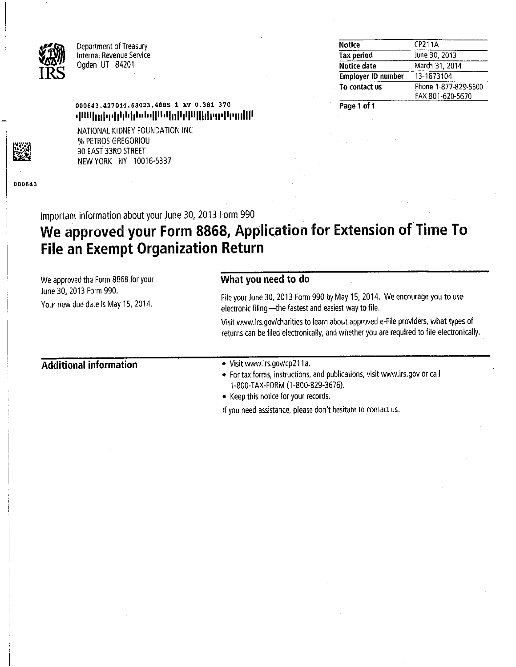

Department of Treasury Internal Revenue Service Ogden UT 84201

| <b>Notice</b>             | CP211A               |
|---------------------------|----------------------|
| <b>Tax period</b>         | June 30, 2013        |
| Notice date               | March 31, 2014       |
| <b>Employer ID number</b> | 13-1673104           |
| To contact us             | Phone 1-877-829-5500 |
|                           | FAX 801-620-5670     |

Page 1 of 1

## 000643.427044.68023.4885 1 AV 0.381 370 <u>վագրելով լերեքը նշանքների կարող կար</u>

NATIONAL KIDNEY FOUNDATION INC % PETROS GREGORIOU 30 EAST 33RD STREET NEW YORK NY 10016-5337

000643

Important information about your June 30, 2013 Form 990

# We approved your Form 8868, Application for Extension of Time To **File an Exempt Organization Return**

What you need to do We approved the Form 8868 for your June 30, 2013 Form 990. File your June 30, 2013 Form 990 by May 15, 2014. We encourage you to use Your new due date is May 15, 2014. electronic filing-the fastest and easiest way to file. Visit www.irs.gov/charities to learn about approved e-File providers, what types of returns can be filed electronically, and whether you are required to file electronically. **Additional information** • Visit www.irs.gov/cp211a. • For tax forms, instructions, and publications, visit www.irs.gov or call 1-800-TAX-FORM (1-800-829-3676). • Keep this notice for your records. If you need assistance, please don't hesitate to contact us.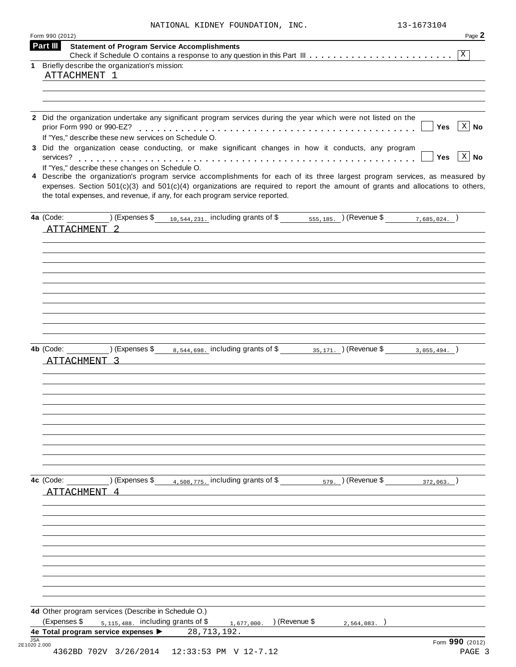|  |  | NATIONAL KIDNEY FOUNDATION, | INC |
|--|--|-----------------------------|-----|
|--|--|-----------------------------|-----|

 $2.13-1673104$ 

|                                                                                                                                                                                                                                                                                                                                                   | Page 2             |
|---------------------------------------------------------------------------------------------------------------------------------------------------------------------------------------------------------------------------------------------------------------------------------------------------------------------------------------------------|--------------------|
| Part III<br><b>Statement of Program Service Accomplishments</b>                                                                                                                                                                                                                                                                                   | X                  |
| Briefly describe the organization's mission:<br>1                                                                                                                                                                                                                                                                                                 |                    |
| ATTACHMENT 1                                                                                                                                                                                                                                                                                                                                      |                    |
|                                                                                                                                                                                                                                                                                                                                                   |                    |
|                                                                                                                                                                                                                                                                                                                                                   |                    |
|                                                                                                                                                                                                                                                                                                                                                   |                    |
| 2 Did the organization undertake any significant program services during the year which were not listed on the<br>Yes<br>If "Yes," describe these new services on Schedule O.                                                                                                                                                                     | $ X $ No           |
| 3 Did the organization cease conducting, or make significant changes in how it conducts, any program<br><b>Yes</b><br>services?                                                                                                                                                                                                                   | $\mid$ X $\mid$ No |
| If "Yes," describe these changes on Schedule O.                                                                                                                                                                                                                                                                                                   |                    |
| 4 Describe the organization's program service accomplishments for each of its three largest program services, as measured by<br>expenses. Section $501(c)(3)$ and $501(c)(4)$ organizations are required to report the amount of grants and allocations to others,<br>the total expenses, and revenue, if any, for each program service reported. |                    |
| (Expenses \$ $_{10,544,231}$ , including grants of \$ $_{555,185}$ , (Revenue \$ $_{7,685,024}$ , )<br>4a (Code:                                                                                                                                                                                                                                  |                    |
| ATTACHMENT                                                                                                                                                                                                                                                                                                                                        |                    |
|                                                                                                                                                                                                                                                                                                                                                   |                    |
|                                                                                                                                                                                                                                                                                                                                                   |                    |
|                                                                                                                                                                                                                                                                                                                                                   |                    |
|                                                                                                                                                                                                                                                                                                                                                   |                    |
|                                                                                                                                                                                                                                                                                                                                                   |                    |
|                                                                                                                                                                                                                                                                                                                                                   |                    |
|                                                                                                                                                                                                                                                                                                                                                   |                    |
|                                                                                                                                                                                                                                                                                                                                                   |                    |
|                                                                                                                                                                                                                                                                                                                                                   |                    |
|                                                                                                                                                                                                                                                                                                                                                   |                    |
| (Expenses \$ <sub>8,544,698</sub> , including grants of \$ <sub>35,171</sub> , ) (Revenue \$ <sub>3,055,494</sub> , )<br>4b (Code:                                                                                                                                                                                                                |                    |
|                                                                                                                                                                                                                                                                                                                                                   |                    |
| ATTACHMENT                                                                                                                                                                                                                                                                                                                                        |                    |
|                                                                                                                                                                                                                                                                                                                                                   |                    |
|                                                                                                                                                                                                                                                                                                                                                   |                    |
|                                                                                                                                                                                                                                                                                                                                                   |                    |
|                                                                                                                                                                                                                                                                                                                                                   |                    |
|                                                                                                                                                                                                                                                                                                                                                   |                    |
|                                                                                                                                                                                                                                                                                                                                                   |                    |
|                                                                                                                                                                                                                                                                                                                                                   |                    |
|                                                                                                                                                                                                                                                                                                                                                   |                    |
|                                                                                                                                                                                                                                                                                                                                                   |                    |
|                                                                                                                                                                                                                                                                                                                                                   |                    |
|                                                                                                                                                                                                                                                                                                                                                   |                    |
| $\sqrt{2}$ (Expenses \$<br>$4,508,775$ . including grants of \$ $579$ . (Revenue \$<br>4c (Code:<br>372,063.                                                                                                                                                                                                                                      |                    |
|                                                                                                                                                                                                                                                                                                                                                   |                    |
| ATTACHMENT 4                                                                                                                                                                                                                                                                                                                                      |                    |
|                                                                                                                                                                                                                                                                                                                                                   |                    |
|                                                                                                                                                                                                                                                                                                                                                   |                    |
|                                                                                                                                                                                                                                                                                                                                                   |                    |
|                                                                                                                                                                                                                                                                                                                                                   |                    |
|                                                                                                                                                                                                                                                                                                                                                   |                    |
|                                                                                                                                                                                                                                                                                                                                                   |                    |
|                                                                                                                                                                                                                                                                                                                                                   |                    |
|                                                                                                                                                                                                                                                                                                                                                   |                    |
|                                                                                                                                                                                                                                                                                                                                                   |                    |
|                                                                                                                                                                                                                                                                                                                                                   |                    |
|                                                                                                                                                                                                                                                                                                                                                   |                    |
| 4d Other program services (Describe in Schedule O.)                                                                                                                                                                                                                                                                                               |                    |
| (Expenses \$<br>$5,115,488$ . including grants of \$<br>) (Revenue \$<br>1, 677, 000.<br>2,564,083.                                                                                                                                                                                                                                               |                    |
| 4e Total program service expenses ><br>28, 713, 192.                                                                                                                                                                                                                                                                                              |                    |
| <b>JSA</b><br>Form 990 (2012)                                                                                                                                                                                                                                                                                                                     |                    |
| 2E1020 2.000<br>4362BD 702V 3/26/2014<br>12:33:53 PM V 12-7.12                                                                                                                                                                                                                                                                                    | PAGE 3             |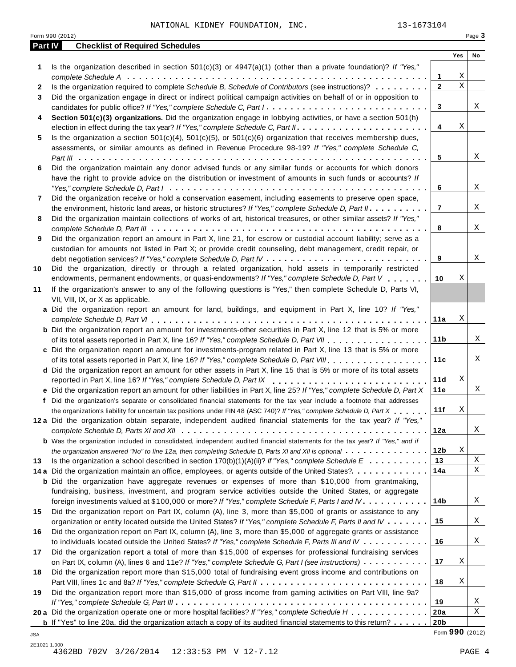NATIONAL KIDNEY FOUNDATION, INC. 13-1673104

|     | Form 990 (2012)                                                                                                                                                                                                                          |                 | Page 3      |             |
|-----|------------------------------------------------------------------------------------------------------------------------------------------------------------------------------------------------------------------------------------------|-----------------|-------------|-------------|
|     | <b>Checklist of Required Schedules</b><br>Part IV                                                                                                                                                                                        | Yes             |             | No          |
| 1   | Is the organization described in section $501(c)(3)$ or $4947(a)(1)$ (other than a private foundation)? If "Yes,"                                                                                                                        |                 |             |             |
|     | 1                                                                                                                                                                                                                                        |                 | Χ           |             |
| 2   | Is the organization required to complete Schedule B, Schedule of Contributors (see instructions)?<br>$\overline{2}$                                                                                                                      |                 | $\mathbf X$ |             |
| 3   | Did the organization engage in direct or indirect political campaign activities on behalf of or in opposition to                                                                                                                         |                 |             |             |
|     | candidates for public office? If "Yes," complete Schedule C, Part I.<br>3                                                                                                                                                                |                 |             | Χ           |
| 4   | Section 501(c)(3) organizations. Did the organization engage in lobbying activities, or have a section 501(h)                                                                                                                            |                 |             |             |
|     | 4                                                                                                                                                                                                                                        |                 | Χ           |             |
| 5   | Is the organization a section $501(c)(4)$ , $501(c)(5)$ , or $501(c)(6)$ organization that receives membership dues,                                                                                                                     |                 |             |             |
|     | assessments, or similar amounts as defined in Revenue Procedure 98-19? If "Yes," complete Schedule C,                                                                                                                                    |                 |             |             |
|     | 5                                                                                                                                                                                                                                        |                 |             | Χ           |
| 6   | Did the organization maintain any donor advised funds or any similar funds or accounts for which donors                                                                                                                                  |                 |             |             |
|     | have the right to provide advice on the distribution or investment of amounts in such funds or accounts? If                                                                                                                              |                 |             |             |
|     | 6                                                                                                                                                                                                                                        |                 |             | Χ           |
| 7   | Did the organization receive or hold a conservation easement, including easements to preserve open space,                                                                                                                                |                 |             |             |
|     | $\overline{7}$<br>the environment, historic land areas, or historic structures? If "Yes," complete Schedule D, Part II.                                                                                                                  |                 |             | Χ           |
| 8   | Did the organization maintain collections of works of art, historical treasures, or other similar assets? If "Yes,"                                                                                                                      |                 |             | Χ           |
|     | 8<br>Did the organization report an amount in Part X, line 21, for escrow or custodial account liability; serve as a                                                                                                                     |                 |             |             |
| 9   | custodian for amounts not listed in Part X; or provide credit counseling, debt management, credit repair, or                                                                                                                             |                 |             |             |
|     | 9                                                                                                                                                                                                                                        |                 |             | Χ           |
| 10  | Did the organization, directly or through a related organization, hold assets in temporarily restricted                                                                                                                                  |                 |             |             |
|     | endowments, permanent endowments, or quasi-endowments? If "Yes," complete Schedule D, Part V<br>10                                                                                                                                       |                 | Χ           |             |
| 11  | If the organization's answer to any of the following questions is "Yes," then complete Schedule D, Parts VI,                                                                                                                             |                 |             |             |
|     | VII, VIII, IX, or X as applicable.                                                                                                                                                                                                       |                 |             |             |
|     | a Did the organization report an amount for land, buildings, and equipment in Part X, line 10? If "Yes,"                                                                                                                                 |                 |             |             |
|     | 11a                                                                                                                                                                                                                                      |                 | Χ           |             |
|     | <b>b</b> Did the organization report an amount for investments-other securities in Part X, line 12 that is 5% or more                                                                                                                    |                 |             |             |
|     | 11 <sub>b</sub>                                                                                                                                                                                                                          |                 |             | Χ           |
|     | c Did the organization report an amount for investments-program related in Part X, line 13 that is 5% or more                                                                                                                            |                 |             |             |
|     | of its total assets reported in Part X, line 16? If "Yes," complete Schedule D, Part VIII                                                                                                                                                | 11c             |             | Χ           |
|     | d Did the organization report an amount for other assets in Part X, line 15 that is 5% or more of its total assets                                                                                                                       |                 |             |             |
|     | reported in Part X, line 16? If "Yes," complete Schedule D, Part IX                                                                                                                                                                      | 11d             | Χ           |             |
|     | e Did the organization report an amount for other liabilities in Part X, line 25? If "Yes," complete Schedule D, Part X                                                                                                                  | 11e             |             | Χ           |
|     | f Did the organization's separate or consolidated financial statements for the tax year include a footnote that addresses<br>11f                                                                                                         |                 | X           |             |
|     | the organization's liability for uncertain tax positions under FIN 48 (ASC 740)? If "Yes," complete Schedule D, Part X<br>12a Did the organization obtain separate, independent audited financial statements for the tax year? If "Yes," |                 |             |             |
|     | 12a                                                                                                                                                                                                                                      |                 |             | Χ           |
|     | <b>b</b> Was the organization included in consolidated, independent audited financial statements for the tax year? If "Yes," and if                                                                                                      |                 |             |             |
|     | 12 <sub>b</sub><br>the organization answered "No" to line 12a, then completing Schedule D, Parts XI and XII is optional                                                                                                                  |                 | Χ           |             |
| 13  | 13<br>Is the organization a school described in section 170(b)(1)(A)(ii)? If "Yes," complete Schedule $E_1, \ldots, \ldots, \ldots$                                                                                                      |                 |             | $\mathbf X$ |
|     | 14a<br>14 a Did the organization maintain an office, employees, or agents outside of the United States?                                                                                                                                  |                 |             | Χ           |
|     | <b>b</b> Did the organization have aggregate revenues or expenses of more than \$10,000 from grantmaking,                                                                                                                                |                 |             |             |
|     | fundraising, business, investment, and program service activities outside the United States, or aggregate                                                                                                                                |                 |             |             |
|     | 14b<br>foreign investments valued at \$100,000 or more? If "Yes," complete Schedule F, Parts I and IV                                                                                                                                    |                 |             | Χ           |
| 15  | Did the organization report on Part IX, column (A), line 3, more than \$5,000 of grants or assistance to any                                                                                                                             |                 |             |             |
|     | 15<br>organization or entity located outside the United States? If "Yes," complete Schedule F, Parts II and IV                                                                                                                           |                 |             | X           |
| 16  | Did the organization report on Part IX, column (A), line 3, more than \$5,000 of aggregate grants or assistance                                                                                                                          |                 |             |             |
|     | 16<br>to individuals located outside the United States? If "Yes," complete Schedule F, Parts III and IV $\ldots \ldots \ldots$                                                                                                           |                 |             | X           |
| 17  | Did the organization report a total of more than \$15,000 of expenses for professional fundraising services                                                                                                                              |                 |             |             |
|     | 17<br>on Part IX, column (A), lines 6 and 11e? If "Yes," complete Schedule G, Part I (see instructions)                                                                                                                                  |                 | Χ           |             |
| 18  | Did the organization report more than \$15,000 total of fundraising event gross income and contributions on                                                                                                                              |                 |             |             |
|     | 18                                                                                                                                                                                                                                       |                 | Χ           |             |
| 19  | Did the organization report more than \$15,000 of gross income from gaming activities on Part VIII, line 9a?                                                                                                                             |                 |             |             |
|     | 19<br>20 a Did the organization operate one or more hospital facilities? If "Yes," complete Schedule H<br>20a                                                                                                                            |                 |             | X<br>Χ      |
|     | 20 <sub>b</sub><br><b>b</b> If "Yes" to line 20a, did the organization attach a copy of its audited financial statements to this return?                                                                                                 |                 |             |             |
| JSA |                                                                                                                                                                                                                                          | Form 990 (2012) |             |             |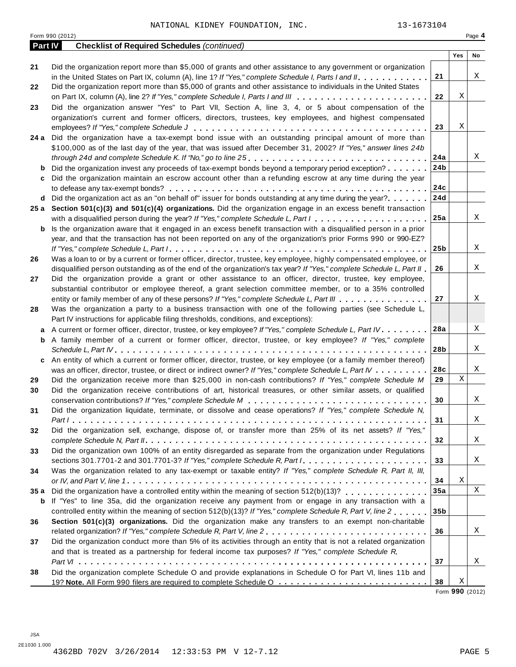| <b>Checklist of Required Schedules (continued)</b><br>Part IV<br>Did the organization report more than \$5,000 of grants and other assistance to any government or organization<br>21<br>21<br>in the United States on Part IX, column (A), line 1? If "Yes," complete Schedule I, Parts I and II.<br>Did the organization report more than \$5,000 of grants and other assistance to individuals in the United States<br>22<br>22<br>Did the organization answer "Yes" to Part VII, Section A, line 3, 4, or 5 about compensation of the<br>23<br>organization's current and former officers, directors, trustees, key employees, and highest compensated<br>23<br>24 a Did the organization have a tax-exempt bond issue with an outstanding principal amount of more than<br>\$100,000 as of the last day of the year, that was issued after December 31, 2002? If "Yes," answer lines 24b<br>24a<br>24 <sub>b</sub><br>Did the organization invest any proceeds of tax-exempt bonds beyond a temporary period exception?<br>b<br>Did the organization maintain an escrow account other than a refunding escrow at any time during the year<br>c<br>24c<br>24d<br>Did the organization act as an "on behalf of" issuer for bonds outstanding at any time during the year?<br>d<br>25 a Section 501(c)(3) and 501(c)(4) organizations. Did the organization engage in an excess benefit transaction<br>25a<br>with a disqualified person during the year? If "Yes," complete Schedule L, Part I<br>Is the organization aware that it engaged in an excess benefit transaction with a disqualified person in a prior<br>b<br>year, and that the transaction has not been reported on any of the organization's prior Forms 990 or 990-EZ?<br>25 <sub>b</sub><br>Was a loan to or by a current or former officer, director, trustee, key employee, highly compensated employee, or<br>26<br>disqualified person outstanding as of the end of the organization's tax year? If "Yes," complete Schedule L, Part II<br>26<br>Did the organization provide a grant or other assistance to an officer, director, trustee, key employee,<br>27<br>substantial contributor or employee thereof, a grant selection committee member, or to a 35% controlled<br>27<br>entity or family member of any of these persons? If "Yes," complete Schedule L, Part III<br>Was the organization a party to a business transaction with one of the following parties (see Schedule L,<br>28<br>Part IV instructions for applicable filing thresholds, conditions, and exceptions):<br>28a<br>A current or former officer, director, trustee, or key employee? If "Yes," complete Schedule L, Part IV.<br>a<br>A family member of a current or former officer, director, trustee, or key employee? If "Yes," complete<br>b<br>28b<br>An entity of which a current or former officer, director, trustee, or key employee (or a family member thereof)<br>c<br>28c<br>was an officer, director, trustee, or direct or indirect owner? If "Yes," complete Schedule L, Part IV<br>29<br>Did the organization receive more than \$25,000 in non-cash contributions? If "Yes," complete Schedule M<br>29<br>Did the organization receive contributions of art, historical treasures, or other similar assets, or qualified<br>30<br>30<br>Did the organization liquidate, terminate, or dissolve and cease operations? If "Yes," complete Schedule N,<br>31<br>31 | Yes | No |
|-----------------------------------------------------------------------------------------------------------------------------------------------------------------------------------------------------------------------------------------------------------------------------------------------------------------------------------------------------------------------------------------------------------------------------------------------------------------------------------------------------------------------------------------------------------------------------------------------------------------------------------------------------------------------------------------------------------------------------------------------------------------------------------------------------------------------------------------------------------------------------------------------------------------------------------------------------------------------------------------------------------------------------------------------------------------------------------------------------------------------------------------------------------------------------------------------------------------------------------------------------------------------------------------------------------------------------------------------------------------------------------------------------------------------------------------------------------------------------------------------------------------------------------------------------------------------------------------------------------------------------------------------------------------------------------------------------------------------------------------------------------------------------------------------------------------------------------------------------------------------------------------------------------------------------------------------------------------------------------------------------------------------------------------------------------------------------------------------------------------------------------------------------------------------------------------------------------------------------------------------------------------------------------------------------------------------------------------------------------------------------------------------------------------------------------------------------------------------------------------------------------------------------------------------------------------------------------------------------------------------------------------------------------------------------------------------------------------------------------------------------------------------------------------------------------------------------------------------------------------------------------------------------------------------------------------------------------------------------------------------------------------------------------------------------------------------------------------------------------------------------------------------------------------------------------------------------------------------------------------------------------------------------------------------------------------------------------------------------------------------------------------------------------------------------------------|-----|----|
|                                                                                                                                                                                                                                                                                                                                                                                                                                                                                                                                                                                                                                                                                                                                                                                                                                                                                                                                                                                                                                                                                                                                                                                                                                                                                                                                                                                                                                                                                                                                                                                                                                                                                                                                                                                                                                                                                                                                                                                                                                                                                                                                                                                                                                                                                                                                                                                                                                                                                                                                                                                                                                                                                                                                                                                                                                                                                                                                                                                                                                                                                                                                                                                                                                                                                                                                                                                                                                         |     |    |
|                                                                                                                                                                                                                                                                                                                                                                                                                                                                                                                                                                                                                                                                                                                                                                                                                                                                                                                                                                                                                                                                                                                                                                                                                                                                                                                                                                                                                                                                                                                                                                                                                                                                                                                                                                                                                                                                                                                                                                                                                                                                                                                                                                                                                                                                                                                                                                                                                                                                                                                                                                                                                                                                                                                                                                                                                                                                                                                                                                                                                                                                                                                                                                                                                                                                                                                                                                                                                                         |     |    |
|                                                                                                                                                                                                                                                                                                                                                                                                                                                                                                                                                                                                                                                                                                                                                                                                                                                                                                                                                                                                                                                                                                                                                                                                                                                                                                                                                                                                                                                                                                                                                                                                                                                                                                                                                                                                                                                                                                                                                                                                                                                                                                                                                                                                                                                                                                                                                                                                                                                                                                                                                                                                                                                                                                                                                                                                                                                                                                                                                                                                                                                                                                                                                                                                                                                                                                                                                                                                                                         |     |    |
|                                                                                                                                                                                                                                                                                                                                                                                                                                                                                                                                                                                                                                                                                                                                                                                                                                                                                                                                                                                                                                                                                                                                                                                                                                                                                                                                                                                                                                                                                                                                                                                                                                                                                                                                                                                                                                                                                                                                                                                                                                                                                                                                                                                                                                                                                                                                                                                                                                                                                                                                                                                                                                                                                                                                                                                                                                                                                                                                                                                                                                                                                                                                                                                                                                                                                                                                                                                                                                         |     | Χ  |
|                                                                                                                                                                                                                                                                                                                                                                                                                                                                                                                                                                                                                                                                                                                                                                                                                                                                                                                                                                                                                                                                                                                                                                                                                                                                                                                                                                                                                                                                                                                                                                                                                                                                                                                                                                                                                                                                                                                                                                                                                                                                                                                                                                                                                                                                                                                                                                                                                                                                                                                                                                                                                                                                                                                                                                                                                                                                                                                                                                                                                                                                                                                                                                                                                                                                                                                                                                                                                                         |     |    |
|                                                                                                                                                                                                                                                                                                                                                                                                                                                                                                                                                                                                                                                                                                                                                                                                                                                                                                                                                                                                                                                                                                                                                                                                                                                                                                                                                                                                                                                                                                                                                                                                                                                                                                                                                                                                                                                                                                                                                                                                                                                                                                                                                                                                                                                                                                                                                                                                                                                                                                                                                                                                                                                                                                                                                                                                                                                                                                                                                                                                                                                                                                                                                                                                                                                                                                                                                                                                                                         | Χ   |    |
|                                                                                                                                                                                                                                                                                                                                                                                                                                                                                                                                                                                                                                                                                                                                                                                                                                                                                                                                                                                                                                                                                                                                                                                                                                                                                                                                                                                                                                                                                                                                                                                                                                                                                                                                                                                                                                                                                                                                                                                                                                                                                                                                                                                                                                                                                                                                                                                                                                                                                                                                                                                                                                                                                                                                                                                                                                                                                                                                                                                                                                                                                                                                                                                                                                                                                                                                                                                                                                         |     |    |
|                                                                                                                                                                                                                                                                                                                                                                                                                                                                                                                                                                                                                                                                                                                                                                                                                                                                                                                                                                                                                                                                                                                                                                                                                                                                                                                                                                                                                                                                                                                                                                                                                                                                                                                                                                                                                                                                                                                                                                                                                                                                                                                                                                                                                                                                                                                                                                                                                                                                                                                                                                                                                                                                                                                                                                                                                                                                                                                                                                                                                                                                                                                                                                                                                                                                                                                                                                                                                                         |     |    |
|                                                                                                                                                                                                                                                                                                                                                                                                                                                                                                                                                                                                                                                                                                                                                                                                                                                                                                                                                                                                                                                                                                                                                                                                                                                                                                                                                                                                                                                                                                                                                                                                                                                                                                                                                                                                                                                                                                                                                                                                                                                                                                                                                                                                                                                                                                                                                                                                                                                                                                                                                                                                                                                                                                                                                                                                                                                                                                                                                                                                                                                                                                                                                                                                                                                                                                                                                                                                                                         | Χ   |    |
|                                                                                                                                                                                                                                                                                                                                                                                                                                                                                                                                                                                                                                                                                                                                                                                                                                                                                                                                                                                                                                                                                                                                                                                                                                                                                                                                                                                                                                                                                                                                                                                                                                                                                                                                                                                                                                                                                                                                                                                                                                                                                                                                                                                                                                                                                                                                                                                                                                                                                                                                                                                                                                                                                                                                                                                                                                                                                                                                                                                                                                                                                                                                                                                                                                                                                                                                                                                                                                         |     |    |
|                                                                                                                                                                                                                                                                                                                                                                                                                                                                                                                                                                                                                                                                                                                                                                                                                                                                                                                                                                                                                                                                                                                                                                                                                                                                                                                                                                                                                                                                                                                                                                                                                                                                                                                                                                                                                                                                                                                                                                                                                                                                                                                                                                                                                                                                                                                                                                                                                                                                                                                                                                                                                                                                                                                                                                                                                                                                                                                                                                                                                                                                                                                                                                                                                                                                                                                                                                                                                                         |     |    |
|                                                                                                                                                                                                                                                                                                                                                                                                                                                                                                                                                                                                                                                                                                                                                                                                                                                                                                                                                                                                                                                                                                                                                                                                                                                                                                                                                                                                                                                                                                                                                                                                                                                                                                                                                                                                                                                                                                                                                                                                                                                                                                                                                                                                                                                                                                                                                                                                                                                                                                                                                                                                                                                                                                                                                                                                                                                                                                                                                                                                                                                                                                                                                                                                                                                                                                                                                                                                                                         |     | Χ  |
|                                                                                                                                                                                                                                                                                                                                                                                                                                                                                                                                                                                                                                                                                                                                                                                                                                                                                                                                                                                                                                                                                                                                                                                                                                                                                                                                                                                                                                                                                                                                                                                                                                                                                                                                                                                                                                                                                                                                                                                                                                                                                                                                                                                                                                                                                                                                                                                                                                                                                                                                                                                                                                                                                                                                                                                                                                                                                                                                                                                                                                                                                                                                                                                                                                                                                                                                                                                                                                         |     |    |
|                                                                                                                                                                                                                                                                                                                                                                                                                                                                                                                                                                                                                                                                                                                                                                                                                                                                                                                                                                                                                                                                                                                                                                                                                                                                                                                                                                                                                                                                                                                                                                                                                                                                                                                                                                                                                                                                                                                                                                                                                                                                                                                                                                                                                                                                                                                                                                                                                                                                                                                                                                                                                                                                                                                                                                                                                                                                                                                                                                                                                                                                                                                                                                                                                                                                                                                                                                                                                                         |     |    |
|                                                                                                                                                                                                                                                                                                                                                                                                                                                                                                                                                                                                                                                                                                                                                                                                                                                                                                                                                                                                                                                                                                                                                                                                                                                                                                                                                                                                                                                                                                                                                                                                                                                                                                                                                                                                                                                                                                                                                                                                                                                                                                                                                                                                                                                                                                                                                                                                                                                                                                                                                                                                                                                                                                                                                                                                                                                                                                                                                                                                                                                                                                                                                                                                                                                                                                                                                                                                                                         |     |    |
|                                                                                                                                                                                                                                                                                                                                                                                                                                                                                                                                                                                                                                                                                                                                                                                                                                                                                                                                                                                                                                                                                                                                                                                                                                                                                                                                                                                                                                                                                                                                                                                                                                                                                                                                                                                                                                                                                                                                                                                                                                                                                                                                                                                                                                                                                                                                                                                                                                                                                                                                                                                                                                                                                                                                                                                                                                                                                                                                                                                                                                                                                                                                                                                                                                                                                                                                                                                                                                         |     |    |
|                                                                                                                                                                                                                                                                                                                                                                                                                                                                                                                                                                                                                                                                                                                                                                                                                                                                                                                                                                                                                                                                                                                                                                                                                                                                                                                                                                                                                                                                                                                                                                                                                                                                                                                                                                                                                                                                                                                                                                                                                                                                                                                                                                                                                                                                                                                                                                                                                                                                                                                                                                                                                                                                                                                                                                                                                                                                                                                                                                                                                                                                                                                                                                                                                                                                                                                                                                                                                                         |     |    |
|                                                                                                                                                                                                                                                                                                                                                                                                                                                                                                                                                                                                                                                                                                                                                                                                                                                                                                                                                                                                                                                                                                                                                                                                                                                                                                                                                                                                                                                                                                                                                                                                                                                                                                                                                                                                                                                                                                                                                                                                                                                                                                                                                                                                                                                                                                                                                                                                                                                                                                                                                                                                                                                                                                                                                                                                                                                                                                                                                                                                                                                                                                                                                                                                                                                                                                                                                                                                                                         |     |    |
|                                                                                                                                                                                                                                                                                                                                                                                                                                                                                                                                                                                                                                                                                                                                                                                                                                                                                                                                                                                                                                                                                                                                                                                                                                                                                                                                                                                                                                                                                                                                                                                                                                                                                                                                                                                                                                                                                                                                                                                                                                                                                                                                                                                                                                                                                                                                                                                                                                                                                                                                                                                                                                                                                                                                                                                                                                                                                                                                                                                                                                                                                                                                                                                                                                                                                                                                                                                                                                         |     | Χ  |
|                                                                                                                                                                                                                                                                                                                                                                                                                                                                                                                                                                                                                                                                                                                                                                                                                                                                                                                                                                                                                                                                                                                                                                                                                                                                                                                                                                                                                                                                                                                                                                                                                                                                                                                                                                                                                                                                                                                                                                                                                                                                                                                                                                                                                                                                                                                                                                                                                                                                                                                                                                                                                                                                                                                                                                                                                                                                                                                                                                                                                                                                                                                                                                                                                                                                                                                                                                                                                                         |     |    |
|                                                                                                                                                                                                                                                                                                                                                                                                                                                                                                                                                                                                                                                                                                                                                                                                                                                                                                                                                                                                                                                                                                                                                                                                                                                                                                                                                                                                                                                                                                                                                                                                                                                                                                                                                                                                                                                                                                                                                                                                                                                                                                                                                                                                                                                                                                                                                                                                                                                                                                                                                                                                                                                                                                                                                                                                                                                                                                                                                                                                                                                                                                                                                                                                                                                                                                                                                                                                                                         |     |    |
|                                                                                                                                                                                                                                                                                                                                                                                                                                                                                                                                                                                                                                                                                                                                                                                                                                                                                                                                                                                                                                                                                                                                                                                                                                                                                                                                                                                                                                                                                                                                                                                                                                                                                                                                                                                                                                                                                                                                                                                                                                                                                                                                                                                                                                                                                                                                                                                                                                                                                                                                                                                                                                                                                                                                                                                                                                                                                                                                                                                                                                                                                                                                                                                                                                                                                                                                                                                                                                         |     | Χ  |
|                                                                                                                                                                                                                                                                                                                                                                                                                                                                                                                                                                                                                                                                                                                                                                                                                                                                                                                                                                                                                                                                                                                                                                                                                                                                                                                                                                                                                                                                                                                                                                                                                                                                                                                                                                                                                                                                                                                                                                                                                                                                                                                                                                                                                                                                                                                                                                                                                                                                                                                                                                                                                                                                                                                                                                                                                                                                                                                                                                                                                                                                                                                                                                                                                                                                                                                                                                                                                                         |     |    |
|                                                                                                                                                                                                                                                                                                                                                                                                                                                                                                                                                                                                                                                                                                                                                                                                                                                                                                                                                                                                                                                                                                                                                                                                                                                                                                                                                                                                                                                                                                                                                                                                                                                                                                                                                                                                                                                                                                                                                                                                                                                                                                                                                                                                                                                                                                                                                                                                                                                                                                                                                                                                                                                                                                                                                                                                                                                                                                                                                                                                                                                                                                                                                                                                                                                                                                                                                                                                                                         |     | Χ  |
|                                                                                                                                                                                                                                                                                                                                                                                                                                                                                                                                                                                                                                                                                                                                                                                                                                                                                                                                                                                                                                                                                                                                                                                                                                                                                                                                                                                                                                                                                                                                                                                                                                                                                                                                                                                                                                                                                                                                                                                                                                                                                                                                                                                                                                                                                                                                                                                                                                                                                                                                                                                                                                                                                                                                                                                                                                                                                                                                                                                                                                                                                                                                                                                                                                                                                                                                                                                                                                         |     |    |
|                                                                                                                                                                                                                                                                                                                                                                                                                                                                                                                                                                                                                                                                                                                                                                                                                                                                                                                                                                                                                                                                                                                                                                                                                                                                                                                                                                                                                                                                                                                                                                                                                                                                                                                                                                                                                                                                                                                                                                                                                                                                                                                                                                                                                                                                                                                                                                                                                                                                                                                                                                                                                                                                                                                                                                                                                                                                                                                                                                                                                                                                                                                                                                                                                                                                                                                                                                                                                                         |     |    |
|                                                                                                                                                                                                                                                                                                                                                                                                                                                                                                                                                                                                                                                                                                                                                                                                                                                                                                                                                                                                                                                                                                                                                                                                                                                                                                                                                                                                                                                                                                                                                                                                                                                                                                                                                                                                                                                                                                                                                                                                                                                                                                                                                                                                                                                                                                                                                                                                                                                                                                                                                                                                                                                                                                                                                                                                                                                                                                                                                                                                                                                                                                                                                                                                                                                                                                                                                                                                                                         |     | Χ  |
|                                                                                                                                                                                                                                                                                                                                                                                                                                                                                                                                                                                                                                                                                                                                                                                                                                                                                                                                                                                                                                                                                                                                                                                                                                                                                                                                                                                                                                                                                                                                                                                                                                                                                                                                                                                                                                                                                                                                                                                                                                                                                                                                                                                                                                                                                                                                                                                                                                                                                                                                                                                                                                                                                                                                                                                                                                                                                                                                                                                                                                                                                                                                                                                                                                                                                                                                                                                                                                         |     |    |
|                                                                                                                                                                                                                                                                                                                                                                                                                                                                                                                                                                                                                                                                                                                                                                                                                                                                                                                                                                                                                                                                                                                                                                                                                                                                                                                                                                                                                                                                                                                                                                                                                                                                                                                                                                                                                                                                                                                                                                                                                                                                                                                                                                                                                                                                                                                                                                                                                                                                                                                                                                                                                                                                                                                                                                                                                                                                                                                                                                                                                                                                                                                                                                                                                                                                                                                                                                                                                                         |     |    |
|                                                                                                                                                                                                                                                                                                                                                                                                                                                                                                                                                                                                                                                                                                                                                                                                                                                                                                                                                                                                                                                                                                                                                                                                                                                                                                                                                                                                                                                                                                                                                                                                                                                                                                                                                                                                                                                                                                                                                                                                                                                                                                                                                                                                                                                                                                                                                                                                                                                                                                                                                                                                                                                                                                                                                                                                                                                                                                                                                                                                                                                                                                                                                                                                                                                                                                                                                                                                                                         |     | Χ  |
|                                                                                                                                                                                                                                                                                                                                                                                                                                                                                                                                                                                                                                                                                                                                                                                                                                                                                                                                                                                                                                                                                                                                                                                                                                                                                                                                                                                                                                                                                                                                                                                                                                                                                                                                                                                                                                                                                                                                                                                                                                                                                                                                                                                                                                                                                                                                                                                                                                                                                                                                                                                                                                                                                                                                                                                                                                                                                                                                                                                                                                                                                                                                                                                                                                                                                                                                                                                                                                         |     |    |
|                                                                                                                                                                                                                                                                                                                                                                                                                                                                                                                                                                                                                                                                                                                                                                                                                                                                                                                                                                                                                                                                                                                                                                                                                                                                                                                                                                                                                                                                                                                                                                                                                                                                                                                                                                                                                                                                                                                                                                                                                                                                                                                                                                                                                                                                                                                                                                                                                                                                                                                                                                                                                                                                                                                                                                                                                                                                                                                                                                                                                                                                                                                                                                                                                                                                                                                                                                                                                                         |     |    |
|                                                                                                                                                                                                                                                                                                                                                                                                                                                                                                                                                                                                                                                                                                                                                                                                                                                                                                                                                                                                                                                                                                                                                                                                                                                                                                                                                                                                                                                                                                                                                                                                                                                                                                                                                                                                                                                                                                                                                                                                                                                                                                                                                                                                                                                                                                                                                                                                                                                                                                                                                                                                                                                                                                                                                                                                                                                                                                                                                                                                                                                                                                                                                                                                                                                                                                                                                                                                                                         |     | Χ  |
|                                                                                                                                                                                                                                                                                                                                                                                                                                                                                                                                                                                                                                                                                                                                                                                                                                                                                                                                                                                                                                                                                                                                                                                                                                                                                                                                                                                                                                                                                                                                                                                                                                                                                                                                                                                                                                                                                                                                                                                                                                                                                                                                                                                                                                                                                                                                                                                                                                                                                                                                                                                                                                                                                                                                                                                                                                                                                                                                                                                                                                                                                                                                                                                                                                                                                                                                                                                                                                         |     |    |
|                                                                                                                                                                                                                                                                                                                                                                                                                                                                                                                                                                                                                                                                                                                                                                                                                                                                                                                                                                                                                                                                                                                                                                                                                                                                                                                                                                                                                                                                                                                                                                                                                                                                                                                                                                                                                                                                                                                                                                                                                                                                                                                                                                                                                                                                                                                                                                                                                                                                                                                                                                                                                                                                                                                                                                                                                                                                                                                                                                                                                                                                                                                                                                                                                                                                                                                                                                                                                                         |     | Χ  |
|                                                                                                                                                                                                                                                                                                                                                                                                                                                                                                                                                                                                                                                                                                                                                                                                                                                                                                                                                                                                                                                                                                                                                                                                                                                                                                                                                                                                                                                                                                                                                                                                                                                                                                                                                                                                                                                                                                                                                                                                                                                                                                                                                                                                                                                                                                                                                                                                                                                                                                                                                                                                                                                                                                                                                                                                                                                                                                                                                                                                                                                                                                                                                                                                                                                                                                                                                                                                                                         | Χ   |    |
|                                                                                                                                                                                                                                                                                                                                                                                                                                                                                                                                                                                                                                                                                                                                                                                                                                                                                                                                                                                                                                                                                                                                                                                                                                                                                                                                                                                                                                                                                                                                                                                                                                                                                                                                                                                                                                                                                                                                                                                                                                                                                                                                                                                                                                                                                                                                                                                                                                                                                                                                                                                                                                                                                                                                                                                                                                                                                                                                                                                                                                                                                                                                                                                                                                                                                                                                                                                                                                         |     |    |
|                                                                                                                                                                                                                                                                                                                                                                                                                                                                                                                                                                                                                                                                                                                                                                                                                                                                                                                                                                                                                                                                                                                                                                                                                                                                                                                                                                                                                                                                                                                                                                                                                                                                                                                                                                                                                                                                                                                                                                                                                                                                                                                                                                                                                                                                                                                                                                                                                                                                                                                                                                                                                                                                                                                                                                                                                                                                                                                                                                                                                                                                                                                                                                                                                                                                                                                                                                                                                                         |     | Χ  |
|                                                                                                                                                                                                                                                                                                                                                                                                                                                                                                                                                                                                                                                                                                                                                                                                                                                                                                                                                                                                                                                                                                                                                                                                                                                                                                                                                                                                                                                                                                                                                                                                                                                                                                                                                                                                                                                                                                                                                                                                                                                                                                                                                                                                                                                                                                                                                                                                                                                                                                                                                                                                                                                                                                                                                                                                                                                                                                                                                                                                                                                                                                                                                                                                                                                                                                                                                                                                                                         |     |    |
|                                                                                                                                                                                                                                                                                                                                                                                                                                                                                                                                                                                                                                                                                                                                                                                                                                                                                                                                                                                                                                                                                                                                                                                                                                                                                                                                                                                                                                                                                                                                                                                                                                                                                                                                                                                                                                                                                                                                                                                                                                                                                                                                                                                                                                                                                                                                                                                                                                                                                                                                                                                                                                                                                                                                                                                                                                                                                                                                                                                                                                                                                                                                                                                                                                                                                                                                                                                                                                         |     | Χ  |
| Did the organization sell, exchange, dispose of, or transfer more than 25% of its net assets? If "Yes,"<br>32                                                                                                                                                                                                                                                                                                                                                                                                                                                                                                                                                                                                                                                                                                                                                                                                                                                                                                                                                                                                                                                                                                                                                                                                                                                                                                                                                                                                                                                                                                                                                                                                                                                                                                                                                                                                                                                                                                                                                                                                                                                                                                                                                                                                                                                                                                                                                                                                                                                                                                                                                                                                                                                                                                                                                                                                                                                                                                                                                                                                                                                                                                                                                                                                                                                                                                                           |     |    |
| 32                                                                                                                                                                                                                                                                                                                                                                                                                                                                                                                                                                                                                                                                                                                                                                                                                                                                                                                                                                                                                                                                                                                                                                                                                                                                                                                                                                                                                                                                                                                                                                                                                                                                                                                                                                                                                                                                                                                                                                                                                                                                                                                                                                                                                                                                                                                                                                                                                                                                                                                                                                                                                                                                                                                                                                                                                                                                                                                                                                                                                                                                                                                                                                                                                                                                                                                                                                                                                                      |     | X  |
| Did the organization own 100% of an entity disregarded as separate from the organization under Regulations<br>33                                                                                                                                                                                                                                                                                                                                                                                                                                                                                                                                                                                                                                                                                                                                                                                                                                                                                                                                                                                                                                                                                                                                                                                                                                                                                                                                                                                                                                                                                                                                                                                                                                                                                                                                                                                                                                                                                                                                                                                                                                                                                                                                                                                                                                                                                                                                                                                                                                                                                                                                                                                                                                                                                                                                                                                                                                                                                                                                                                                                                                                                                                                                                                                                                                                                                                                        |     |    |
| 33                                                                                                                                                                                                                                                                                                                                                                                                                                                                                                                                                                                                                                                                                                                                                                                                                                                                                                                                                                                                                                                                                                                                                                                                                                                                                                                                                                                                                                                                                                                                                                                                                                                                                                                                                                                                                                                                                                                                                                                                                                                                                                                                                                                                                                                                                                                                                                                                                                                                                                                                                                                                                                                                                                                                                                                                                                                                                                                                                                                                                                                                                                                                                                                                                                                                                                                                                                                                                                      |     | Χ  |
|                                                                                                                                                                                                                                                                                                                                                                                                                                                                                                                                                                                                                                                                                                                                                                                                                                                                                                                                                                                                                                                                                                                                                                                                                                                                                                                                                                                                                                                                                                                                                                                                                                                                                                                                                                                                                                                                                                                                                                                                                                                                                                                                                                                                                                                                                                                                                                                                                                                                                                                                                                                                                                                                                                                                                                                                                                                                                                                                                                                                                                                                                                                                                                                                                                                                                                                                                                                                                                         |     |    |
| Was the organization related to any tax-exempt or taxable entity? If "Yes," complete Schedule R, Part II, III,<br>34                                                                                                                                                                                                                                                                                                                                                                                                                                                                                                                                                                                                                                                                                                                                                                                                                                                                                                                                                                                                                                                                                                                                                                                                                                                                                                                                                                                                                                                                                                                                                                                                                                                                                                                                                                                                                                                                                                                                                                                                                                                                                                                                                                                                                                                                                                                                                                                                                                                                                                                                                                                                                                                                                                                                                                                                                                                                                                                                                                                                                                                                                                                                                                                                                                                                                                                    |     |    |
| 34                                                                                                                                                                                                                                                                                                                                                                                                                                                                                                                                                                                                                                                                                                                                                                                                                                                                                                                                                                                                                                                                                                                                                                                                                                                                                                                                                                                                                                                                                                                                                                                                                                                                                                                                                                                                                                                                                                                                                                                                                                                                                                                                                                                                                                                                                                                                                                                                                                                                                                                                                                                                                                                                                                                                                                                                                                                                                                                                                                                                                                                                                                                                                                                                                                                                                                                                                                                                                                      | Χ   |    |
| Did the organization have a controlled entity within the meaning of section 512(b)(13)?<br>35a<br>35a                                                                                                                                                                                                                                                                                                                                                                                                                                                                                                                                                                                                                                                                                                                                                                                                                                                                                                                                                                                                                                                                                                                                                                                                                                                                                                                                                                                                                                                                                                                                                                                                                                                                                                                                                                                                                                                                                                                                                                                                                                                                                                                                                                                                                                                                                                                                                                                                                                                                                                                                                                                                                                                                                                                                                                                                                                                                                                                                                                                                                                                                                                                                                                                                                                                                                                                                   |     | X  |
| If "Yes" to line 35a, did the organization receive any payment from or engage in any transaction with a<br>b                                                                                                                                                                                                                                                                                                                                                                                                                                                                                                                                                                                                                                                                                                                                                                                                                                                                                                                                                                                                                                                                                                                                                                                                                                                                                                                                                                                                                                                                                                                                                                                                                                                                                                                                                                                                                                                                                                                                                                                                                                                                                                                                                                                                                                                                                                                                                                                                                                                                                                                                                                                                                                                                                                                                                                                                                                                                                                                                                                                                                                                                                                                                                                                                                                                                                                                            |     |    |
| controlled entity within the meaning of section 512(b)(13)? If "Yes," complete Schedule R, Part V, line 2<br>35 <sub>b</sub>                                                                                                                                                                                                                                                                                                                                                                                                                                                                                                                                                                                                                                                                                                                                                                                                                                                                                                                                                                                                                                                                                                                                                                                                                                                                                                                                                                                                                                                                                                                                                                                                                                                                                                                                                                                                                                                                                                                                                                                                                                                                                                                                                                                                                                                                                                                                                                                                                                                                                                                                                                                                                                                                                                                                                                                                                                                                                                                                                                                                                                                                                                                                                                                                                                                                                                            |     |    |
| Section 501(c)(3) organizations. Did the organization make any transfers to an exempt non-charitable<br>36                                                                                                                                                                                                                                                                                                                                                                                                                                                                                                                                                                                                                                                                                                                                                                                                                                                                                                                                                                                                                                                                                                                                                                                                                                                                                                                                                                                                                                                                                                                                                                                                                                                                                                                                                                                                                                                                                                                                                                                                                                                                                                                                                                                                                                                                                                                                                                                                                                                                                                                                                                                                                                                                                                                                                                                                                                                                                                                                                                                                                                                                                                                                                                                                                                                                                                                              |     |    |
| related organization? If "Yes," complete Schedule R, Part V, line 2<br>36                                                                                                                                                                                                                                                                                                                                                                                                                                                                                                                                                                                                                                                                                                                                                                                                                                                                                                                                                                                                                                                                                                                                                                                                                                                                                                                                                                                                                                                                                                                                                                                                                                                                                                                                                                                                                                                                                                                                                                                                                                                                                                                                                                                                                                                                                                                                                                                                                                                                                                                                                                                                                                                                                                                                                                                                                                                                                                                                                                                                                                                                                                                                                                                                                                                                                                                                                               |     | Χ  |
| Did the organization conduct more than 5% of its activities through an entity that is not a related organization<br>37                                                                                                                                                                                                                                                                                                                                                                                                                                                                                                                                                                                                                                                                                                                                                                                                                                                                                                                                                                                                                                                                                                                                                                                                                                                                                                                                                                                                                                                                                                                                                                                                                                                                                                                                                                                                                                                                                                                                                                                                                                                                                                                                                                                                                                                                                                                                                                                                                                                                                                                                                                                                                                                                                                                                                                                                                                                                                                                                                                                                                                                                                                                                                                                                                                                                                                                  |     |    |
| and that is treated as a partnership for federal income tax purposes? If "Yes," complete Schedule R,                                                                                                                                                                                                                                                                                                                                                                                                                                                                                                                                                                                                                                                                                                                                                                                                                                                                                                                                                                                                                                                                                                                                                                                                                                                                                                                                                                                                                                                                                                                                                                                                                                                                                                                                                                                                                                                                                                                                                                                                                                                                                                                                                                                                                                                                                                                                                                                                                                                                                                                                                                                                                                                                                                                                                                                                                                                                                                                                                                                                                                                                                                                                                                                                                                                                                                                                    |     |    |
| 37                                                                                                                                                                                                                                                                                                                                                                                                                                                                                                                                                                                                                                                                                                                                                                                                                                                                                                                                                                                                                                                                                                                                                                                                                                                                                                                                                                                                                                                                                                                                                                                                                                                                                                                                                                                                                                                                                                                                                                                                                                                                                                                                                                                                                                                                                                                                                                                                                                                                                                                                                                                                                                                                                                                                                                                                                                                                                                                                                                                                                                                                                                                                                                                                                                                                                                                                                                                                                                      |     | Χ  |
| Did the organization complete Schedule O and provide explanations in Schedule O for Part VI, lines 11b and<br>38                                                                                                                                                                                                                                                                                                                                                                                                                                                                                                                                                                                                                                                                                                                                                                                                                                                                                                                                                                                                                                                                                                                                                                                                                                                                                                                                                                                                                                                                                                                                                                                                                                                                                                                                                                                                                                                                                                                                                                                                                                                                                                                                                                                                                                                                                                                                                                                                                                                                                                                                                                                                                                                                                                                                                                                                                                                                                                                                                                                                                                                                                                                                                                                                                                                                                                                        |     |    |
| 38                                                                                                                                                                                                                                                                                                                                                                                                                                                                                                                                                                                                                                                                                                                                                                                                                                                                                                                                                                                                                                                                                                                                                                                                                                                                                                                                                                                                                                                                                                                                                                                                                                                                                                                                                                                                                                                                                                                                                                                                                                                                                                                                                                                                                                                                                                                                                                                                                                                                                                                                                                                                                                                                                                                                                                                                                                                                                                                                                                                                                                                                                                                                                                                                                                                                                                                                                                                                                                      | Χ   |    |

Form **990** (2012)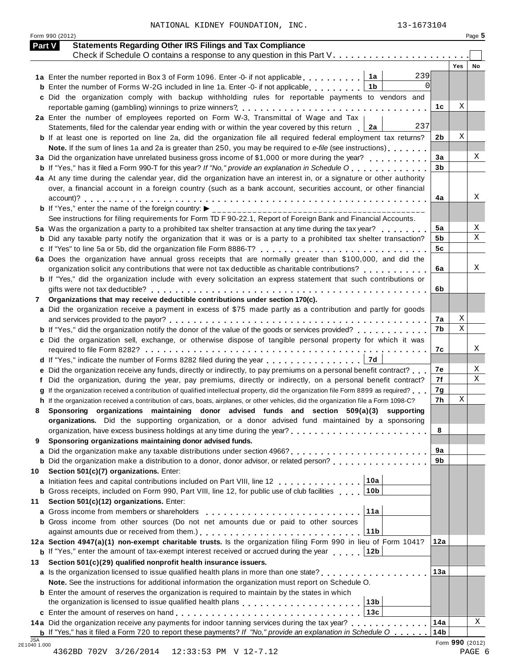|  | NATIONAL KIDNEY FOUNDATION, INC. | 13-1673104 |
|--|----------------------------------|------------|
|  |                                  |            |

Form 990 (2012) Page **5**

|    | <b>Statements Regarding Other IRS Filings and Tax Compliance</b><br><b>Part V</b><br>Check if Schedule O contains a response to any question in this Part V.                                                           |                |                  |    |
|----|------------------------------------------------------------------------------------------------------------------------------------------------------------------------------------------------------------------------|----------------|------------------|----|
|    |                                                                                                                                                                                                                        |                | <b>Yes</b>       | No |
|    | 239<br>1a<br>1a Enter the number reported in Box 3 of Form 1096. Enter -0- if not applicable                                                                                                                           |                |                  |    |
|    | <b>b</b> Enter the number of Forms W-2G included in line 1a. Enter -0- if not applicable<br>1b                                                                                                                         |                |                  |    |
|    | c Did the organization comply with backup withholding rules for reportable payments to vendors and                                                                                                                     |                |                  |    |
|    |                                                                                                                                                                                                                        | 1c             | Χ                |    |
|    | 2a Enter the number of employees reported on Form W-3, Transmittal of Wage and Tax                                                                                                                                     |                |                  |    |
|    | 237<br>Statements, filed for the calendar year ending with or within the year covered by this return<br>  2a                                                                                                           |                |                  |    |
|    | <b>b</b> If at least one is reported on line 2a, did the organization file all required federal employment tax returns?                                                                                                | 2b             | Χ                |    |
|    | Note. If the sum of lines 1a and 2a is greater than 250, you may be required to e-file (see instructions)                                                                                                              |                |                  |    |
|    | 3a Did the organization have unrelated business gross income of \$1,000 or more during the year?                                                                                                                       | 3a             |                  | Χ  |
|    | <b>b</b> If "Yes," has it filed a Form 990-T for this year? If "No," provide an explanation in Schedule O                                                                                                              | 3 <sub>b</sub> |                  |    |
|    | 4a At any time during the calendar year, did the organization have an interest in, or a signature or other authority                                                                                                   |                |                  |    |
|    | over, a financial account in a foreign country (such as a bank account, securities account, or other financial                                                                                                         | 4a             |                  | Х  |
|    | <b>b</b> If "Yes," enter the name of the foreign country: $\blacktriangleright$                                                                                                                                        |                |                  |    |
|    | __________________________________<br>See instructions for filing requirements for Form TD F 90-22.1, Report of Foreign Bank and Financial Accounts.                                                                   |                |                  |    |
|    | 5a Was the organization a party to a prohibited tax shelter transaction at any time during the tax year?                                                                                                               | 5a             |                  | X  |
|    | <b>b</b> Did any taxable party notify the organization that it was or is a party to a prohibited tax shelter transaction?                                                                                              | 5b             |                  | Χ  |
|    | c If "Yes" to line 5a or 5b, did the organization file Form 8886-T?                                                                                                                                                    | 5 <sub>c</sub> |                  |    |
|    | 6a Does the organization have annual gross receipts that are normally greater than \$100,000, and did the                                                                                                              |                |                  |    |
|    | organization solicit any contributions that were not tax deductible as charitable contributions?                                                                                                                       | 6a             |                  | Χ  |
|    | b If "Yes," did the organization include with every solicitation an express statement that such contributions or                                                                                                       |                |                  |    |
|    |                                                                                                                                                                                                                        | 6b             |                  |    |
| 7  | Organizations that may receive deductible contributions under section 170(c).                                                                                                                                          |                |                  |    |
|    | a Did the organization receive a payment in excess of \$75 made partly as a contribution and partly for goods                                                                                                          |                |                  |    |
|    |                                                                                                                                                                                                                        | 7a             | Χ<br>$\mathbf X$ |    |
|    | <b>b</b> If "Yes," did the organization notify the donor of the value of the goods or services provided?                                                                                                               | 7b             |                  |    |
|    | c Did the organization sell, exchange, or otherwise dispose of tangible personal property for which it was                                                                                                             | 7c             |                  | Х  |
|    | 7d<br>d If "Yes," indicate the number of Forms 8282 filed during the year                                                                                                                                              |                |                  |    |
|    | e Did the organization receive any funds, directly or indirectly, to pay premiums on a personal benefit contract?                                                                                                      | 7е             |                  | X  |
|    | Did the organization, during the year, pay premiums, directly or indirectly, on a personal benefit contract?                                                                                                           | 7f             |                  | Χ  |
|    | If the organization received a contribution of qualified intellectual property, did the organization file Form 8899 as required?                                                                                       | 7g             |                  |    |
|    | h If the organization received a contribution of cars, boats, airplanes, or other vehicles, did the organization file a Form 1098-C?                                                                                   | 7h             | X                |    |
| 8  | Sponsoring organizations maintaining donor advised funds and section 509(a)(3) supporting                                                                                                                              |                |                  |    |
|    | organizations. Did the supporting organization, or a donor advised fund maintained by a sponsoring                                                                                                                     |                |                  |    |
|    |                                                                                                                                                                                                                        | 8              |                  |    |
| 9  | Sponsoring organizations maintaining donor advised funds.                                                                                                                                                              |                |                  |    |
|    |                                                                                                                                                                                                                        | 9a             |                  |    |
|    | <b>b</b> Did the organization make a distribution to a donor, donor advisor, or related person?                                                                                                                        | 9b             |                  |    |
| 10 | Section 501(c)(7) organizations. Enter:                                                                                                                                                                                |                |                  |    |
|    | 10a<br>a Initiation fees and capital contributions included on Part VIII, line 12                                                                                                                                      |                |                  |    |
|    | 10 <sub>b</sub><br><b>b</b> Gross receipts, included on Form 990, Part VIII, line 12, for public use of club facilities                                                                                                |                |                  |    |
| 11 | Section 501(c)(12) organizations. Enter:<br>11a                                                                                                                                                                        |                |                  |    |
|    | a Gross income from members or shareholders                                                                                                                                                                            |                |                  |    |
|    | <b>b</b> Gross income from other sources (Do not net amounts due or paid to other sources                                                                                                                              |                |                  |    |
|    |                                                                                                                                                                                                                        |                |                  |    |
|    | 11 <sub>b</sub>                                                                                                                                                                                                        |                |                  |    |
|    | 12a Section 4947(a)(1) non-exempt charitable trusts. Is the organization filing Form 990 in lieu of Form 1041?                                                                                                         | 12a            |                  |    |
|    | <b>b</b> If "Yes," enter the amount of tax-exempt interest received or accrued during the year<br>12b                                                                                                                  |                |                  |    |
| 13 | Section 501(c)(29) qualified nonprofit health insurance issuers.                                                                                                                                                       | 13a            |                  |    |
|    | a Is the organization licensed to issue qualified health plans in more than one state?                                                                                                                                 |                |                  |    |
|    | Note. See the instructions for additional information the organization must report on Schedule O.                                                                                                                      |                |                  |    |
|    | <b>b</b> Enter the amount of reserves the organization is required to maintain by the states in which<br>13 <sub>b</sub>                                                                                               |                |                  |    |
|    | 13c                                                                                                                                                                                                                    |                |                  |    |
|    | 14a Did the organization receive any payments for indoor tanning services during the tax year?<br><b>b</b> If "Yes," has it filed a Form 720 to report these payments? If "No," provide an explanation in Schedule $0$ | 14a<br>14b     |                  | X  |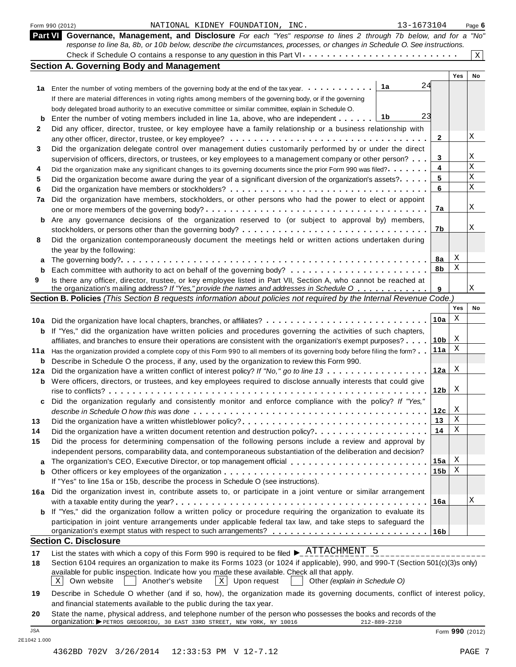|                | Form 990 (2012)<br>NATIONAL KIDNEY FOUNDATION, INC.                                                                                                                                                                | 13-1673104      |                 | Page 6      |
|----------------|--------------------------------------------------------------------------------------------------------------------------------------------------------------------------------------------------------------------|-----------------|-----------------|-------------|
| <b>Part VI</b> | Governance, Management, and Disclosure For each "Yes" response to lines 2 through 7b below, and for a "No"                                                                                                         |                 |                 |             |
|                | response to line 8a, 8b, or 10b below, describe the circumstances, processes, or changes in Schedule O. See instructions.                                                                                          |                 |                 |             |
|                |                                                                                                                                                                                                                    |                 |                 | $\mathbf X$ |
|                | <b>Section A. Governing Body and Management</b>                                                                                                                                                                    |                 | Yes             | No          |
|                | 1a                                                                                                                                                                                                                 | 24              |                 |             |
|                | 1a Enter the number of voting members of the governing body at the end of the tax year.                                                                                                                            |                 |                 |             |
|                | If there are material differences in voting rights among members of the governing body, or if the governing                                                                                                        |                 |                 |             |
|                | body delegated broad authority to an executive committee or similar committee, explain in Schedule O.<br>1b                                                                                                        | 23              |                 |             |
| b              | Enter the number of voting members included in line 1a, above, who are independent                                                                                                                                 |                 |                 |             |
| 2              | Did any officer, director, trustee, or key employee have a family relationship or a business relationship with                                                                                                     | 2               |                 | Χ           |
|                |                                                                                                                                                                                                                    |                 |                 |             |
| 3              | Did the organization delegate control over management duties customarily performed by or under the direct                                                                                                          | 3               |                 | Χ           |
|                | supervision of officers, directors, or trustees, or key employees to a management company or other person?                                                                                                         | 4               |                 | X           |
| 4              | Did the organization make any significant changes to its governing documents since the prior Form 990 was filed?                                                                                                   | 5               |                 | Χ           |
| 5              | Did the organization become aware during the year of a significant diversion of the organization's assets?.                                                                                                        | 6               |                 | X           |
| 6              |                                                                                                                                                                                                                    |                 |                 |             |
| 7a             | Did the organization have members, stockholders, or other persons who had the power to elect or appoint                                                                                                            | 7a              |                 | Χ           |
|                |                                                                                                                                                                                                                    |                 |                 |             |
| b              | Are any governance decisions of the organization reserved to (or subject to approval by) members,                                                                                                                  | 7b              |                 | Χ           |
|                |                                                                                                                                                                                                                    |                 |                 |             |
| 8              | Did the organization contemporaneously document the meetings held or written actions undertaken during                                                                                                             |                 |                 |             |
|                | the year by the following:                                                                                                                                                                                         | 8а              | Χ               |             |
| а              |                                                                                                                                                                                                                    | 8b              | Χ               |             |
| b              |                                                                                                                                                                                                                    |                 |                 |             |
| 9              | Is there any officer, director, trustee, or key employee listed in Part VII, Section A, who cannot be reached at<br>the organization's mailing address? If "Yes," provide the names and addresses in Schedule O    | 9               |                 | Χ           |
|                | Section B. Policies (This Section B requests information about policies not required by the Internal Revenue Code.)                                                                                                |                 |                 |             |
|                |                                                                                                                                                                                                                    |                 | Yes             | No          |
| 10a            | Did the organization have local chapters, branches, or affiliates?                                                                                                                                                 | 10a             | X               |             |
| b              | If "Yes," did the organization have written policies and procedures governing the activities of such chapters,                                                                                                     |                 |                 |             |
|                | affiliates, and branches to ensure their operations are consistent with the organization's exempt purposes?                                                                                                        | 10 <sub>b</sub> | Χ               |             |
| 11 a           | Has the organization provided a complete copy of this Form 990 to all members of its governing body before filing the form?                                                                                        | 11a             | Χ               |             |
| b              | Describe in Schedule O the process, if any, used by the organization to review this Form 990.                                                                                                                      |                 |                 |             |
| 12a            | Did the organization have a written conflict of interest policy? If "No," go to line 13                                                                                                                            | 12a             | Χ               |             |
| b              | Were officers, directors, or trustees, and key employees required to disclose annually interests that could give                                                                                                   |                 |                 |             |
|                |                                                                                                                                                                                                                    | 12 <sub>b</sub> | X               |             |
|                | Did the organization regularly and consistently monitor and enforce compliance with the policy? If "Yes,                                                                                                           |                 |                 |             |
|                |                                                                                                                                                                                                                    | 12c             | Χ               |             |
| 13             |                                                                                                                                                                                                                    | 13              | X               |             |
| 14             | Did the organization have a written document retention and destruction policy?                                                                                                                                     | 14              | Χ               |             |
| 15             | Did the process for determining compensation of the following persons include a review and approval by                                                                                                             |                 |                 |             |
|                | independent persons, comparability data, and contemporaneous substantiation of the deliberation and decision?                                                                                                      |                 |                 |             |
| a              |                                                                                                                                                                                                                    | 15a             | Χ               |             |
| b              |                                                                                                                                                                                                                    | 15 <sub>b</sub> | Χ               |             |
|                | If "Yes" to line 15a or 15b, describe the process in Schedule O (see instructions).                                                                                                                                |                 |                 |             |
|                | 16a Did the organization invest in, contribute assets to, or participate in a joint venture or similar arrangement                                                                                                 |                 |                 |             |
|                |                                                                                                                                                                                                                    | 16a             |                 | Χ           |
| b              | If "Yes," did the organization follow a written policy or procedure requiring the organization to evaluate its                                                                                                     |                 |                 |             |
|                | participation in joint venture arrangements under applicable federal tax law, and take steps to safeguard the                                                                                                      |                 |                 |             |
|                |                                                                                                                                                                                                                    |                 |                 |             |
|                | <b>Section C. Disclosure</b>                                                                                                                                                                                       |                 |                 |             |
| 17             | List the states with which a copy of this Form 990 is required to be filed $\blacktriangleright$ $\frac{\text{ATTACHMENT}}{\text{2.1}}$ 5                                                                          |                 |                 |             |
| 18             | Section 6104 requires an organization to make its Forms 1023 (or 1024 if applicable), 990, and 990-T (Section 501(c)(3)s only)                                                                                     |                 |                 |             |
|                | available for public inspection. Indicate how you made these available. Check all that apply.<br>Another's website<br>$\mathbf{X}$<br>$\mathbf{X}$<br>Own website<br>Upon request<br>Other (explain in Schedule O) |                 |                 |             |
| 19             | Describe in Schedule O whether (and if so, how), the organization made its governing documents, conflict of interest policy,                                                                                       |                 |                 |             |
|                | and financial statements available to the public during the tax year.                                                                                                                                              |                 |                 |             |
| 20             | State the name, physical address, and telephone number of the person who possesses the books and records of the                                                                                                    |                 |                 |             |
| <b>JSA</b>     | Organization: PETROS GREGORIOU, 30 EAST 33RD STREET, NEW YORK, NY 10016<br>212-889-2210                                                                                                                            |                 |                 |             |
|                |                                                                                                                                                                                                                    |                 | Form 990 (2012) |             |

2E1042 1.000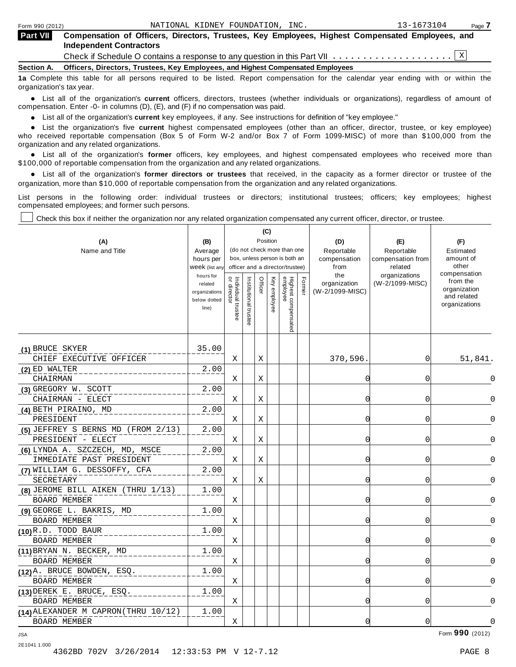| <b>Part VII</b> | Compensation of Officers, Directors, Trustees, Key Employees, Highest Compensated Employees, and<br><b>Independent Contractors</b> |  |
|-----------------|------------------------------------------------------------------------------------------------------------------------------------|--|
|                 | Check if Schedule O contains a response to any question in this Part VII $\ldots \ldots \ldots \ldots \ldots \ldots \mathbb{X}$    |  |

**Section A. Officers, Directors, Trustees, Key Employees, and Highest Compensated Employees**

**1a** Complete this table for all persons required to be listed. Report compensation for the calendar year ending with or within the organization's tax year.

anization's lax year.<br>● List all of the organization's **current** officers, directors, trustees (whether individuals or organizations), regardless of amount of<br>pensation Enter -0- in columns (D) (E) and (E) if no compensat compensation. Enter -0- in columns (D), (E), and (F) if no compensation was paid.

% List all of the organization's **current** key employees, if any. See instructions for definition of "key employee."

List all of the organization's **current** highest compensated employees (other than an officer, director, trustee, or key employee)<br>List the organization's five **current** highest compensated employees (other than an officer who received reportable compensation (Box 5 of Form W-2 and/or Box 7 of Form 1099-MISC) of more than \$100,000 from the

organization and any related organizations.<br>• List all of the organization's **former** officers, key employees, and highest compensated employees who received more than<br>\$1.00.000 of reportable componention from the erganiza \$100,000 of reportable compensation from the organization and any related organizations.

% List all of the organization's **former directors or trustees** that received, in the capacity as a former director or trustee of the organization, more than \$10,000 of reportable compensation from the organization and any related organizations.

List persons in the following order: individual trustees or directors; institutional trustees; officers; key employees; highest compensated employees; and former such persons.

Check this box if neither the organization nor any related organization compensated any current officer, director, or trustee.

─

| (A)<br>Name and Title                                       | (B)<br>Average<br>hours per<br>Week (list any                  |                                  |                       |         | (C)<br>Position | (do not check more than one<br>box, unless person is both an<br>officer and a director/trustee) |        | (D)<br>Reportable<br>compensation<br>from | (E)<br>Reportable<br>compensation from<br>related | (F)<br>Estimated<br>amount of<br>other                                   |
|-------------------------------------------------------------|----------------------------------------------------------------|----------------------------------|-----------------------|---------|-----------------|-------------------------------------------------------------------------------------------------|--------|-------------------------------------------|---------------------------------------------------|--------------------------------------------------------------------------|
|                                                             | hours for<br>related<br>organizations<br>below dotted<br>line) | or directo<br>Individual trustee | Institutional trustee | Officer | Key employee    | Highest compensated<br>employee                                                                 | Former | the<br>organization<br>(W-2/1099-MISC)    | organizations<br>(W-2/1099-MISC)                  | compensation<br>from the<br>organization<br>and related<br>organizations |
| (1) BRUCE SKYER                                             | 35.00                                                          |                                  |                       |         |                 |                                                                                                 |        |                                           |                                                   |                                                                          |
| CHIEF EXECUTIVE OFFICER                                     |                                                                | Χ                                |                       | Χ       |                 |                                                                                                 |        | 370,596.                                  | 0                                                 | 51,841.                                                                  |
| (2) ED WALTER<br>CHAIRMAN                                   | 2.00                                                           | X                                |                       | X       |                 |                                                                                                 |        | C                                         | 0                                                 | 0                                                                        |
| (3) GREGORY W. SCOTT                                        | 2.00                                                           |                                  |                       |         |                 |                                                                                                 |        |                                           |                                                   |                                                                          |
| CHAIRMAN - ELECT                                            |                                                                | X                                |                       | X       |                 |                                                                                                 |        | 0                                         | 0                                                 | $\Omega$                                                                 |
| (4) BETH PIRAINO, MD                                        | 2.00                                                           |                                  |                       |         |                 |                                                                                                 |        |                                           |                                                   |                                                                          |
| PRESIDENT                                                   |                                                                | X                                |                       | X       |                 |                                                                                                 |        | C                                         | 0                                                 | $\Omega$                                                                 |
| (5) JEFFREY S BERNS MD (FROM 2/13)<br>PRESIDENT - ELECT     | 2.00                                                           | Χ                                |                       | Χ       |                 |                                                                                                 |        | C                                         | 0                                                 | $\Omega$                                                                 |
| (6) LYNDA A. SZCZECH, MD, MSCE<br>IMMEDIATE PAST PRESIDENT  | 2.00                                                           | X                                |                       | Χ       |                 |                                                                                                 |        | 0                                         | 0                                                 | $\Omega$                                                                 |
| (7) WILLIAM G. DESSOFFY, CFA<br>SECRETARY                   | 2.00                                                           | X                                |                       | Χ       |                 |                                                                                                 |        | C                                         | 0                                                 | 0                                                                        |
| (8) JEROME BILL AIKEN (THRU 1/13)<br><b>BOARD MEMBER</b>    | 1.00                                                           | X                                |                       |         |                 |                                                                                                 |        | C                                         | 0                                                 | 0                                                                        |
| (9) GEORGE L. BAKRIS, MD<br><b>BOARD MEMBER</b>             | 1.00                                                           | Χ                                |                       |         |                 |                                                                                                 |        | $\Omega$                                  | 0                                                 | $\Omega$                                                                 |
| (10)R.D. TODD BAUR<br><b>BOARD MEMBER</b>                   | 1.00                                                           | X                                |                       |         |                 |                                                                                                 |        | $\Omega$                                  | 0                                                 | $\Omega$                                                                 |
| (11) BRYAN N. BECKER, MD<br><b>BOARD MEMBER</b>             | 1.00                                                           | X                                |                       |         |                 |                                                                                                 |        | 0                                         | 0                                                 | $\Omega$                                                                 |
| (12) A. BRUCE BOWDEN, ESQ.<br><b>BOARD MEMBER</b>           | 1.00                                                           | Χ                                |                       |         |                 |                                                                                                 |        | C                                         | 0                                                 | $\Omega$                                                                 |
| (13) DEREK E. BRUCE, ESQ.<br><b>BOARD MEMBER</b>            | 1.00                                                           | Χ                                |                       |         |                 |                                                                                                 |        | 0                                         | 0                                                 | $\Omega$                                                                 |
| (14) ALEXANDER M CAPRON (THRU 10/12)<br><b>BOARD MEMBER</b> | 1.00                                                           | Χ                                |                       |         |                 |                                                                                                 |        | $\Omega$                                  | 0                                                 | 0                                                                        |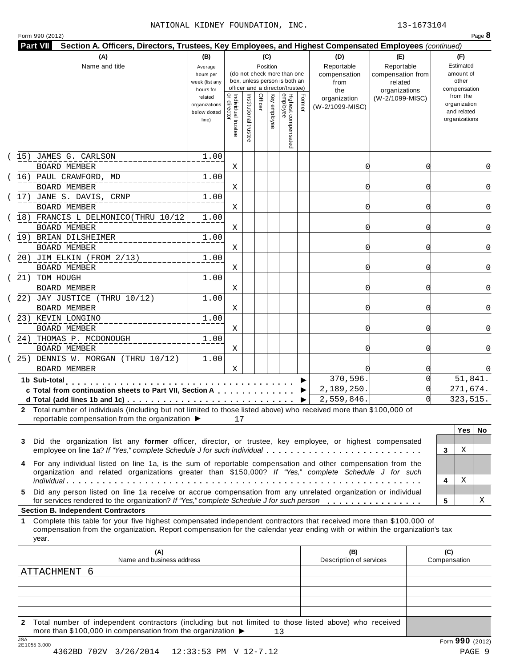#### NATIONAL KIDNEY FOUNDATION, INC. 13-1673104

| (A)<br>Name and title                                                                                                                                                                      | (B)<br>Average<br>hours per<br>week (list any<br>hours for<br>related<br>organizations<br>below dotted<br>line) | $\overline{a}$<br>Individual trustee<br>director | Institutional trustee | (C)<br>Position<br>Officer | Key employee | (do not check more than one<br>box, unless person is both an<br>officer and a director/trustee)<br>Highest compensated<br>employee | Former | (D)<br>Reportable<br>compensation<br>from<br>the<br>organization<br>(W-2/1099-MISC) | (E)<br>Reportable<br>compensation from<br>related<br>organizations<br>(W-2/1099-MISC) | (F)<br>Estimated<br>amount of<br>other<br>compensation<br>from the<br>organization<br>and related<br>organizations |
|--------------------------------------------------------------------------------------------------------------------------------------------------------------------------------------------|-----------------------------------------------------------------------------------------------------------------|--------------------------------------------------|-----------------------|----------------------------|--------------|------------------------------------------------------------------------------------------------------------------------------------|--------|-------------------------------------------------------------------------------------|---------------------------------------------------------------------------------------|--------------------------------------------------------------------------------------------------------------------|
| (15) JAMES G. CARLSON                                                                                                                                                                      | 1.00                                                                                                            |                                                  |                       |                            |              |                                                                                                                                    |        |                                                                                     |                                                                                       |                                                                                                                    |
| BOARD MEMBER                                                                                                                                                                               |                                                                                                                 | X                                                |                       |                            |              |                                                                                                                                    |        | 0                                                                                   | O                                                                                     | 0                                                                                                                  |
| (16) PAUL CRAWFORD, MD                                                                                                                                                                     | 1.00                                                                                                            |                                                  |                       |                            |              |                                                                                                                                    |        |                                                                                     |                                                                                       |                                                                                                                    |
| <b>BOARD MEMBER</b>                                                                                                                                                                        |                                                                                                                 | Χ                                                |                       |                            |              |                                                                                                                                    |        | 0                                                                                   | Ω                                                                                     | 0                                                                                                                  |
| (17) JANE S. DAVIS, CRNP                                                                                                                                                                   | 1.00                                                                                                            |                                                  |                       |                            |              |                                                                                                                                    |        |                                                                                     |                                                                                       |                                                                                                                    |
| BOARD MEMBER                                                                                                                                                                               |                                                                                                                 | Χ                                                |                       |                            |              |                                                                                                                                    |        | $\Omega$                                                                            | U                                                                                     | 0                                                                                                                  |
| 18) FRANCIS L DELMONICO (THRU 10/12                                                                                                                                                        | 1.00                                                                                                            |                                                  |                       |                            |              |                                                                                                                                    |        |                                                                                     |                                                                                       |                                                                                                                    |
| <b>BOARD MEMBER</b>                                                                                                                                                                        |                                                                                                                 | Χ                                                |                       |                            |              |                                                                                                                                    |        | $\Omega$                                                                            | Ω                                                                                     | $\Omega$                                                                                                           |
| (19) BRIAN DILSHEIMER                                                                                                                                                                      | 1.00                                                                                                            |                                                  |                       |                            |              |                                                                                                                                    |        |                                                                                     |                                                                                       |                                                                                                                    |
| <b>BOARD MEMBER</b>                                                                                                                                                                        |                                                                                                                 | Χ                                                |                       |                            |              |                                                                                                                                    |        | $\Omega$                                                                            | 0                                                                                     | 0                                                                                                                  |
| (20) JIM ELKIN (FROM 2/13)<br>BOARD MEMBER                                                                                                                                                 | 1.00                                                                                                            | Χ                                                |                       |                            |              |                                                                                                                                    |        | 0                                                                                   | O                                                                                     | 0                                                                                                                  |
| (21) TOM HOUGH                                                                                                                                                                             | 1.00                                                                                                            |                                                  |                       |                            |              |                                                                                                                                    |        |                                                                                     |                                                                                       |                                                                                                                    |
| BOARD MEMBER                                                                                                                                                                               |                                                                                                                 | X                                                |                       |                            |              |                                                                                                                                    |        | 0                                                                                   | 0                                                                                     | 0                                                                                                                  |
| 22) JAY JUSTICE (THRU 10/12)<br>BOARD MEMBER                                                                                                                                               | 1.00                                                                                                            | Χ                                                |                       |                            |              |                                                                                                                                    |        | 0                                                                                   | 0                                                                                     | $\Omega$                                                                                                           |
| 23) KEVIN LONGINO                                                                                                                                                                          | 1.00                                                                                                            |                                                  |                       |                            |              |                                                                                                                                    |        |                                                                                     |                                                                                       |                                                                                                                    |
| BOARD MEMBER                                                                                                                                                                               |                                                                                                                 | Χ                                                |                       |                            |              |                                                                                                                                    |        | 0                                                                                   | 0                                                                                     | 0                                                                                                                  |
| 24) THOMAS P. MCDONOUGH                                                                                                                                                                    | 1.00                                                                                                            |                                                  |                       |                            |              |                                                                                                                                    |        |                                                                                     |                                                                                       |                                                                                                                    |
| <b>BOARD MEMBER</b>                                                                                                                                                                        |                                                                                                                 | Χ                                                |                       |                            |              |                                                                                                                                    |        | $\Omega$                                                                            | 0                                                                                     | 0                                                                                                                  |
| 25) DENNIS W. MORGAN (THRU 10/12)                                                                                                                                                          | 1.00                                                                                                            |                                                  |                       |                            |              |                                                                                                                                    |        |                                                                                     |                                                                                       |                                                                                                                    |
| <b>BOARD MEMBER</b>                                                                                                                                                                        |                                                                                                                 | X                                                |                       |                            |              |                                                                                                                                    |        |                                                                                     |                                                                                       | 0                                                                                                                  |
| 1b Sub-total                                                                                                                                                                               |                                                                                                                 |                                                  |                       |                            |              |                                                                                                                                    |        | 370,596.                                                                            | $\Omega$                                                                              | 51,841.                                                                                                            |
| c Total from continuation sheets to Part VII, Section A                                                                                                                                    | .                                                                                                               |                                                  |                       |                            |              |                                                                                                                                    |        | 2,189,250.                                                                          |                                                                                       | 271,674.                                                                                                           |
|                                                                                                                                                                                            |                                                                                                                 |                                                  |                       |                            |              |                                                                                                                                    | ▶.     | 2,559,846.                                                                          |                                                                                       | 323,515.                                                                                                           |
| 2 Total number of individuals (including but not limited to those listed above) who received more than \$100,000 of<br>reportable compensation from the organization $\blacktriangleright$ |                                                                                                                 | 17                                               |                       |                            |              |                                                                                                                                    |        |                                                                                     |                                                                                       |                                                                                                                    |

| employee on line 1a? If Yes, complete Screaule J for such individual enterprise enterprise on line 1a Press, complete                                                                                                  | . 3 |  |
|------------------------------------------------------------------------------------------------------------------------------------------------------------------------------------------------------------------------|-----|--|
| 4 For any individual listed on line 1a, is the sum of reportable compensation and other compensation from the<br>organization and related organizations greater than \$150,000? If "Yes," complete Schedule J for such |     |  |
|                                                                                                                                                                                                                        | -4  |  |
| 5 Did any person listed on line 1a receive or accrue compensation from any unrelated organization or individual                                                                                                        |     |  |
| for services rendered to the organization? If "Yes," complete Schedule J for such person enterprise on the services results.                                                                                           | -5  |  |

|   | <b>Yes</b> | No |
|---|------------|----|
|   |            |    |
| 3 | X          |    |
|   |            |    |
|   |            |    |
| 4 | X          |    |
|   |            |    |
| 5 |            | X  |

#### **Section B. Independent Contractors**

**1** Complete this table for your five highest compensated independent contractors that received more than \$100,000 of compensation from the organization. Report compensation for the calendar year ending with or within the organization's tax year.

| (A)<br>Name and business address                                                                                                                                                                          | (B)<br>Description of services | (C)<br>Compensation |
|-----------------------------------------------------------------------------------------------------------------------------------------------------------------------------------------------------------|--------------------------------|---------------------|
| ATTACHMENT 6                                                                                                                                                                                              |                                |                     |
|                                                                                                                                                                                                           |                                |                     |
|                                                                                                                                                                                                           |                                |                     |
|                                                                                                                                                                                                           |                                |                     |
|                                                                                                                                                                                                           |                                |                     |
| Total number of independent contractors (including but not limited to those listed above) who received<br>$\mathbf{2}$<br>more than \$100,000 in compensation from the organization $\blacktriangleright$ |                                |                     |
| ICA                                                                                                                                                                                                       |                                | $\sim$ $\sim$       |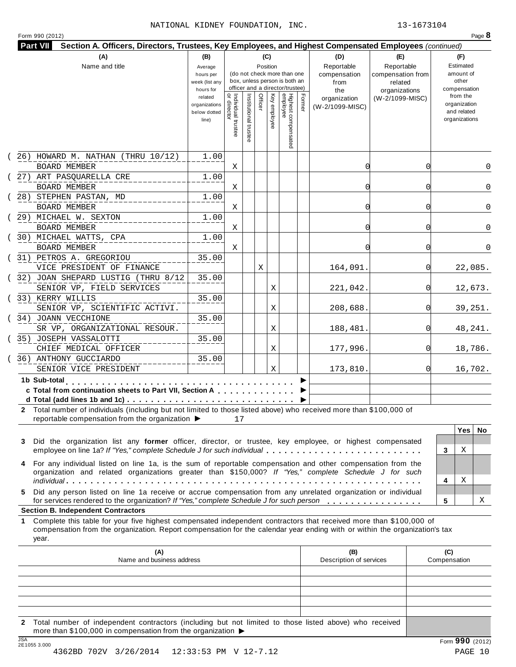| Form 990 (2012)                                                                                                                                                                         |                       |                                   |                       |         |              |                                 |        |                         |                                 | Page 8                      |
|-----------------------------------------------------------------------------------------------------------------------------------------------------------------------------------------|-----------------------|-----------------------------------|-----------------------|---------|--------------|---------------------------------|--------|-------------------------|---------------------------------|-----------------------------|
| <b>Part VII</b><br>Section A. Officers, Directors, Trustees, Key Employees, and Highest Compensated Employees (continued)                                                               |                       |                                   |                       |         |              |                                 |        |                         |                                 |                             |
| (A)<br>Name and title                                                                                                                                                                   | (B)                   |                                   |                       |         | (C)          |                                 |        | (D)<br>Reportable       | (E)                             | (F)<br>Estimated            |
|                                                                                                                                                                                         | Average<br>hours per  |                                   |                       |         | Position     | (do not check more than one     |        | compensation            | Reportable<br>compensation from | amount of                   |
|                                                                                                                                                                                         | week (list any        |                                   |                       |         |              | box, unless person is both an   |        | from                    | related                         | other                       |
|                                                                                                                                                                                         | hours for             |                                   |                       |         |              | officer and a director/trustee) |        | the                     | organizations                   | compensation                |
|                                                                                                                                                                                         | related               |                                   |                       | Officer | Key employee |                                 | Former | organization            | (W-2/1099-MISC)                 | from the                    |
|                                                                                                                                                                                         | organizations         |                                   |                       |         |              |                                 |        | (W-2/1099-MISC)         |                                 | organization<br>and related |
|                                                                                                                                                                                         | below dotted<br>line) |                                   |                       |         |              |                                 |        |                         |                                 | organizations               |
|                                                                                                                                                                                         |                       | Individual trustee<br>or director |                       |         |              |                                 |        |                         |                                 |                             |
|                                                                                                                                                                                         |                       |                                   | Institutional trustee |         |              |                                 |        |                         |                                 |                             |
|                                                                                                                                                                                         |                       |                                   |                       |         |              | Highest compensated<br>employee |        |                         |                                 |                             |
| $(26)$ HOWARD M. NATHAN (THRU $10/12$ )                                                                                                                                                 | 1.00                  |                                   |                       |         |              |                                 |        |                         |                                 |                             |
| <b>BOARD MEMBER</b>                                                                                                                                                                     |                       | Χ                                 |                       |         |              |                                 |        | 0                       | Ω                               | 0                           |
| (27) ART PASQUARELLA CRE                                                                                                                                                                | 1.00                  |                                   |                       |         |              |                                 |        |                         |                                 |                             |
| BOARD MEMBER                                                                                                                                                                            |                       | Χ                                 |                       |         |              |                                 |        | 0                       |                                 | 0                           |
| (28) STEPHEN PASTAN, MD                                                                                                                                                                 | 1.00                  |                                   |                       |         |              |                                 |        |                         |                                 |                             |
| <b>BOARD MEMBER</b>                                                                                                                                                                     |                       | Χ                                 |                       |         |              |                                 |        | 0                       | O                               | 0                           |
| (29) MICHAEL W. SEXTON                                                                                                                                                                  | 1.00                  |                                   |                       |         |              |                                 |        |                         |                                 |                             |
| <b>BOARD MEMBER</b>                                                                                                                                                                     |                       | Χ                                 |                       |         |              |                                 |        | 0                       | O                               | 0                           |
| 30) MICHAEL WATTS, CPA                                                                                                                                                                  | 1.00                  |                                   |                       |         |              |                                 |        |                         |                                 |                             |
| <b>BOARD MEMBER</b>                                                                                                                                                                     |                       | Χ                                 |                       |         |              |                                 |        |                         | O                               | 0                           |
| (31) PETROS A. GREGORIOU                                                                                                                                                                | 35.00                 |                                   |                       |         |              |                                 |        |                         |                                 |                             |
| VICE PRESIDENT OF FINANCE                                                                                                                                                               |                       |                                   |                       |         |              |                                 |        |                         | 0                               |                             |
|                                                                                                                                                                                         |                       |                                   |                       | Χ       |              |                                 |        | 164,091.                |                                 | 22,085.                     |
| (32) JOAN SHEPARD LUSTIG (THRU 8/12                                                                                                                                                     | 35.00                 |                                   |                       |         |              |                                 |        |                         |                                 |                             |
| SENIOR VP, FIELD SERVICES                                                                                                                                                               |                       |                                   |                       |         | Χ            |                                 |        | 221,042.                | 0                               | 12,673.                     |
| (33) KERRY WILLIS                                                                                                                                                                       | 35.00                 |                                   |                       |         |              |                                 |        |                         |                                 |                             |
| SENIOR VP, SCIENTIFIC ACTIVI.                                                                                                                                                           |                       |                                   |                       |         | Χ            |                                 |        | 208,688.                | 0                               | 39,251.                     |
| 34) JOANN VECCHIONE                                                                                                                                                                     | 35.00                 |                                   |                       |         |              |                                 |        |                         |                                 |                             |
| SR VP, ORGANIZATIONAL RESOUR.                                                                                                                                                           |                       |                                   |                       |         | Χ            |                                 |        | 188,481.                | 0                               | 48,241.                     |
| (35) JOSEPH VASSALOTTI                                                                                                                                                                  | 35.00                 |                                   |                       |         |              |                                 |        |                         |                                 |                             |
| CHIEF MEDICAL OFFICER                                                                                                                                                                   |                       |                                   |                       |         | Χ            |                                 |        | 177,996.                | 0                               | 18,786.                     |
| 36) ANTHONY GUCCIARDO                                                                                                                                                                   | 35.00                 |                                   |                       |         |              |                                 |        |                         |                                 |                             |
| SENIOR VICE PRESIDENT                                                                                                                                                                   |                       |                                   |                       |         | Χ            |                                 |        | 173,810.                | 0l                              | 16,702.                     |
| 1b Sub-total                                                                                                                                                                            |                       |                                   |                       |         |              |                                 |        |                         |                                 |                             |
| c Total from continuation sheets to Part VII, Section A                                                                                                                                 |                       |                                   |                       |         |              |                                 |        |                         |                                 |                             |
|                                                                                                                                                                                         |                       |                                   |                       |         |              |                                 |        |                         |                                 |                             |
| Total number of individuals (including but not limited to those listed above) who received more than \$100,000 of                                                                       |                       |                                   |                       |         |              |                                 |        |                         |                                 |                             |
| reportable compensation from the organization ▶                                                                                                                                         |                       | 17                                |                       |         |              |                                 |        |                         |                                 |                             |
|                                                                                                                                                                                         |                       |                                   |                       |         |              |                                 |        |                         |                                 | Yes<br>No                   |
|                                                                                                                                                                                         |                       |                                   |                       |         |              |                                 |        |                         |                                 |                             |
| Did the organization list any former officer, director, or trustee, key employee, or highest compensated<br>3<br>employee on line 1a? If "Yes," complete Schedule J for such individual |                       |                                   |                       |         |              |                                 |        |                         |                                 | Χ                           |
|                                                                                                                                                                                         |                       |                                   |                       |         |              |                                 |        |                         |                                 | 3                           |
| For any individual listed on line 1a, is the sum of reportable compensation and other compensation from the                                                                             |                       |                                   |                       |         |              |                                 |        |                         |                                 |                             |
| organization and related organizations greater than \$150,000? If "Yes," complete Schedule J for such                                                                                   |                       |                                   |                       |         |              |                                 |        |                         |                                 |                             |
|                                                                                                                                                                                         |                       |                                   |                       |         |              |                                 |        |                         |                                 | Χ<br>4                      |
| Did any person listed on line 1a receive or accrue compensation from any unrelated organization or individual<br>5.                                                                     |                       |                                   |                       |         |              |                                 |        |                         |                                 |                             |
| for services rendered to the organization? If "Yes," complete Schedule J for such person                                                                                                |                       |                                   |                       |         |              |                                 |        |                         |                                 | Χ<br>5                      |
| <b>Section B. Independent Contractors</b>                                                                                                                                               |                       |                                   |                       |         |              |                                 |        |                         |                                 |                             |
| Complete this table for your five highest compensated independent contractors that received more than \$100,000 of<br>1                                                                 |                       |                                   |                       |         |              |                                 |        |                         |                                 |                             |
| compensation from the organization. Report compensation for the calendar year ending with or within the organization's tax                                                              |                       |                                   |                       |         |              |                                 |        |                         |                                 |                             |
| year.                                                                                                                                                                                   |                       |                                   |                       |         |              |                                 |        |                         |                                 |                             |
| (A)                                                                                                                                                                                     |                       |                                   |                       |         |              |                                 |        | (B)                     |                                 | (C)                         |
| Name and business address                                                                                                                                                               |                       |                                   |                       |         |              |                                 |        | Description of services |                                 | Compensation                |
|                                                                                                                                                                                         |                       |                                   |                       |         |              |                                 |        |                         |                                 |                             |
|                                                                                                                                                                                         |                       |                                   |                       |         |              |                                 |        |                         |                                 |                             |
|                                                                                                                                                                                         |                       |                                   |                       |         |              |                                 |        |                         |                                 |                             |
|                                                                                                                                                                                         |                       |                                   |                       |         |              |                                 |        |                         |                                 |                             |
|                                                                                                                                                                                         |                       |                                   |                       |         |              |                                 |        |                         |                                 |                             |

**2** Total number of independent contractors (including but not limited to those listed above) who received more than \$100,000 in compensation from the organization  $\triangleright$ <br>  $\frac{\text{JSA}}{2510553.000}$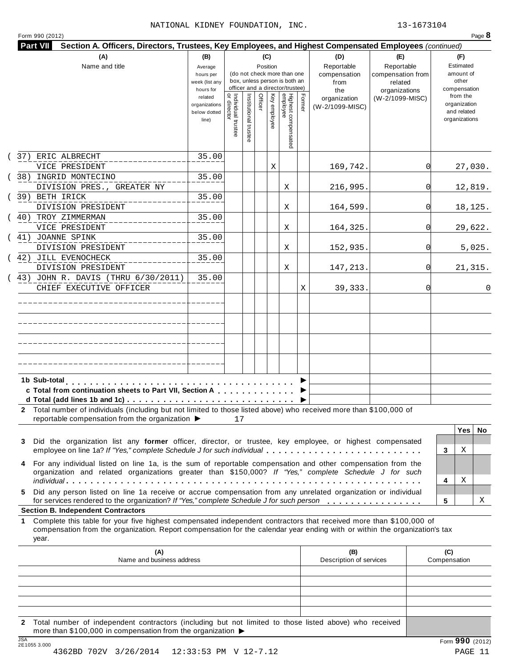Form <sup>990</sup> (2012) Page **8**

| Part VII                                                                                                                                                                                                                                                       | Section A. Officers, Directors, Trustees, Key Employees, and Highest Compensated Employees (continued)<br>(C)<br>(D)<br>(A)<br>(B)<br>(E)<br>(F)<br>Name and title<br>Reportable<br>Reportable<br>Estimated<br>Position<br>Average<br>(do not check more than one<br>amount of<br>compensation from<br>compensation<br>hours per<br>box, unless person is both an<br>other<br>week (list any<br>from<br>related<br>officer and a director/trustee)<br>compensation<br>hours for<br>organizations<br>the<br>Individual trustee<br>  or director<br>Highest compensated<br>employee<br>Institutional trust<br>Officer<br>Former<br>from the<br>Key employee<br>related<br>(W-2/1099-MISC)<br>organization<br>organization<br>organizations<br>(W-2/1099-MISC)<br>and related<br>below dotted<br>organizations<br>line)<br>35.00 |    |  |  |   |   |   |                                |          |                     |
|----------------------------------------------------------------------------------------------------------------------------------------------------------------------------------------------------------------------------------------------------------------|-------------------------------------------------------------------------------------------------------------------------------------------------------------------------------------------------------------------------------------------------------------------------------------------------------------------------------------------------------------------------------------------------------------------------------------------------------------------------------------------------------------------------------------------------------------------------------------------------------------------------------------------------------------------------------------------------------------------------------------------------------------------------------------------------------------------------------|----|--|--|---|---|---|--------------------------------|----------|---------------------|
|                                                                                                                                                                                                                                                                |                                                                                                                                                                                                                                                                                                                                                                                                                                                                                                                                                                                                                                                                                                                                                                                                                               |    |  |  |   |   |   |                                |          |                     |
|                                                                                                                                                                                                                                                                |                                                                                                                                                                                                                                                                                                                                                                                                                                                                                                                                                                                                                                                                                                                                                                                                                               |    |  |  |   |   |   |                                |          |                     |
| (37) ERIC ALBRECHT                                                                                                                                                                                                                                             |                                                                                                                                                                                                                                                                                                                                                                                                                                                                                                                                                                                                                                                                                                                                                                                                                               |    |  |  |   |   |   |                                |          |                     |
| VICE PRESIDENT                                                                                                                                                                                                                                                 |                                                                                                                                                                                                                                                                                                                                                                                                                                                                                                                                                                                                                                                                                                                                                                                                                               |    |  |  | Χ |   |   | 169,742.                       | $\Omega$ | 27,030.             |
| (38) INGRID MONTECINO                                                                                                                                                                                                                                          | 35.00                                                                                                                                                                                                                                                                                                                                                                                                                                                                                                                                                                                                                                                                                                                                                                                                                         |    |  |  |   |   |   |                                | $\Omega$ |                     |
| DIVISION PRES., GREATER NY<br>(39) BETH IRICK                                                                                                                                                                                                                  | 35.00                                                                                                                                                                                                                                                                                                                                                                                                                                                                                                                                                                                                                                                                                                                                                                                                                         |    |  |  |   | Χ |   | 216,995.                       |          | 12,819.             |
| DIVISION PRESIDENT                                                                                                                                                                                                                                             |                                                                                                                                                                                                                                                                                                                                                                                                                                                                                                                                                                                                                                                                                                                                                                                                                               |    |  |  |   | Χ |   | 164,599.                       | $\Omega$ | 18,125.             |
| ( 40) TROY ZIMMERMAN<br>VICE PRESIDENT                                                                                                                                                                                                                         | 35.00                                                                                                                                                                                                                                                                                                                                                                                                                                                                                                                                                                                                                                                                                                                                                                                                                         |    |  |  |   | Χ |   | 164,325.                       | $\Omega$ | 29,622.             |
| ( 41) JOANNE SPINK                                                                                                                                                                                                                                             | 35.00                                                                                                                                                                                                                                                                                                                                                                                                                                                                                                                                                                                                                                                                                                                                                                                                                         |    |  |  |   |   |   |                                |          |                     |
| DIVISION PRESIDENT                                                                                                                                                                                                                                             |                                                                                                                                                                                                                                                                                                                                                                                                                                                                                                                                                                                                                                                                                                                                                                                                                               |    |  |  |   | Χ |   | 152,935.                       | $\Omega$ | 5,025.              |
| (42) JILL EVENOCHECK<br>DIVISION PRESIDENT                                                                                                                                                                                                                     | 35.00                                                                                                                                                                                                                                                                                                                                                                                                                                                                                                                                                                                                                                                                                                                                                                                                                         |    |  |  |   | Χ |   | 147,213.                       | $\Omega$ | 21,315.             |
| 43) JOHN R. DAVIS (THRU 6/30/2011)<br>CHIEF EXECUTIVE OFFICER                                                                                                                                                                                                  | 35.00                                                                                                                                                                                                                                                                                                                                                                                                                                                                                                                                                                                                                                                                                                                                                                                                                         |    |  |  |   |   | Χ | 39,333.                        | $\Omega$ |                     |
|                                                                                                                                                                                                                                                                |                                                                                                                                                                                                                                                                                                                                                                                                                                                                                                                                                                                                                                                                                                                                                                                                                               |    |  |  |   |   |   |                                |          |                     |
|                                                                                                                                                                                                                                                                |                                                                                                                                                                                                                                                                                                                                                                                                                                                                                                                                                                                                                                                                                                                                                                                                                               |    |  |  |   |   |   |                                |          |                     |
|                                                                                                                                                                                                                                                                |                                                                                                                                                                                                                                                                                                                                                                                                                                                                                                                                                                                                                                                                                                                                                                                                                               |    |  |  |   |   |   |                                |          |                     |
|                                                                                                                                                                                                                                                                |                                                                                                                                                                                                                                                                                                                                                                                                                                                                                                                                                                                                                                                                                                                                                                                                                               |    |  |  |   |   |   |                                |          |                     |
| c Total from continuation sheets to Part VII, Section A<br>2 Total number of individuals (including but not limited to those listed above) who received more than \$100,000 of<br>reportable compensation from the organization ▶                              |                                                                                                                                                                                                                                                                                                                                                                                                                                                                                                                                                                                                                                                                                                                                                                                                                               | 17 |  |  |   |   |   |                                |          |                     |
|                                                                                                                                                                                                                                                                |                                                                                                                                                                                                                                                                                                                                                                                                                                                                                                                                                                                                                                                                                                                                                                                                                               |    |  |  |   |   |   |                                |          | Yes  <br>No         |
| Did the organization list any former officer, director, or trustee, key employee, or highest compensated<br>3<br>employee on line 1a? If "Yes," complete Schedule J for such individual                                                                        |                                                                                                                                                                                                                                                                                                                                                                                                                                                                                                                                                                                                                                                                                                                                                                                                                               |    |  |  |   |   |   |                                |          | Χ<br>3              |
| For any individual listed on line 1a, is the sum of reportable compensation and other compensation from the<br>organization and related organizations greater than \$150,000? If "Yes," complete Schedule J for such                                           |                                                                                                                                                                                                                                                                                                                                                                                                                                                                                                                                                                                                                                                                                                                                                                                                                               |    |  |  |   |   |   |                                |          |                     |
|                                                                                                                                                                                                                                                                |                                                                                                                                                                                                                                                                                                                                                                                                                                                                                                                                                                                                                                                                                                                                                                                                                               |    |  |  |   |   |   |                                |          | Χ<br>4              |
| Did any person listed on line 1a receive or accrue compensation from any unrelated organization or individual<br>5.<br>for services rendered to the organization? If "Yes," complete Schedule J for such person<br><b>Section B. Independent Contractors</b>   |                                                                                                                                                                                                                                                                                                                                                                                                                                                                                                                                                                                                                                                                                                                                                                                                                               |    |  |  |   |   |   |                                |          | 5<br>Χ              |
| Complete this table for your five highest compensated independent contractors that received more than \$100,000 of<br>1<br>compensation from the organization. Report compensation for the calendar year ending with or within the organization's tax<br>year. |                                                                                                                                                                                                                                                                                                                                                                                                                                                                                                                                                                                                                                                                                                                                                                                                                               |    |  |  |   |   |   |                                |          |                     |
| (A)<br>Name and business address                                                                                                                                                                                                                               |                                                                                                                                                                                                                                                                                                                                                                                                                                                                                                                                                                                                                                                                                                                                                                                                                               |    |  |  |   |   |   | (B)<br>Description of services |          | (C)<br>Compensation |
|                                                                                                                                                                                                                                                                |                                                                                                                                                                                                                                                                                                                                                                                                                                                                                                                                                                                                                                                                                                                                                                                                                               |    |  |  |   |   |   |                                |          |                     |
|                                                                                                                                                                                                                                                                |                                                                                                                                                                                                                                                                                                                                                                                                                                                                                                                                                                                                                                                                                                                                                                                                                               |    |  |  |   |   |   |                                |          |                     |
|                                                                                                                                                                                                                                                                |                                                                                                                                                                                                                                                                                                                                                                                                                                                                                                                                                                                                                                                                                                                                                                                                                               |    |  |  |   |   |   |                                |          |                     |
| 2 Total number of independent contractors (including but not limited to those listed above) who received<br>more than \$100,000 in compensation from the organization ▶<br>$\overline{10A}$                                                                    |                                                                                                                                                                                                                                                                                                                                                                                                                                                                                                                                                                                                                                                                                                                                                                                                                               |    |  |  |   |   |   |                                |          |                     |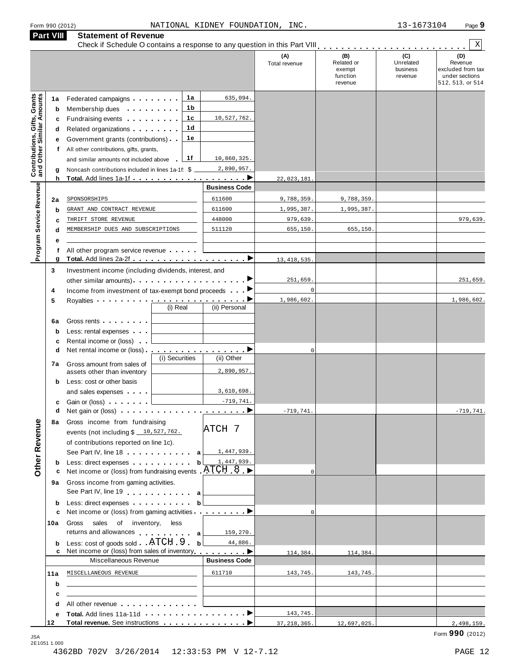| Form 990 (2012) |  |  |
|-----------------|--|--|
|                 |  |  |

|                                                                  | <b>Part VIII</b> | <b>Statement of Revenue</b>                                                                                                                                                                                                          |                |                      |                      |                                                    |                                         | Χ                                                                         |
|------------------------------------------------------------------|------------------|--------------------------------------------------------------------------------------------------------------------------------------------------------------------------------------------------------------------------------------|----------------|----------------------|----------------------|----------------------------------------------------|-----------------------------------------|---------------------------------------------------------------------------|
|                                                                  |                  |                                                                                                                                                                                                                                      |                |                      | (A)<br>Total revenue | (B)<br>Related or<br>exempt<br>function<br>revenue | (C)<br>Unrelated<br>business<br>revenue | (D)<br>Revenue<br>excluded from tax<br>under sections<br>512, 513, or 514 |
|                                                                  | 1а               | Federated campaigns                                                                                                                                                                                                                  | 1а             | 635,094.             |                      |                                                    |                                         |                                                                           |
| <b>Contributions, Gifts, Grants</b><br>and Other Similar Amounts | b                | Membership dues <b>All According to the Membership dues</b>                                                                                                                                                                          | 1b             |                      |                      |                                                    |                                         |                                                                           |
|                                                                  | c                | Fundraising events <b>Fundraising</b>                                                                                                                                                                                                | 1c             | 10,527,762.          |                      |                                                    |                                         |                                                                           |
|                                                                  | d                | Related organizations <b>and the set of the set of the set of the set of the set of the set of the set of the set of the set of the set of the set of the set of the set of the set of the set of the set of the set of the set </b> | 1d             |                      |                      |                                                    |                                         |                                                                           |
|                                                                  | е                | Government grants (contributions)                                                                                                                                                                                                    | 1е             |                      |                      |                                                    |                                         |                                                                           |
|                                                                  | Ť.               | All other contributions, gifts, grants,                                                                                                                                                                                              |                |                      |                      |                                                    |                                         |                                                                           |
|                                                                  |                  | and similar amounts not included above                                                                                                                                                                                               | 1f             | 10,860,325.          |                      |                                                    |                                         |                                                                           |
|                                                                  | g<br>h           | Noncash contributions included in lines 1a-1f: \$                                                                                                                                                                                    |                | 2,890,957.           |                      |                                                    |                                         |                                                                           |
|                                                                  |                  |                                                                                                                                                                                                                                      |                | <b>Business Code</b> | 22,023,181           |                                                    |                                         |                                                                           |
|                                                                  | 2a               | SPONSORSHIPS                                                                                                                                                                                                                         |                | 611600               | 9,788,359.           | 9,788,359.                                         |                                         |                                                                           |
|                                                                  | b                | GRANT AND CONTRACT REVENUE                                                                                                                                                                                                           |                | 611600               | 1,995,387.           | 1,995,387.                                         |                                         |                                                                           |
|                                                                  | c                | THRIFT STORE REVENUE                                                                                                                                                                                                                 |                | 448000               | 979,639.             |                                                    |                                         | 979,639.                                                                  |
|                                                                  | d                | MEMBERSHIP DUES AND SUBSCRIPTIONS                                                                                                                                                                                                    |                | 511120               | 655,150.             | 655,150.                                           |                                         |                                                                           |
| Program Service Revenue                                          |                  |                                                                                                                                                                                                                                      |                |                      |                      |                                                    |                                         |                                                                           |
|                                                                  |                  | All other program service revenue                                                                                                                                                                                                    |                |                      |                      |                                                    |                                         |                                                                           |
|                                                                  | g                |                                                                                                                                                                                                                                      |                |                      | 13, 418, 535         |                                                    |                                         |                                                                           |
|                                                                  | 3                | Investment income (including dividends, interest, and                                                                                                                                                                                |                |                      |                      |                                                    |                                         |                                                                           |
|                                                                  |                  | other similar amounts)                                                                                                                                                                                                               |                |                      | 251,659.             |                                                    |                                         | 251,659.                                                                  |
|                                                                  | 4                | Income from investment of tax-exempt bond proceeds                                                                                                                                                                                   |                |                      | $\mathbf 0$          |                                                    |                                         |                                                                           |
|                                                                  | 5                | Royalties <b>Example 2</b> and the set of the set of the set of the set of the set of the set of the set of the set of the set of the set of the set of the set of the set of the set of the set of the set of the set of the set o  | (i) Real       | (ii) Personal        | 1,986,602.           |                                                    |                                         | 1,986,602.                                                                |
|                                                                  |                  |                                                                                                                                                                                                                                      |                |                      |                      |                                                    |                                         |                                                                           |
|                                                                  | 6a               | Gross rents <b>Container and Container</b>                                                                                                                                                                                           |                |                      |                      |                                                    |                                         |                                                                           |
|                                                                  | $\mathbf b$<br>c | Less: rental expenses<br>Rental income or (loss)                                                                                                                                                                                     |                |                      |                      |                                                    |                                         |                                                                           |
|                                                                  | d                | Net rental income or (loss).                                                                                                                                                                                                         |                | .                    | $\mathbf 0$          |                                                    |                                         |                                                                           |
|                                                                  |                  |                                                                                                                                                                                                                                      | (i) Securities | (ii) Other           |                      |                                                    |                                         |                                                                           |
|                                                                  | 7a               | Gross amount from sales of<br>assets other than inventory                                                                                                                                                                            |                | 2,890,957.           |                      |                                                    |                                         |                                                                           |
|                                                                  | b                | Less: cost or other basis                                                                                                                                                                                                            |                |                      |                      |                                                    |                                         |                                                                           |
|                                                                  |                  | and sales expenses                                                                                                                                                                                                                   |                | 3,610,698.           |                      |                                                    |                                         |                                                                           |
|                                                                  | c                | Gain or (loss)                                                                                                                                                                                                                       |                | $-719,741.$          |                      |                                                    |                                         |                                                                           |
|                                                                  | d                |                                                                                                                                                                                                                                      |                |                      | $-719,741.$          |                                                    |                                         | $-719,741.$                                                               |
|                                                                  |                  | 8a Gross income from fundraising                                                                                                                                                                                                     |                | ATCH 7               |                      |                                                    |                                         |                                                                           |
|                                                                  |                  | events (not including \$ 10,527,762.                                                                                                                                                                                                 |                |                      |                      |                                                    |                                         |                                                                           |
|                                                                  |                  | of contributions reported on line 1c).                                                                                                                                                                                               |                |                      |                      |                                                    |                                         |                                                                           |
| <b>Other Revenue</b>                                             |                  | See Part IV, line 18 <b>. . . . . . . a</b> $\boxed{1,447,939}$ .<br>Less: direct expenses b                                                                                                                                         |                | 1,447,939.           |                      |                                                    |                                         |                                                                           |
|                                                                  | b<br>с           | Net income or (loss) from fundraising events $ATCH$ 8                                                                                                                                                                                |                |                      | $\Omega$             |                                                    |                                         |                                                                           |
|                                                                  |                  | 9a Gross income from gaming activities.                                                                                                                                                                                              |                |                      |                      |                                                    |                                         |                                                                           |
|                                                                  |                  | See Part IV, line 19 a                                                                                                                                                                                                               |                |                      |                      |                                                    |                                         |                                                                           |
|                                                                  | b                | Less: direct expenses b                                                                                                                                                                                                              |                |                      |                      |                                                    |                                         |                                                                           |
|                                                                  | c                | Net income or (loss) from gaming activities <u></u>                                                                                                                                                                                  |                |                      | $\Omega$             |                                                    |                                         |                                                                           |
|                                                                  | 10a              | Gross sales of inventory, less                                                                                                                                                                                                       |                |                      |                      |                                                    |                                         |                                                                           |
|                                                                  |                  | returns and allowances a                                                                                                                                                                                                             |                | 159,270.             |                      |                                                    |                                         |                                                                           |
|                                                                  | b                | Less: cost of goods sold ATCH 9 . b                                                                                                                                                                                                  |                | 44,886.              |                      |                                                    |                                         |                                                                           |
|                                                                  |                  | Net income or (loss) from sales of inventory entitled by both Dental Dental Dental Dental Dental Dental Dental D<br>Miscellaneous Revenue                                                                                            |                | <b>Business Code</b> | 114,384.             | 114,384.                                           |                                         |                                                                           |
|                                                                  |                  |                                                                                                                                                                                                                                      |                |                      |                      |                                                    |                                         |                                                                           |
|                                                                  | 11a              | MISCELLANEOUS REVENUE                                                                                                                                                                                                                |                | 611710               | 143,745.             | 143,745.                                           |                                         |                                                                           |
|                                                                  | b                |                                                                                                                                                                                                                                      |                |                      |                      |                                                    |                                         |                                                                           |
|                                                                  | c<br>d           | All other revenue entitled and the state of the state of the state of the state of the state of the state of the state of the state of the state of the state of the state of the state of the state of the state of the state       |                |                      |                      |                                                    |                                         |                                                                           |
|                                                                  | е                |                                                                                                                                                                                                                                      |                |                      | 143,745.             |                                                    |                                         |                                                                           |
|                                                                  | 12               |                                                                                                                                                                                                                                      |                |                      | 37, 218, 365.        | 12,697,025.                                        |                                         | 2,498,159.                                                                |
|                                                                  |                  |                                                                                                                                                                                                                                      |                |                      |                      |                                                    |                                         |                                                                           |

Form **990** (2012) JSA 2E1051 1.000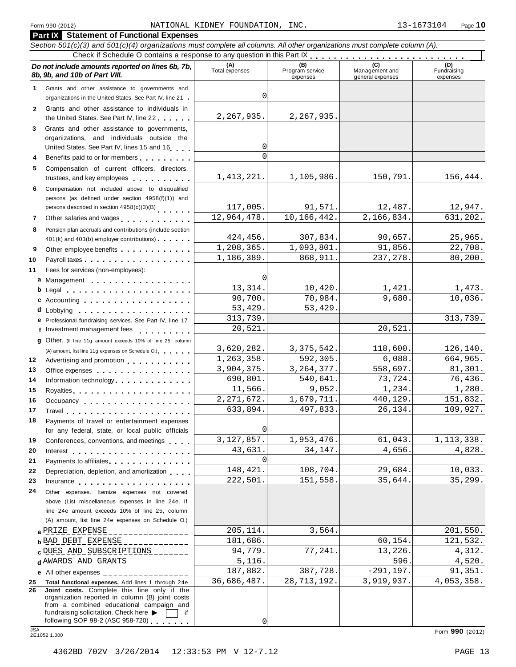#### **Part IX Statement of Functional Expenses** Section 501(c)(3) and 501(c)(4) organizations must complete all columns. All other organizations must complete column (A). Check if Schedule O contains a response to any question in this Part  $\begin{array}{c|c|c|c|c|c} \hline \textbf{Check if Schedule O contains a response to any question in this Part } \mathbf{R} & \textbf{Set } \mathbf{C} & \textbf{Set } \mathbf{C} & \textbf{Set } \mathbf{C} & \textbf{Set } \mathbf{C} \\ \hline \textbf{Check } \textbf{D} & \textbf{C} & \textbf{C} & \textbf{C} & \textbf{C} \\ \hline \textbf{C} &$ *Do no* **(A) (B) (C) (D)** *t include amounts reported on lines 6b, 7b,* **8b, 9b, and 10b of Part VIII.** The contract position of **Part Part VIII.** The contract Program services Program services expenses Management and general expenses Fundraising expenses 1 Grants and other assistance to governments and Grants and other assistance to governments and<br>organizations in the United States. See Part IV, line 21 Grants and other assistance to individuals in Grants and other assistance to individuals in<br>the United States. See Part IV, line 22 **2 3** Grants and other assistance to governments, organizations, and individuals outside the United States. See Part IV, lines 15 and 16 m. **5** Compensation of current officers, directors, trustees, and key employees m m m m m m m m m m **6** Compensation not included above, to disqualified persons (as defined under section 4958(f)(1)) and persons described in section 4958(c)(3)(B) 7 Other salaries and wages **manual manual manual m**  $\overline{a}$ **8** Pension plan accruals and contributions (include section 401(k) and 403(b) employer contributions) **9** Additional 403(b) employer contributions<br>**9** Other employee benefits **manual** manual manual manual manual manual manual manual manual manual manual manual manual manual manual manual manual manual manual manual manual Payroll taxes m m m m m m m m m m m m m m m m m m Fees for services (non-employees): Management **ab** m m m m m m m m m m m m m m m m m Legal m m m m m m m m m m m m m m m m m m m m m **c** Accounting<br>**d** Lobbying Lobbying m m m m m m m m m m m m m m m m m m m **10 11 12 13 14 15 16 17 18 19 20 21 22 23 24 e** Professional fundraising services. See Part IV, line 17 **F** Professional fundraising services. See Part IV, line 17<br>**f** Investment management fees **g** Other. (If line 11g amount exceeds 10% of line 25, column m m m m m m m m m m m m m m m m m m (A) amount, list line 11g expenses on Schedule O.) (A) amount, list line 11g expenses on Schedule O.)<br>Advertising and promotion **manual material metalliers** Office expenses **Example 20** Section 1 and 20 Section 1 and 20 Section 1 and 20 Section 1 and 20 Section 1 and 20 Section 1 and 20 Section 1 and 20 Section 1 and 20 Section 20 Section 20 Section 20 Section 20 Section 20 Se Office expenses we went went went went to the control<br>Information technology . . . . . . . . . . . . . . m m m m m m m m m m m m m m m m Royalties m m m m m m m m m m m m m m m m m m m m Royalties<br>Occupancy ................... Travel m m m m m m m m m m m m m m m m m m m m m Payments of travel or entertainment expenses for any federal, state, or local public officials for any federal, state, or local public officials<br>Conferences, conventions, and meetings Interest m m m m m m m m m m m m m m m m m m m m Payments to affiliates m m m m m m m m m m m m m m Payments to affiliates<br>Depreciation, depletion, and amortization Insurance m m m m m m m m m m m m m m m m m m m Other expenses. Itemize expenses not covered above (List miscellaneous expenses in line 24e. If line 24e amount exceeds 10% of line 25, column (A) amount, list line 24e expenses on Schedule O.) **a** <u>PRIZE EXPENSE \_\_\_\_\_\_\_\_\_\_\_\_\_\_ 205,114. 3,564.</u> [201,550. 121,532. 181,686. [201,532. 121,532. **c** D<u>UES AND SUBSCRIPTIONS</u><br>**d** A<u>WARDS AND GRANTS</u> \_\_\_\_\_\_\_\_\_\_\_\_ 5,116. 596. 4,520. 4,520. **e** All other expenses \_\_\_\_\_\_\_\_\_\_\_\_\_\_\_\_\_ **25 Total functional expenses.** Add lines 1 through 24e **26 Joint costs.** Complete this line only if the organization reported in column (B) joint costs from a combined educational campaign and  $\sqrt{ }$ 2,267,935. 2,267,935. 0  $\sqrt{ }$ 1,413,221. 1,105,986. 150,791. 156,444. 117,005. 91,571. 12,487. 12,947. 12,964,478. 10,166,442. 2,166,834. 631,202. 424,456. 307,834. 90,657. 25,965.  $1,208,365.$   $1,093,801.$   $91,856.$   $22,708.$  $1,186,389.$   $868,911.$   $237,278.$   $80,200.$ 0 13,314. 10,420. 1,421. 1,473. 90,700. 70.984. 9,680. 10,036. 53,429. 53,429. 313,739. 313,739. 20,521. 20,521. 3,620,282. 3,375,542. 118,600. 126,140. 1,263,358. 592,305. 6,088. 664,965. 3,904,375. 3,264,377. 558,697. 81,301. 690,801. 540,641. 73,724. 76,436.  $11,566$ . 9,052. 1,234. 1,230. 2,271,672. 1,679,711. 440,129. 151,832. 633,894. 497,833. 26,134. 109,927. 0 3,127,857. 1,953,476. 61,043. 1,113,338. 43,631. 34,147. 4,656. 4,828. 0 148,421. 108,704. 29,684. 10,033. 222,501. 151,558. 35,644. 35,299. **a**  $PRIZE$   $EXPENSE$  2022, 2022, 205, 205, 204.  $|$  3, 564.  $|$  201, 550. 0 DUES AND SUBSCRIPTIONS \_\_\_\_\_\_\_ 94,779. 77,241. 13,226. 4,312. 4,312.<br>d AWARDS AND GRANTS \_\_\_\_\_\_\_\_\_\_ 5,116. 596. 4,520. 187,882. 387,728. -291,197. 91,351. 36,686,487. 28,713,192. 3,919,937. 4,053,358.

 $\sqrt{ }$ 

following SOP 98-2 (ASC 958-720) <sup>m</sup> <sup>m</sup> <sup>m</sup> <sup>m</sup> <sup>m</sup> <sup>m</sup> <sup>m</sup> JSA Form **<sup>990</sup>** (2012) 2E1052 1.000

fundraising solicitation. Check here  $\triangleright$   $\Box$  if following SOP 98-2 (ASC 958-720)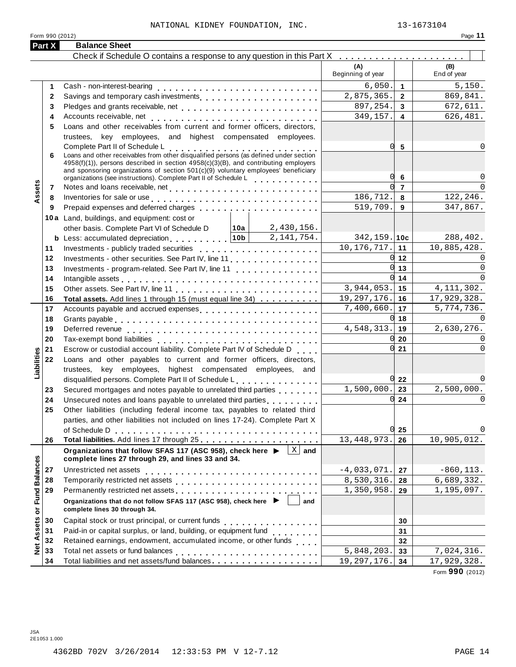#### NATIONAL KIDNEY FOUNDATION, INC.  $13-1673104$

| Form 990 (2012)            |                                                                                                                                                                                                                                |                                     | Page 11                    |
|----------------------------|--------------------------------------------------------------------------------------------------------------------------------------------------------------------------------------------------------------------------------|-------------------------------------|----------------------------|
| Part X                     | <b>Balance Sheet</b>                                                                                                                                                                                                           |                                     |                            |
|                            | Check if Schedule O contains a response to any question in this Part X                                                                                                                                                         |                                     |                            |
|                            |                                                                                                                                                                                                                                | (A)<br>Beginning of year            | (B)<br>End of year         |
| 1                          |                                                                                                                                                                                                                                | 6,050.<br>$\overline{1}$            | 5,150.                     |
| $\mathbf{2}$               |                                                                                                                                                                                                                                | 2,875,365.<br>$\overline{2}$        | 869,841.                   |
| 3                          |                                                                                                                                                                                                                                | 897,254.<br>3                       | 672,611.                   |
| 4                          |                                                                                                                                                                                                                                | 349,157.<br>$\overline{\mathbf{4}}$ | 626,481.                   |
| 5                          | Loans and other receivables from current and former officers, directors,                                                                                                                                                       |                                     |                            |
|                            | trustees, key employees, and highest compensated employees.                                                                                                                                                                    |                                     |                            |
|                            | Complete Part II of Schedule L<br>Loans and other receivables from other disqualified persons (as defined under section                                                                                                        | 0l<br>5                             | O                          |
| 6                          |                                                                                                                                                                                                                                |                                     |                            |
|                            | $4958(f)(1)$ , persons described in section $4958(c)(3)(B)$ , and contributing employers<br>and sponsoring organizations of section $501(c)(9)$ voluntary employees' beneficiary                                               |                                     |                            |
|                            | organizations (see instructions). Complete Part II of Schedule L                                                                                                                                                               | Ol<br>6                             | $\Omega$                   |
| Assets<br>7                |                                                                                                                                                                                                                                | $\overline{7}$                      |                            |
| 8                          | Inventories for sale or use enterpreteration of the contract of the contract of the contract of the contract of the contract of the contract of the contract of the contract of the contract of the contract of the contract o | 186,712.<br>8                       | 122,246.                   |
| 9                          |                                                                                                                                                                                                                                | 519,709.<br>9                       | 347,867.                   |
|                            | 10a Land, buildings, and equipment: cost or                                                                                                                                                                                    |                                     |                            |
|                            | 2,430,156.<br>│ 10a│<br>other basis. Complete Part VI of Schedule D                                                                                                                                                            |                                     |                            |
|                            | <b>b</b> Less: accumulated depreciation $ 10b $<br>2,141,754.                                                                                                                                                                  | $342, 159.$ 10c                     | 288,402.                   |
| 11                         |                                                                                                                                                                                                                                | 10, 176, 717.<br>11                 | 10,885,428.                |
| 12                         | Investments - other securities. See Part IV, line 11                                                                                                                                                                           | Ol<br>12                            |                            |
| 13                         |                                                                                                                                                                                                                                | 0l<br>13                            | $\Omega$                   |
| 14                         |                                                                                                                                                                                                                                | U<br>14                             | $\Omega$                   |
| 15                         |                                                                                                                                                                                                                                | 3,944,053.<br>15                    | 4, 111, 302.               |
| 16                         | Total assets. Add lines 1 through 15 (must equal line 34)                                                                                                                                                                      | 19, 297, 176.<br>16                 | 17,929,328.                |
| 17                         |                                                                                                                                                                                                                                | 7,400,660.<br>17                    | $\overline{5}$ , 774, 736. |
| 18                         |                                                                                                                                                                                                                                | U<br>18                             |                            |
| 19                         |                                                                                                                                                                                                                                | 4,548,313.<br>19                    | 2,630,276.                 |
| 20                         |                                                                                                                                                                                                                                | 20                                  |                            |
| 21                         | Escrow or custodial account liability. Complete Part IV of Schedule D                                                                                                                                                          | U<br>21                             |                            |
| 22                         | Loans and other payables to current and former officers, directors,                                                                                                                                                            |                                     |                            |
| Liabilities                | trustees, key employees, highest compensated employees, and                                                                                                                                                                    |                                     |                            |
|                            | disqualified persons. Complete Part II of Schedule L.                                                                                                                                                                          | $0\,22$                             |                            |
| 23                         | Secured mortgages and notes payable to unrelated third parties                                                                                                                                                                 | 1,500,000.<br>23                    | 2,500,000.                 |
| 24                         | Unsecured notes and loans payable to unrelated third parties [1, 1, 1, 1, 1, 1]                                                                                                                                                | 0l<br>24                            | 0                          |
| 25                         | Other liabilities (including federal income tax, payables to related third                                                                                                                                                     |                                     |                            |
|                            | parties, and other liabilities not included on lines 17-24). Complete Part X                                                                                                                                                   |                                     |                            |
|                            |                                                                                                                                                                                                                                | OI.<br>25                           |                            |
| 26                         |                                                                                                                                                                                                                                | 13, 448, 973.<br>26                 | 10,905,012.                |
|                            | $ X $ and<br>Organizations that follow SFAS 117 (ASC 958), check here ▶<br>complete lines 27 through 29, and lines 33 and 34.                                                                                                  |                                     |                            |
| <b>Fund Balances</b><br>27 |                                                                                                                                                                                                                                | $-4,033,071.$<br>27                 | $-860, 113.$               |
| 28                         |                                                                                                                                                                                                                                | 8,530,316.<br>28                    | 6,689,332.                 |
| 29                         |                                                                                                                                                                                                                                | 1,350,958.<br>29                    | 1,195,097.                 |
| ŏ                          | Organizations that do not follow SFAS 117 (ASC 958), check here ▶<br>and<br>complete lines 30 through 34.                                                                                                                      |                                     |                            |
| 30                         |                                                                                                                                                                                                                                | 30                                  |                            |
| Assets<br>31               | Paid-in or capital surplus, or land, building, or equipment fund<br>                                                                                                                                                           | 31                                  |                            |
| 32                         | Retained earnings, endowment, accumulated income, or other funds                                                                                                                                                               | 32                                  |                            |
| Net<br>33                  |                                                                                                                                                                                                                                | $\overline{5,848,203}$ .<br>33      | 7,024,316.                 |
|                            |                                                                                                                                                                                                                                |                                     |                            |

Form **990** (2012)

**33 34**

 $5,848,203.$  33 7,024,316.  $19,297,176.$  34 17,929,328.

Total liabilities and net assets/fund balances m m m m m m m m m m m m m m m m m m

**33 34**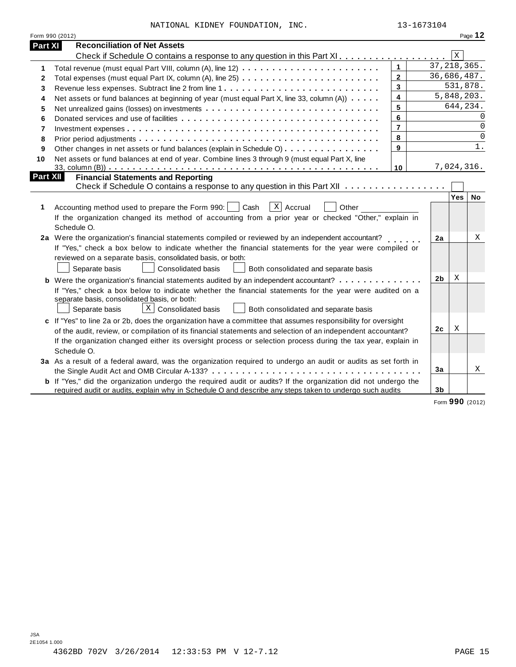|          | Form 990 (2012)                                                                                                       |                         |                |               | Page 12     |
|----------|-----------------------------------------------------------------------------------------------------------------------|-------------------------|----------------|---------------|-------------|
| Part XI  | <b>Reconciliation of Net Assets</b>                                                                                   |                         |                |               |             |
|          | Check if Schedule O contains a response to any question in this Part XI                                               |                         |                | $\mathbf X$   |             |
| 1        |                                                                                                                       | $\mathbf{1}$            |                | 37, 218, 365. |             |
| 2        |                                                                                                                       | $\mathbf{2}$            |                | 36,686,487.   |             |
| 3        |                                                                                                                       | $\overline{3}$          |                | 531,878.      |             |
| 4        | Net assets or fund balances at beginning of year (must equal Part X, line 33, column (A))                             | $\overline{\mathbf{4}}$ |                | 5,848,203.    |             |
| 5        |                                                                                                                       | 5                       |                | 644, 234.     |             |
| 6        |                                                                                                                       | 6                       |                |               | $\Omega$    |
| 7        |                                                                                                                       | $\overline{7}$          |                |               | $\mathbf 0$ |
| 8        |                                                                                                                       | 8                       |                |               | $\mathbf 0$ |
| 9        | Other changes in net assets or fund balances (explain in Schedule O)                                                  | 9                       |                |               | 1.          |
| 10       | Net assets or fund balances at end of year. Combine lines 3 through 9 (must equal Part X, line                        |                         |                |               |             |
|          |                                                                                                                       | 10                      |                | 7,024,316.    |             |
| Part XII | <b>Financial Statements and Reporting</b>                                                                             |                         |                |               |             |
|          | Check if Schedule O contains a response to any question in this Part XII                                              |                         |                |               |             |
|          |                                                                                                                       |                         |                | Yes           | No          |
| 1        | $ X $ Accrual<br>Accounting method used to prepare the Form 990:     Cash<br>Other                                    |                         |                |               |             |
|          | If the organization changed its method of accounting from a prior year or checked "Other," explain in                 |                         |                |               |             |
|          | Schedule O.                                                                                                           |                         |                |               |             |
|          | 2a Were the organization's financial statements compiled or reviewed by an independent accountant?                    |                         | 2a             |               | Χ           |
|          | If "Yes," check a box below to indicate whether the financial statements for the year were compiled or                |                         |                |               |             |
|          | reviewed on a separate basis, consolidated basis, or both:                                                            |                         |                |               |             |
|          | Separate basis<br><b>Consolidated basis</b><br>Both consolidated and separate basis                                   |                         |                |               |             |
|          | <b>b</b> Were the organization's financial statements audited by an independent accountant?                           |                         | 2b             | X             |             |
|          | If "Yes," check a box below to indicate whether the financial statements for the year were audited on a               |                         |                |               |             |
|          | separate basis, consolidated basis, or both:                                                                          |                         |                |               |             |
|          | $X$ Consolidated basis<br>Separate basis<br>Both consolidated and separate basis                                      |                         |                |               |             |
|          | c If "Yes" to line 2a or 2b, does the organization have a committee that assumes responsibility for oversight         |                         |                |               |             |
|          | of the audit, review, or compilation of its financial statements and selection of an independent accountant?          |                         | 2c             | X             |             |
|          | If the organization changed either its oversight process or selection process during the tax year, explain in         |                         |                |               |             |
|          | Schedule O.                                                                                                           |                         |                |               |             |
|          |                                                                                                                       |                         |                |               |             |
|          | 3a As a result of a federal award, was the organization required to undergo an audit or audits as set forth in        |                         | 3a             |               | Χ           |
|          |                                                                                                                       |                         |                |               |             |
|          | <b>b</b> If "Yes," did the organization undergo the required audit or audits? If the organization did not undergo the |                         | 3 <sub>b</sub> |               |             |
|          | required audit or audits, explain why in Schedule O and describe any steps taken to undergo such audits               |                         |                |               |             |

Form **990** (2012)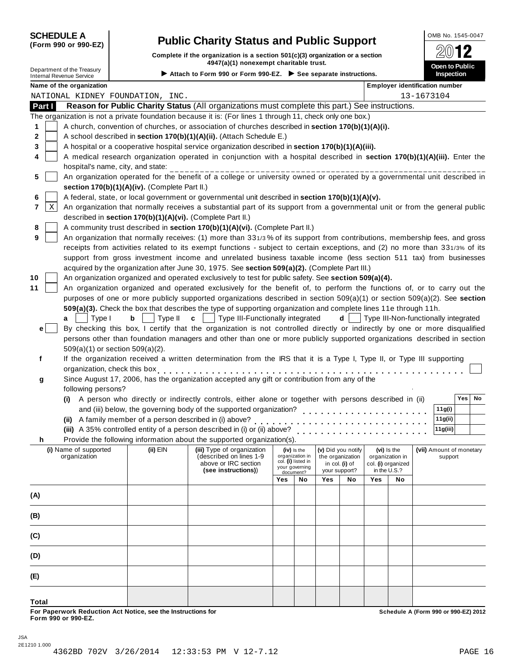**(Form 990 or 990-EZ)**

# **SCHEDULE A Public Charity Status and Public Support**  $\frac{\text{OMB No. 1545-0047}}{\text{OMB No. 1545-0047}}$

**Complete if the organization is a section 501(c)(3) organization or a section**  $\frac{1}{20}$  **12**<br> **4947(a)(1)** nonexempt charitable trust. Department of the Treasury **Contract Contract Contract Contract Contract Contract Contract Contract Contract Contract Contract Contract Contract Contract Contract Contract Contract Contract Contract Contract Contract Contr** 

| <b>Internal Revenue Service</b> | Department of the Treasury            |                                                            | 4947(a)(1) Honexempt charitable trust.<br>Attach to Form 990 or Form 990-EZ. $\triangleright$ See separate instructions.<br><b>Inspection</b> |     |                                      |                  |                    |     |                                | Open to Public                        |
|---------------------------------|---------------------------------------|------------------------------------------------------------|-----------------------------------------------------------------------------------------------------------------------------------------------|-----|--------------------------------------|------------------|--------------------|-----|--------------------------------|---------------------------------------|
|                                 | Name of the organization              |                                                            |                                                                                                                                               |     |                                      |                  |                    |     |                                | <b>Employer identification number</b> |
|                                 |                                       | NATIONAL KIDNEY FOUNDATION, INC.                           |                                                                                                                                               |     |                                      |                  |                    |     |                                | 13-1673104                            |
| Part I                          |                                       |                                                            | Reason for Public Charity Status (All organizations must complete this part.) See instructions.                                               |     |                                      |                  |                    |     |                                |                                       |
|                                 |                                       |                                                            | The organization is not a private foundation because it is: (For lines 1 through 11, check only one box.)                                     |     |                                      |                  |                    |     |                                |                                       |
| 1                               |                                       |                                                            | A church, convention of churches, or association of churches described in section 170(b)(1)(A)(i).                                            |     |                                      |                  |                    |     |                                |                                       |
| $\mathbf{2}$                    |                                       |                                                            | A school described in section 170(b)(1)(A)(ii). (Attach Schedule E.)                                                                          |     |                                      |                  |                    |     |                                |                                       |
| 3                               |                                       |                                                            | A hospital or a cooperative hospital service organization described in section 170(b)(1)(A)(iii).                                             |     |                                      |                  |                    |     |                                |                                       |
| 4                               |                                       |                                                            | A medical research organization operated in conjunction with a hospital described in section 170(b)(1)(A)(iii). Enter the                     |     |                                      |                  |                    |     |                                |                                       |
|                                 |                                       | hospital's name, city, and state:                          |                                                                                                                                               |     |                                      |                  |                    |     |                                |                                       |
| 5                               |                                       |                                                            | An organization operated for the benefit of a college or university owned or operated by a governmental unit described in                     |     |                                      |                  |                    |     |                                |                                       |
|                                 |                                       | section 170(b)(1)(A)(iv). (Complete Part II.)              |                                                                                                                                               |     |                                      |                  |                    |     |                                |                                       |
| 6                               |                                       |                                                            | A federal, state, or local government or governmental unit described in section 170(b)(1)(A)(v).                                              |     |                                      |                  |                    |     |                                |                                       |
| $\mathbf X$<br>7                |                                       |                                                            | An organization that normally receives a substantial part of its support from a governmental unit or from the general public                  |     |                                      |                  |                    |     |                                |                                       |
|                                 |                                       | described in section 170(b)(1)(A)(vi). (Complete Part II.) |                                                                                                                                               |     |                                      |                  |                    |     |                                |                                       |
| 8                               |                                       |                                                            | A community trust described in section 170(b)(1)(A)(vi). (Complete Part II.)                                                                  |     |                                      |                  |                    |     |                                |                                       |
| 9                               |                                       |                                                            | An organization that normally receives: (1) more than 331/3% of its support from contributions, membership fees, and gross                    |     |                                      |                  |                    |     |                                |                                       |
|                                 |                                       |                                                            | receipts from activities related to its exempt functions - subject to certain exceptions, and (2) no more than 331/3% of its                  |     |                                      |                  |                    |     |                                |                                       |
|                                 |                                       |                                                            | support from gross investment income and unrelated business taxable income (less section 511 tax) from businesses                             |     |                                      |                  |                    |     |                                |                                       |
|                                 |                                       |                                                            | acquired by the organization after June 30, 1975. See section 509(a)(2). (Complete Part III.)                                                 |     |                                      |                  |                    |     |                                |                                       |
| 10                              |                                       |                                                            | An organization organized and operated exclusively to test for public safety. See section 509(a)(4).                                          |     |                                      |                  |                    |     |                                |                                       |
| 11                              |                                       |                                                            | An organization organized and operated exclusively for the benefit of, to perform the functions of, or to carry out the                       |     |                                      |                  |                    |     |                                |                                       |
|                                 |                                       |                                                            | purposes of one or more publicly supported organizations described in section 509(a)(1) or section 509(a)(2). See section                     |     |                                      |                  |                    |     |                                |                                       |
|                                 |                                       |                                                            | 509(a)(3). Check the box that describes the type of supporting organization and complete lines 11e through 11h.                               |     |                                      |                  |                    |     |                                |                                       |
|                                 | Type I<br>а                           | b<br>Type II                                               | Type III-Functionally integrated<br>c                                                                                                         |     |                                      |                  | d                  |     |                                | Type III-Non-functionally integrated  |
| e                               |                                       |                                                            | By checking this box, I certify that the organization is not controlled directly or indirectly by one or more disqualified                    |     |                                      |                  |                    |     |                                |                                       |
|                                 |                                       |                                                            | persons other than foundation managers and other than one or more publicly supported organizations described in section                       |     |                                      |                  |                    |     |                                |                                       |
|                                 |                                       | 509(a)(1) or section 509(a)(2).                            |                                                                                                                                               |     |                                      |                  |                    |     |                                |                                       |
| f                               |                                       |                                                            | If the organization received a written determination from the IRS that it is a Type I, Type II, or Type III supporting                        |     |                                      |                  |                    |     |                                |                                       |
|                                 |                                       | organization, check this box                               |                                                                                                                                               |     |                                      |                  |                    |     |                                |                                       |
| g                               |                                       |                                                            | Since August 17, 2006, has the organization accepted any gift or contribution from any of the                                                 |     |                                      |                  |                    |     |                                |                                       |
|                                 | following persons?                    |                                                            |                                                                                                                                               |     |                                      |                  |                    |     |                                |                                       |
|                                 |                                       |                                                            | (i) A person who directly or indirectly controls, either alone or together with persons described in (ii)                                     |     |                                      |                  |                    |     |                                | <b>Yes</b><br>No                      |
|                                 |                                       |                                                            | and (iii) below, the governing body of the supported organization?                                                                            |     |                                      |                  |                    |     |                                | 11g(i)                                |
|                                 |                                       | (ii) A family member of a person described in (i) above?   |                                                                                                                                               |     |                                      |                  |                    |     |                                | 11g(ii)                               |
|                                 |                                       |                                                            | (iii) A 35% controlled entity of a person described in (i) or (ii) above?                                                                     |     |                                      |                  |                    |     |                                | 11g(iii)                              |
| n                               |                                       |                                                            | Provide the following information about the supported organization(s).                                                                        |     |                                      |                  |                    |     |                                |                                       |
|                                 | (i) Name of supported<br>organization | (ii) EIN                                                   | (iii) Type of organization<br>(described on lines 1-9                                                                                         |     | (iv) is the<br>organization in       | the organization | (v) Did you notify |     | (vi) Is the<br>organization in | (vii) Amount of monetary<br>support   |
|                                 |                                       |                                                            | above or IRC section                                                                                                                          |     | col. (i) listed in<br>your governing | in col. (i) of   |                    |     | col. (i) organized             |                                       |
|                                 |                                       |                                                            | (see instructions))                                                                                                                           |     | document?                            | your support?    |                    |     | in the U.S.?                   |                                       |
|                                 |                                       |                                                            |                                                                                                                                               | Yes | No                                   | Yes              | No                 | Yes | No                             |                                       |
| (A)                             |                                       |                                                            |                                                                                                                                               |     |                                      |                  |                    |     |                                |                                       |
|                                 |                                       |                                                            |                                                                                                                                               |     |                                      |                  |                    |     |                                |                                       |
| (B)                             |                                       |                                                            |                                                                                                                                               |     |                                      |                  |                    |     |                                |                                       |
|                                 |                                       |                                                            |                                                                                                                                               |     |                                      |                  |                    |     |                                |                                       |
| (C)                             |                                       |                                                            |                                                                                                                                               |     |                                      |                  |                    |     |                                |                                       |
|                                 |                                       |                                                            |                                                                                                                                               |     |                                      |                  |                    |     |                                |                                       |
| (D)                             |                                       |                                                            |                                                                                                                                               |     |                                      |                  |                    |     |                                |                                       |

**Total**

**(E)**

For Paperwork Reduction Act Notice, see the Instructions for the controlled and the controlled a Schedule A (Form 990 or 990-EZ) 2012<br>Form 990 or 990-EZ.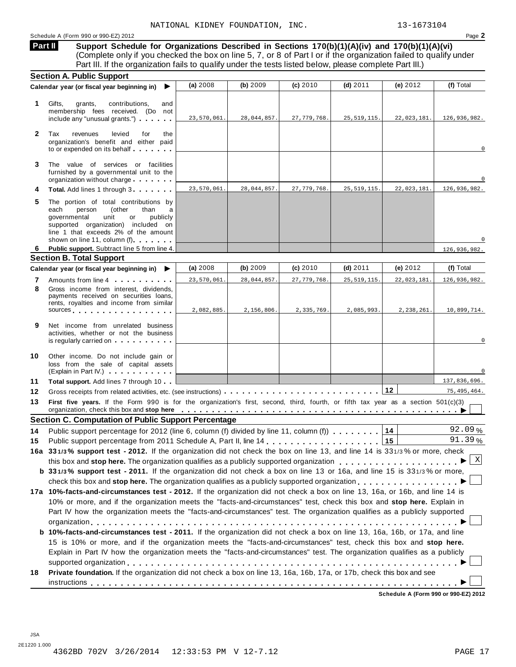#### Schedule A (Form 990 or 990-EZ) 2012 Page **2**

**Support Schedule for Organizations Described in Sections 170(b)(1)(A)(iv) and 170(b)(1)(A)(vi)** (Complete only if you checked the box on line 5, 7, or 8 of Part I or if the organization failed to qualify under Part III. If the organization fails to qualify under the tests listed below, please complete Part III.) **Part II**

|                | <b>Section A. Public Support</b>                                                                                                                                                                                                                                                                                                                                                     |             |             |               |               |             |               |
|----------------|--------------------------------------------------------------------------------------------------------------------------------------------------------------------------------------------------------------------------------------------------------------------------------------------------------------------------------------------------------------------------------------|-------------|-------------|---------------|---------------|-------------|---------------|
|                | Calendar year (or fiscal year beginning in)<br>▶                                                                                                                                                                                                                                                                                                                                     | (a) 2008    | (b) 2009    | (c) 2010      | $(d)$ 2011    | (e) $2012$  | (f) Total     |
| 1.             | Gifts,<br>grants,<br>contributions,<br>and<br>membership fees received. (Do not<br>include any "unusual grants.")                                                                                                                                                                                                                                                                    | 23,570,061. | 28,044,857. | 27, 779, 768. | 25, 519, 115. | 22,023,181. | 126,936,982.  |
| $\mathbf{2}$   | Tax<br>levied<br>revenues<br>for<br>the<br>organization's benefit and either paid<br>to or expended on its behalf                                                                                                                                                                                                                                                                    |             |             |               |               |             | $\mathbf 0$   |
| 3              | The value of services or facilities<br>furnished by a governmental unit to the<br>organization without charge                                                                                                                                                                                                                                                                        |             |             |               |               |             | $\Omega$      |
|                | Total. Add lines 1 through 3                                                                                                                                                                                                                                                                                                                                                         | 23,570,061. | 28,044,857. | 27, 779, 768. | 25, 519, 115. | 22,023,181. | 126,936,982.  |
| 5              | The portion of total contributions by<br>each<br>person<br>(other<br>than<br>governmental<br>unit<br>or<br>publicly<br>supported organization) included on<br>line 1 that exceeds 2% of the amount<br>shown on line 11, column (f)                                                                                                                                                   |             |             |               |               |             |               |
| 6              | Public support. Subtract line 5 from line 4.                                                                                                                                                                                                                                                                                                                                         |             |             |               |               |             | 126,936,982.  |
|                | <b>Section B. Total Support</b>                                                                                                                                                                                                                                                                                                                                                      |             |             |               |               |             |               |
|                | Calendar year (or fiscal year beginning in)<br>▶                                                                                                                                                                                                                                                                                                                                     | (a) 2008    | (b) 2009    | (c) 2010      | (d) $2011$    | (e) $2012$  | (f) Total     |
| 7              | Amounts from line 4                                                                                                                                                                                                                                                                                                                                                                  | 23,570,061. | 28,044,857. | 27, 779, 768. | 25, 519, 115. | 22,023,181  | 126,936,982.  |
| 8              | Gross income from interest, dividends,<br>payments received on securities loans,<br>rents, royalties and income from similar<br>sources and the set of the set of the set of the set of the set of the set of the set of the set of the set of                                                                                                                                       | 2,082,885.  | 2,156,806.  | 2,335,769.    | 2,085,993.    | 2,238,261.  | 10,899,714.   |
| 9              | Net income from unrelated business<br>activities, whether or not the business<br>is regularly carried on each property of the set of the set of the set of the set of the set of the set of the                                                                                                                                                                                      |             |             |               |               |             | $\mathbf 0$   |
| 10             | Other income. Do not include gain or<br>loss from the sale of capital assets<br>(Explain in Part IV.)                                                                                                                                                                                                                                                                                |             |             |               |               |             |               |
| 11             | <b>Total support.</b> Add lines 7 through 10                                                                                                                                                                                                                                                                                                                                         |             |             |               |               |             | 137,836,696.  |
| 12             | Gross receipts from related activities, etc. (see instructions)                                                                                                                                                                                                                                                                                                                      |             |             |               |               | 12          | 75, 495, 464. |
| 13             | First five years. If the Form 990 is for the organization's first, second, third, fourth, or fifth tax year as a section 501(c)(3)<br>organization, check this box and stop here entitled by the state of the state of the state of the state of the state of the state of the state of the state of the state of the state of the state of the state of the state o                 |             |             |               |               |             |               |
|                | <b>Section C. Computation of Public Support Percentage</b>                                                                                                                                                                                                                                                                                                                           |             |             |               |               |             |               |
|                | Public support percentage for 2012 (line 6, column (f) divided by line 11, column (f)                                                                                                                                                                                                                                                                                                |             |             |               |               | 14          | 92.09%        |
|                |                                                                                                                                                                                                                                                                                                                                                                                      |             |             |               |               |             |               |
|                |                                                                                                                                                                                                                                                                                                                                                                                      |             |             |               |               | 15          | 91.39%        |
|                | 16a 331/3% support test - 2012. If the organization did not check the box on line 13, and line 14 is 331/3% or more, check                                                                                                                                                                                                                                                           |             |             |               |               |             |               |
|                |                                                                                                                                                                                                                                                                                                                                                                                      |             |             |               |               |             |               |
|                | b 331/3% support test - 2011. If the organization did not check a box on line 13 or 16a, and line 15 is 331/3% or more,                                                                                                                                                                                                                                                              |             |             |               |               |             |               |
|                | check this box and stop here. The organization qualifies as a publicly supported organization                                                                                                                                                                                                                                                                                        |             |             |               |               |             |               |
|                | 17a 10%-facts-and-circumstances test - 2012. If the organization did not check a box on line 13, 16a, or 16b, and line 14 is<br>10% or more, and if the organization meets the "facts-and-circumstances" test, check this box and stop here. Explain in<br>Part IV how the organization meets the "facts-and-circumstances" test. The organization qualifies as a publicly supported |             |             |               |               |             |               |
|                | b 10%-facts-and-circumstances test - 2011. If the organization did not check a box on line 13, 16a, 16b, or 17a, and line<br>15 is 10% or more, and if the organization meets the "facts-and-circumstances" test, check this box and stop here.                                                                                                                                      |             |             |               |               |             |               |
| 14<br>15<br>18 | Explain in Part IV how the organization meets the "facts-and-circumstances" test. The organization qualifies as a publicly<br>Private foundation. If the organization did not check a box on line 13, 16a, 16b, 17a, or 17b, check this box and see                                                                                                                                  |             |             |               |               |             |               |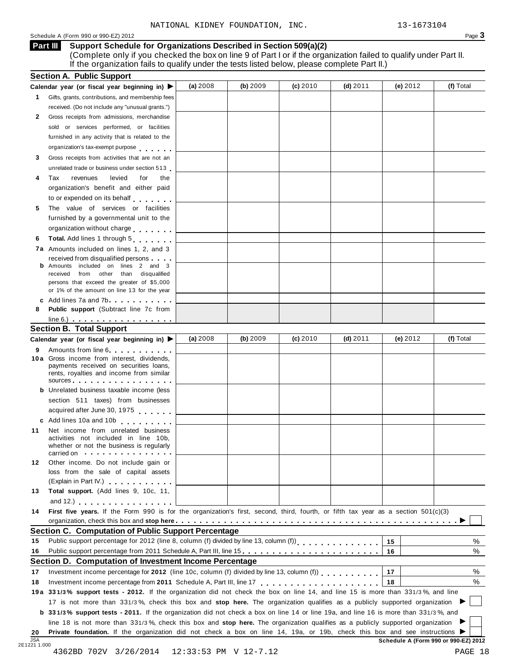#### Schedule <sup>A</sup> (Form <sup>990</sup> or 990-EZ) <sup>2012</sup> Page **3**

#### **Support Schedule for Organizations Described in Section 509(a)(2) Part III**

(Complete only if you checked the box on line 9 of Part I or if the organization failed to qualify under Part II. If the organization fails to qualify under the tests listed below, please complete Part II.)

|                      | Calendar year (or fiscal year beginning in) $\blacktriangleright$                                                                                                                                                              | (a) 2008 | (b) 2009 | (c) 2010 | $(d)$ 2011 | (e) $2012$ | (f) Total        |
|----------------------|--------------------------------------------------------------------------------------------------------------------------------------------------------------------------------------------------------------------------------|----------|----------|----------|------------|------------|------------------|
|                      | 1 Gifts, grants, contributions, and membership fees                                                                                                                                                                            |          |          |          |            |            |                  |
|                      | received. (Do not include any "unusual grants.")                                                                                                                                                                               |          |          |          |            |            |                  |
| 2                    | Gross receipts from admissions, merchandise                                                                                                                                                                                    |          |          |          |            |            |                  |
|                      | sold or services performed, or facilities                                                                                                                                                                                      |          |          |          |            |            |                  |
|                      | furnished in any activity that is related to the                                                                                                                                                                               |          |          |          |            |            |                  |
|                      | organization's tax-exempt purpose                                                                                                                                                                                              |          |          |          |            |            |                  |
| 3                    | Gross receipts from activities that are not an                                                                                                                                                                                 |          |          |          |            |            |                  |
|                      | unrelated trade or business under section 513                                                                                                                                                                                  |          |          |          |            |            |                  |
| 4                    | levied<br>Tax<br>revenues<br>for<br>the                                                                                                                                                                                        |          |          |          |            |            |                  |
|                      | organization's benefit and either paid                                                                                                                                                                                         |          |          |          |            |            |                  |
|                      | to or expended on its behalf                                                                                                                                                                                                   |          |          |          |            |            |                  |
| 5                    | The value of services or facilities                                                                                                                                                                                            |          |          |          |            |            |                  |
|                      | furnished by a governmental unit to the                                                                                                                                                                                        |          |          |          |            |            |                  |
|                      | organization without charge                                                                                                                                                                                                    |          |          |          |            |            |                  |
| 6                    | Total. Add lines 1 through 5                                                                                                                                                                                                   |          |          |          |            |            |                  |
|                      | 7a Amounts included on lines 1, 2, and 3                                                                                                                                                                                       |          |          |          |            |            |                  |
|                      | received from disqualified persons                                                                                                                                                                                             |          |          |          |            |            |                  |
|                      | Amounts included on lines 2 and 3<br>received from other than disqualified                                                                                                                                                     |          |          |          |            |            |                  |
|                      | persons that exceed the greater of \$5,000                                                                                                                                                                                     |          |          |          |            |            |                  |
|                      | or 1% of the amount on line 13 for the year                                                                                                                                                                                    |          |          |          |            |            |                  |
|                      | c Add lines $7a$ and $7b$                                                                                                                                                                                                      |          |          |          |            |            |                  |
| 8                    | <b>Public support</b> (Subtract line 7c from                                                                                                                                                                                   |          |          |          |            |            |                  |
|                      | $line 6.)$ $\ldots$ $\ldots$ $\ldots$ $\ldots$ $\ldots$ $\ldots$                                                                                                                                                               |          |          |          |            |            |                  |
|                      | <b>Section B. Total Support</b>                                                                                                                                                                                                |          |          |          |            |            |                  |
|                      | Calendar year (or fiscal year beginning in)                                                                                                                                                                                    | (a) 2008 | (b) 2009 | (c) 2010 | (d) $2011$ | (e) $2012$ | (f) Total        |
| 9                    | Amounts from line 6                                                                                                                                                                                                            |          |          |          |            |            |                  |
|                      | 10 a Gross income from interest, dividends,<br>payments received on securities loans,                                                                                                                                          |          |          |          |            |            |                  |
|                      | rents, royalties and income from similar                                                                                                                                                                                       |          |          |          |            |            |                  |
|                      | sources and the set of the set of the set of the set of the set of the set of the set of the set of the set of the set of the set of the set of the set of the set of the set of the set of the set of the set of the set of t |          |          |          |            |            |                  |
|                      | <b>b</b> Unrelated business taxable income (less                                                                                                                                                                               |          |          |          |            |            |                  |
|                      | section 511 taxes) from businesses                                                                                                                                                                                             |          |          |          |            |            |                  |
|                      | acquired after June 30, 1975                                                                                                                                                                                                   |          |          |          |            |            |                  |
|                      | c Add lines 10a and 10b                                                                                                                                                                                                        |          |          |          |            |            |                  |
| 11                   | Net income from unrelated business                                                                                                                                                                                             |          |          |          |            |            |                  |
|                      | activities not included in line 10b,<br>whether or not the business is regularly                                                                                                                                               |          |          |          |            |            |                  |
|                      | carried on the carried on the contract of the care of the contract of the contract of the contract of the contract of                                                                                                          |          |          |          |            |            |                  |
|                      |                                                                                                                                                                                                                                |          |          |          |            |            |                  |
| 12                   | Other income. Do not include gain or                                                                                                                                                                                           |          |          |          |            |            |                  |
|                      | loss from the sale of capital assets                                                                                                                                                                                           |          |          |          |            |            |                  |
|                      | (Explain in Part IV.) <b>CONTAINS</b>                                                                                                                                                                                          |          |          |          |            |            |                  |
| 13                   | Total support. (Add lines 9, 10c, 11,                                                                                                                                                                                          |          |          |          |            |            |                  |
|                      | and 12.) $\cdots$ $\cdots$ $\cdots$ $\cdots$                                                                                                                                                                                   |          |          |          |            |            |                  |
| 14                   | First five years. If the Form 990 is for the organization's first, second, third, fourth, or fifth tax year as a section 501(c)(3)                                                                                             |          |          |          |            |            |                  |
|                      |                                                                                                                                                                                                                                |          |          |          |            |            |                  |
|                      | <b>Section C. Computation of Public Support Percentage</b>                                                                                                                                                                     |          |          |          |            |            |                  |
|                      | Public support percentage for 2012 (line 8, column (f) divided by line 13, column (f)) [ [ [ ] ] [ ] [ ] [ ] [                                                                                                                 |          |          |          |            | 15         |                  |
|                      | Public support percentage from 2011 Schedule A, Part III, line 15.                                                                                                                                                             |          |          |          |            | 16         |                  |
|                      | Section D. Computation of Investment Income Percentage                                                                                                                                                                         |          |          |          |            |            |                  |
|                      | Investment income percentage for 2012 (line 10c, column (f) divided by line 13, column (f))                                                                                                                                    |          |          |          |            | 17         |                  |
|                      |                                                                                                                                                                                                                                |          |          |          |            | 18         |                  |
| 15<br>16<br>17<br>18 | 19a 331/3% support tests - 2012. If the organization did not check the box on line 14, and line 15 is more than 331/3%, and line                                                                                               |          |          |          |            |            |                  |
|                      | 17 is not more than 331/3%, check this box and stop here. The organization qualifies as a publicly supported organization                                                                                                      |          |          |          |            |            |                  |
|                      | <b>b</b> 331/3% support tests - 2011. If the organization did not check a box on line 14 or line 19a, and line 16 is more than 331/3%, and                                                                                     |          |          |          |            |            |                  |
|                      | line 18 is not more than 331/3%, check this box and stop here. The organization qualifies as a publicly supported organization                                                                                                 |          |          |          |            |            | %<br>%<br>%<br>% |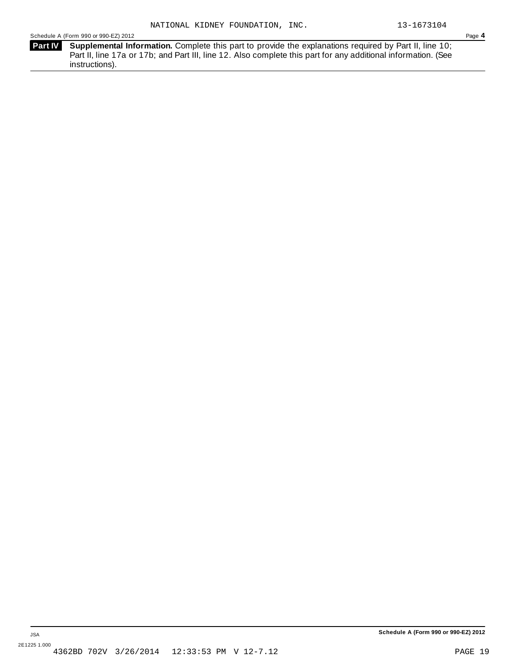Schedule A (Form 990 or 990-EZ) 2012 Page **4**

**Supplemental Information.** Complete this part to provide the explanations required by Part II, line 10; **Part IV** Part II, line 17a or 17b; and Part III, line 12. Also complete this part for any additional information. (See instructions).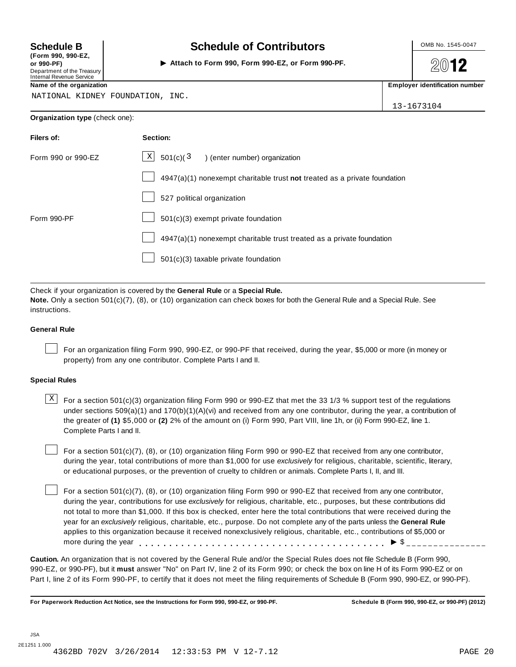**(Form 990, 990-EZ, or 990-PF)** I Department of the Treasury Internal Revenue Service

## **Schedule B**  $\begin{array}{c|c|c|c|c} \hline \textbf{S} & \textbf{S} & \textbf{S} \\ \hline \end{array}$  **Schedule of Contributors**  $\begin{array}{c|c|c|c} \hline \textbf{S} & \textbf{S} & \textbf{S} & \textbf{S} & \textbf{S} & \textbf{S} & \textbf{S} & \textbf{S} & \textbf{S} & \textbf{S} & \textbf{S} & \textbf{S} & \textbf{S} & \textbf{S} & \textbf{S} & \textbf{S} & \textbf$

**Attach to Form 990, Form 990-EZ, or Form 990-PF.**

**2012** 

**Name of the organization interval <b>Employer identification interval <b>Employer identification interval Employer identification interval employer identification interval** 

NATIONAL KIDNEY FOUNDATION, INC.

13-1673104

| Organization type (check one): |  |  |  |  |
|--------------------------------|--|--|--|--|
|--------------------------------|--|--|--|--|

| Filers of:         | Section:                                                                    |
|--------------------|-----------------------------------------------------------------------------|
| Form 990 or 990-EZ | $X$ 501(c)(3) (enter number) organization                                   |
|                    | $4947(a)(1)$ nonexempt charitable trust not treated as a private foundation |
|                    | 527 political organization                                                  |
| Form 990-PF        | $501(c)(3)$ exempt private foundation                                       |
|                    | 4947(a)(1) nonexempt charitable trust treated as a private foundation       |
|                    | 501(c)(3) taxable private foundation                                        |

Check if your organization is covered by the **General Rule** or a **Special Rule. Note.** Only a section 501(c)(7), (8), or (10) organization can check boxes for both the General Rule and a Special Rule. See instructions.

#### **General Rule**

For an organization filing Form 990, 990-EZ, or 990-PF that received, during the year, \$5,000 or more (in money or property) from any one contributor. Complete Parts I and II.

#### **Special Rules**

 $\text{X}$  For a section 501(c)(3) organization filing Form 990 or 990-EZ that met the 33 1/3 % support test of the regulations under sections 509(a)(1) and 170(b)(1)(A)(vi) and received from any one contributor, during the year, a contribution of the greater of **(1)** \$5,000 or **(2)** 2% of the amount on (i) Form 990, Part VIII, line 1h, or (ii) Form 990-EZ, line 1. Complete Parts I and II.

For a section 501(c)(7), (8), or (10) organization filing Form 990 or 990-EZ that received from any one contributor, during the year, total contributions of more than \$1,000 for use *exclusively* for religious, charitable, scientific, literary, or educational purposes, or the prevention of cruelty to children or animals. Complete Parts I, II, and III.

For a section 501(c)(7), (8), or (10) organization filing Form 990 or 990-EZ that received from any one contributor, during the year, contributions for use *exclusively* for religious, charitable, etc., purposes, but these contributions did not total to more than \$1,000. If this box is checked, enter here the total contributions that were received during the year for an *exclusively* religious, charitable, etc., purpose. Do not complete any of the parts unless the **General Rule** applies to this organization because it received nonexclusively religious, charitable, etc., contributions of \$5,000 or applies to this organization because it received nonexclusively religious, charitable, etc., contributions of  $\phi$ <br>more during the year<br> $\phi$ 

**Caution.** An organization that is not covered by the General Rule and/or the Special Rules does not file Schedule B (Form 990, 990-EZ, or 990-PF), but it **must** answer "No" on Part IV, line 2 of its Form 990; or check the box on line H of its Form 990-EZ or on Part I, line 2 of its Form 990-PF, to certify that it does not meet the filing requirements of Schedule B (Form 990, 990-EZ, or 990-PF).

For Paperwork Reduction Act Notice, see the Instructions for Form 990, 990-EZ, or 990-PF. Schedule B (Form 990, 990-EZ, or 990-PF) (2012)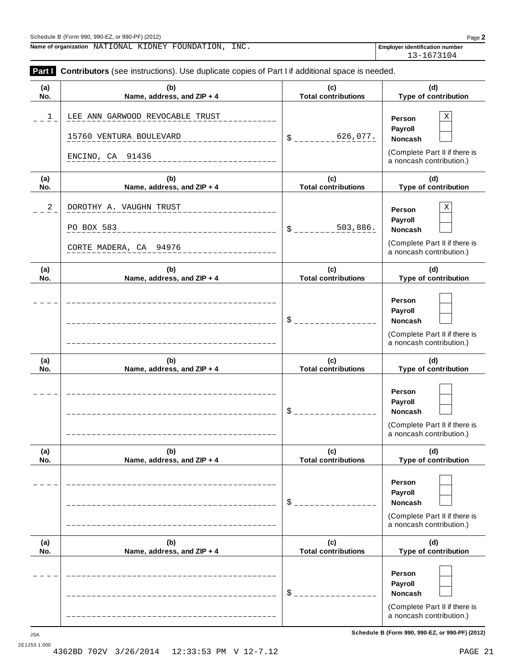**Name of organization** NATIONAL KIDNEY FOUNDATION, INC.

13-1673104

| (a)         | (b)                               | (c)                               | (d)                                                       |
|-------------|-----------------------------------|-----------------------------------|-----------------------------------------------------------|
| No.         | Name, address, and ZIP + 4        | <b>Total contributions</b>        | Type of contribution                                      |
| $\mathbf 1$ | LEE ANN GARWOOD REVOCABLE TRUST   |                                   | $\mathbf X$<br>Person                                     |
|             |                                   |                                   | Payroll                                                   |
|             | 15760 VENTURA BOULEVARD           | 626,077.<br>S.                    | Noncash                                                   |
|             | ENCINO, CA 91436                  |                                   | (Complete Part II if there is                             |
|             |                                   |                                   | a noncash contribution.)                                  |
| (a)<br>No.  | (b)<br>Name, address, and ZIP + 4 | (c)<br><b>Total contributions</b> | (d)<br>Type of contribution                               |
|             |                                   |                                   |                                                           |
| 2           | DOROTHY A. VAUGHN TRUST           |                                   | $\mathbf X$<br>Person                                     |
|             | PO BOX 583                        | 503,886.<br>\$.                   | Payroll<br>Noncash                                        |
|             |                                   |                                   | (Complete Part II if there is                             |
|             | CORTE MADERA, CA 94976            |                                   | a noncash contribution.)                                  |
| (a)         | (b)                               | (c)                               | (d)                                                       |
| No.         | Name, address, and ZIP + 4        | <b>Total contributions</b>        | Type of contribution                                      |
|             |                                   |                                   | Person                                                    |
|             |                                   |                                   | Payroll                                                   |
|             |                                   | $\mathsf{S}_-$                    | Noncash                                                   |
|             |                                   |                                   | (Complete Part II if there is<br>a noncash contribution.) |
| (a)<br>No.  | (b)<br>Name, address, and ZIP + 4 | (c)<br><b>Total contributions</b> | (d)<br>Type of contribution                               |
|             |                                   |                                   |                                                           |
|             |                                   |                                   | Person                                                    |
|             |                                   | \$                                | Payroll<br>Noncash                                        |
|             |                                   |                                   | (Complete Part II if there is                             |
|             |                                   |                                   | a noncash contribution.)                                  |
| (a)         | (b)                               | (c)                               | (d)                                                       |
| No.         | Name, address, and ZIP + 4        | <b>Total contributions</b>        | Type of contribution                                      |
|             |                                   |                                   | Person                                                    |
|             |                                   |                                   | Payroll                                                   |
|             |                                   | \$                                | <b>Noncash</b>                                            |
|             |                                   |                                   | (Complete Part II if there is                             |
|             |                                   |                                   | a noncash contribution.)                                  |
| (a)<br>No.  | (b)<br>Name, address, and ZIP + 4 | (c)<br><b>Total contributions</b> | (d)<br>Type of contribution                               |
|             |                                   |                                   |                                                           |
|             |                                   |                                   | Person                                                    |
|             |                                   | \$                                | Payroll                                                   |
|             |                                   |                                   | <b>Noncash</b>                                            |
|             |                                   |                                   | (Complete Part II if there is                             |

**Schedule B (Form 990, 990-EZ, or 990-PF) (2012)** JSA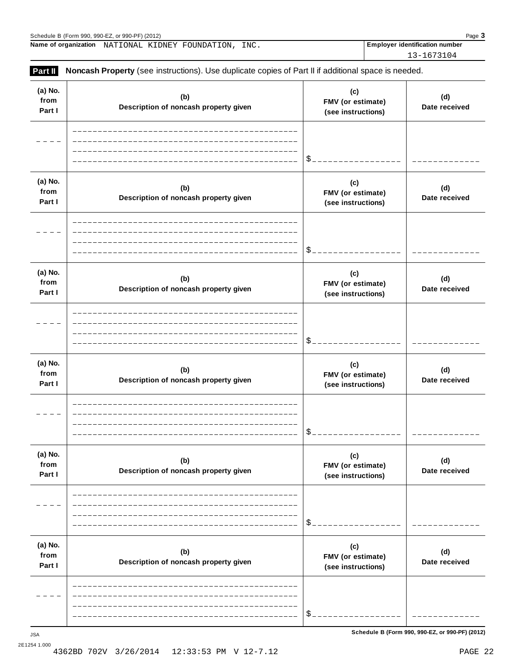|                           | Schedule B (Form 990, 990-EZ, or 990-PF) (2012)                                                     |                                                | Page 3                                |
|---------------------------|-----------------------------------------------------------------------------------------------------|------------------------------------------------|---------------------------------------|
|                           | Name of organization NATIONAL KIDNEY FOUNDATION, INC.                                               |                                                | <b>Employer identification number</b> |
|                           |                                                                                                     |                                                | 13-1673104                            |
| Part II                   | Noncash Property (see instructions). Use duplicate copies of Part II if additional space is needed. |                                                |                                       |
| (a) No.<br>from<br>Part I | (b)<br>Description of noncash property given                                                        | (c)<br>FMV (or estimate)<br>(see instructions) | (d)<br>Date received                  |
|                           |                                                                                                     |                                                |                                       |
| (a) No.<br>from<br>Part I | (b)<br>Description of noncash property given                                                        | (c)<br>FMV (or estimate)<br>(see instructions) | (d)<br>Date received                  |
|                           |                                                                                                     |                                                |                                       |
| (a) No.<br>from<br>Part I | (b)<br>Description of noncash property given                                                        | (c)<br>FMV (or estimate)<br>(see instructions) | (d)<br>Date received                  |
|                           |                                                                                                     |                                                |                                       |
| (a) No.<br>from<br>Part I | (b)<br>Description of noncash property given                                                        | (c)<br>FMV (or estimate)<br>(see instructions) | (d)<br>Date received                  |
|                           |                                                                                                     |                                                |                                       |
| (a) No.<br>from<br>Part I | (b)<br>Description of noncash property given                                                        | (c)<br>FMV (or estimate)<br>(see instructions) | (d)<br>Date received                  |
|                           |                                                                                                     |                                                |                                       |
| (a) No.<br>from<br>Part I | (b)<br>Description of noncash property given                                                        | (c)<br>FMV (or estimate)<br>(see instructions) | (d)<br>Date received                  |
|                           |                                                                                                     |                                                |                                       |

**Schedule B (Form 990, 990-EZ, or 990-PF) (2012)** JSA

\$

12:33:53 PM V 12-7.12 PAGE 22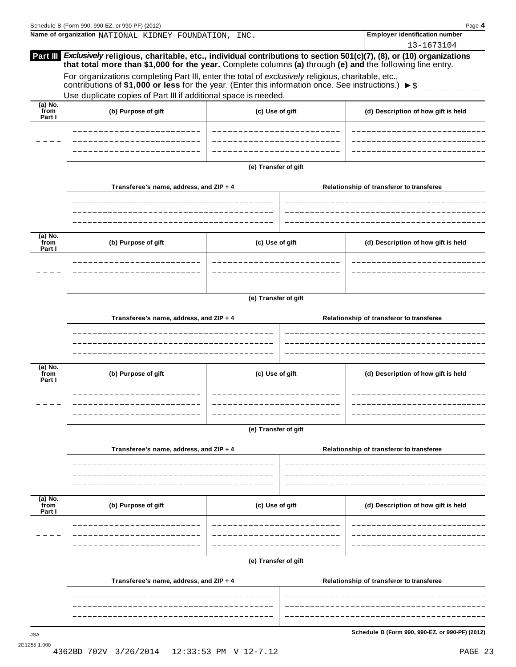|                             | Schedule B (Form 990, 990-EZ, or 990-PF) (2012)                                                                                                                                        |                      | Page 4<br><b>Employer identification number</b>                                                                                                                                                                                          |  |  |  |
|-----------------------------|----------------------------------------------------------------------------------------------------------------------------------------------------------------------------------------|----------------------|------------------------------------------------------------------------------------------------------------------------------------------------------------------------------------------------------------------------------------------|--|--|--|
|                             | Name of organization NATIONAL KIDNEY FOUNDATION, INC.                                                                                                                                  |                      | 13-1673104                                                                                                                                                                                                                               |  |  |  |
|                             | For organizations completing Part III, enter the total of exclusively religious, charitable, etc.,                                                                                     |                      | Part III Exclusively religious, charitable, etc., individual contributions to section 501(c)(7), (8), or (10) organizations<br>that total more than \$1,000 for the year. Complete columns (a) through (e) and the following line entry. |  |  |  |
|                             | contributions of \$1,000 or less for the year. (Enter this information once. See instructions.) $\triangleright$ \$<br>Use duplicate copies of Part III if additional space is needed. |                      |                                                                                                                                                                                                                                          |  |  |  |
| $(a)$ No.<br>from           |                                                                                                                                                                                        |                      |                                                                                                                                                                                                                                          |  |  |  |
| Part I                      | (b) Purpose of gift                                                                                                                                                                    | (c) Use of gift      | (d) Description of how gift is held                                                                                                                                                                                                      |  |  |  |
|                             |                                                                                                                                                                                        |                      |                                                                                                                                                                                                                                          |  |  |  |
|                             |                                                                                                                                                                                        |                      |                                                                                                                                                                                                                                          |  |  |  |
|                             |                                                                                                                                                                                        | (e) Transfer of gift |                                                                                                                                                                                                                                          |  |  |  |
|                             | Transferee's name, address, and ZIP + 4                                                                                                                                                |                      | Relationship of transferor to transferee                                                                                                                                                                                                 |  |  |  |
|                             |                                                                                                                                                                                        |                      |                                                                                                                                                                                                                                          |  |  |  |
|                             |                                                                                                                                                                                        |                      |                                                                                                                                                                                                                                          |  |  |  |
| $(a)$ No.<br>from<br>Part I | (b) Purpose of gift                                                                                                                                                                    | (c) Use of gift      | (d) Description of how gift is held                                                                                                                                                                                                      |  |  |  |
|                             |                                                                                                                                                                                        |                      |                                                                                                                                                                                                                                          |  |  |  |
|                             |                                                                                                                                                                                        |                      |                                                                                                                                                                                                                                          |  |  |  |
|                             |                                                                                                                                                                                        | (e) Transfer of gift |                                                                                                                                                                                                                                          |  |  |  |
|                             | Transferee's name, address, and ZIP + 4                                                                                                                                                |                      | Relationship of transferor to transferee                                                                                                                                                                                                 |  |  |  |
|                             |                                                                                                                                                                                        |                      |                                                                                                                                                                                                                                          |  |  |  |
|                             |                                                                                                                                                                                        |                      |                                                                                                                                                                                                                                          |  |  |  |
| $(a)$ No.<br>from<br>Part I | (b) Purpose of gift                                                                                                                                                                    | (c) Use of gift      | (d) Description of how gift is held                                                                                                                                                                                                      |  |  |  |
|                             |                                                                                                                                                                                        |                      |                                                                                                                                                                                                                                          |  |  |  |
|                             |                                                                                                                                                                                        |                      |                                                                                                                                                                                                                                          |  |  |  |
|                             |                                                                                                                                                                                        | (e) Transfer of gift |                                                                                                                                                                                                                                          |  |  |  |
|                             | Transferee's name, address, and ZIP + 4                                                                                                                                                |                      | Relationship of transferor to transferee                                                                                                                                                                                                 |  |  |  |
|                             |                                                                                                                                                                                        |                      |                                                                                                                                                                                                                                          |  |  |  |
|                             |                                                                                                                                                                                        |                      |                                                                                                                                                                                                                                          |  |  |  |
| (a) No.<br>from<br>Part I   | (b) Purpose of gift                                                                                                                                                                    | (c) Use of gift      | (d) Description of how gift is held                                                                                                                                                                                                      |  |  |  |
|                             |                                                                                                                                                                                        |                      |                                                                                                                                                                                                                                          |  |  |  |
|                             |                                                                                                                                                                                        |                      |                                                                                                                                                                                                                                          |  |  |  |
|                             | (e) Transfer of gift                                                                                                                                                                   |                      |                                                                                                                                                                                                                                          |  |  |  |
|                             | Transferee's name, address, and ZIP + 4                                                                                                                                                |                      | Relationship of transferor to transferee                                                                                                                                                                                                 |  |  |  |
|                             |                                                                                                                                                                                        |                      |                                                                                                                                                                                                                                          |  |  |  |
|                             |                                                                                                                                                                                        |                      |                                                                                                                                                                                                                                          |  |  |  |
|                             |                                                                                                                                                                                        |                      |                                                                                                                                                                                                                                          |  |  |  |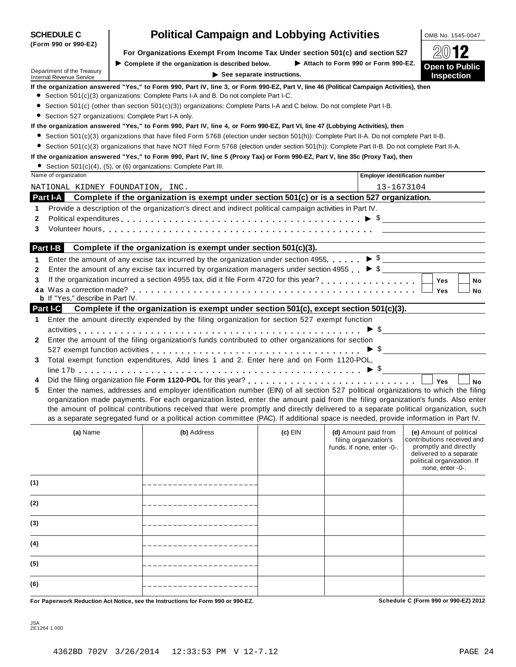|              |                                                                                                                                                                                                                                                                     | For Organizations Exempt From income Tax Under Section 301(6) and Section 327                                                                                                  |         |                                                     | AU IL                                               |  |  |  |  |
|--------------|---------------------------------------------------------------------------------------------------------------------------------------------------------------------------------------------------------------------------------------------------------------------|--------------------------------------------------------------------------------------------------------------------------------------------------------------------------------|---------|-----------------------------------------------------|-----------------------------------------------------|--|--|--|--|
|              | Attach to Form 990 or Form 990-EZ.<br>$\blacktriangleright$ Complete if the organization is described below.<br><b>Open to Public</b><br>Department of the Treasury<br>$\triangleright$ See separate instructions.<br><b>Inspection</b><br>Internal Revenue Service |                                                                                                                                                                                |         |                                                     |                                                     |  |  |  |  |
|              | If the organization answered "Yes," to Form 990, Part IV, line 3, or Form 990-EZ, Part V, line 46 (Political Campaign Activities), then                                                                                                                             |                                                                                                                                                                                |         |                                                     |                                                     |  |  |  |  |
|              |                                                                                                                                                                                                                                                                     | • Section 501(c)(3) organizations: Complete Parts I-A and B. Do not complete Part I-C.                                                                                         |         |                                                     |                                                     |  |  |  |  |
|              | Section 501(c) (other than section 501(c)(3)) organizations: Complete Parts I-A and C below. Do not complete Part I-B.                                                                                                                                              |                                                                                                                                                                                |         |                                                     |                                                     |  |  |  |  |
|              | Section 527 organizations: Complete Part I-A only.                                                                                                                                                                                                                  |                                                                                                                                                                                |         |                                                     |                                                     |  |  |  |  |
|              |                                                                                                                                                                                                                                                                     | If the organization answered "Yes," to Form 990, Part IV, line 4, or Form 990-EZ, Part VI, line 47 (Lobbying Activities), then                                                 |         |                                                     |                                                     |  |  |  |  |
|              |                                                                                                                                                                                                                                                                     | ● Section 501(c)(3) organizations that have filed Form 5768 (election under section 501(h)): Complete Part II-A. Do not complete Part II-B.                                    |         |                                                     |                                                     |  |  |  |  |
|              |                                                                                                                                                                                                                                                                     | • Section 501(c)(3) organizations that have NOT filed Form 5768 (election under section 501(h)): Complete Part II-B. Do not complete Part II-A.                                |         |                                                     |                                                     |  |  |  |  |
|              |                                                                                                                                                                                                                                                                     | If the organization answered "Yes," to Form 990, Part IV, line 5 (Proxy Tax) or Form 990-EZ, Part V, line 35c (Proxy Tax), then                                                |         |                                                     |                                                     |  |  |  |  |
|              | • Section 501(c)(4), (5), or (6) organizations: Complete Part III.<br>Name of organization                                                                                                                                                                          |                                                                                                                                                                                |         |                                                     | <b>Employer identification number</b>               |  |  |  |  |
|              | NATIONAL KIDNEY FOUNDATION, INC.                                                                                                                                                                                                                                    |                                                                                                                                                                                |         | 13-1673104                                          |                                                     |  |  |  |  |
|              | <b>Part I-A</b>                                                                                                                                                                                                                                                     | Complete if the organization is exempt under section 501(c) or is a section 527 organization.                                                                                  |         |                                                     |                                                     |  |  |  |  |
| 1            |                                                                                                                                                                                                                                                                     | Provide a description of the organization's direct and indirect political campaign activities in Part IV.                                                                      |         |                                                     |                                                     |  |  |  |  |
| 2            |                                                                                                                                                                                                                                                                     |                                                                                                                                                                                |         |                                                     |                                                     |  |  |  |  |
| 3            |                                                                                                                                                                                                                                                                     |                                                                                                                                                                                |         |                                                     |                                                     |  |  |  |  |
|              |                                                                                                                                                                                                                                                                     |                                                                                                                                                                                |         |                                                     |                                                     |  |  |  |  |
|              | Part I-B                                                                                                                                                                                                                                                            | Complete if the organization is exempt under section 501(c)(3).                                                                                                                |         |                                                     |                                                     |  |  |  |  |
| 1            |                                                                                                                                                                                                                                                                     | Enter the amount of any excise tax incurred by the organization under section 4955. $\triangleright$ \$                                                                        |         |                                                     |                                                     |  |  |  |  |
| $\mathbf{2}$ |                                                                                                                                                                                                                                                                     | Enter the amount of any excise tax incurred by organization managers under section 4955 $\bullet$ \$                                                                           |         |                                                     |                                                     |  |  |  |  |
| 3            |                                                                                                                                                                                                                                                                     | If the organization incurred a section 4955 tax, did it file Form 4720 for this year?<br>If the organization incurred a section 4955 tax, did it file Form 4720 for this year? |         |                                                     | Yes<br>No                                           |  |  |  |  |
|              |                                                                                                                                                                                                                                                                     |                                                                                                                                                                                |         |                                                     | Yes<br>No                                           |  |  |  |  |
|              | <b>b</b> If "Yes," describe in Part IV.                                                                                                                                                                                                                             |                                                                                                                                                                                |         |                                                     |                                                     |  |  |  |  |
|              | <b>Part I-C</b>                                                                                                                                                                                                                                                     | Complete if the organization is exempt under section 501(c), except section 501(c)(3).                                                                                         |         |                                                     |                                                     |  |  |  |  |
| 1.           |                                                                                                                                                                                                                                                                     | Enter the amount directly expended by the filing organization for section 527 exempt function                                                                                  |         |                                                     |                                                     |  |  |  |  |
|              |                                                                                                                                                                                                                                                                     | Enter the amount of the filing organization's funds contributed to other organizations for section                                                                             |         |                                                     | $\triangleright$ \$                                 |  |  |  |  |
| 2            |                                                                                                                                                                                                                                                                     |                                                                                                                                                                                |         |                                                     |                                                     |  |  |  |  |
| 3            |                                                                                                                                                                                                                                                                     | Total exempt function expenditures. Add lines 1 and 2. Enter here and on Form 1120-POL,                                                                                        |         |                                                     | $\triangleright$ \$                                 |  |  |  |  |
|              |                                                                                                                                                                                                                                                                     |                                                                                                                                                                                |         |                                                     |                                                     |  |  |  |  |
| 4            |                                                                                                                                                                                                                                                                     |                                                                                                                                                                                |         |                                                     | Yes<br><b>No</b>                                    |  |  |  |  |
| 5            |                                                                                                                                                                                                                                                                     | Enter the names, addresses and employer identification number (EIN) of all section 527 political organizations to which the filing                                             |         |                                                     |                                                     |  |  |  |  |
|              |                                                                                                                                                                                                                                                                     | organization made payments. For each organization listed, enter the amount paid from the filing organization's funds. Also enter                                               |         |                                                     |                                                     |  |  |  |  |
|              |                                                                                                                                                                                                                                                                     | the amount of political contributions received that were promptly and directly delivered to a separate political organization, such                                            |         |                                                     |                                                     |  |  |  |  |
|              |                                                                                                                                                                                                                                                                     | as a separate segregated fund or a political action committee (PAC). If additional space is needed, provide information in Part IV.                                            |         |                                                     |                                                     |  |  |  |  |
|              | (a) Name                                                                                                                                                                                                                                                            | (b) Address                                                                                                                                                                    | (c) EIN |                                                     | (d) Amount paid from   (e) Amount of political      |  |  |  |  |
|              |                                                                                                                                                                                                                                                                     |                                                                                                                                                                                |         | filing organization's<br>funds. If none, enter -0-. | contributions received and<br>promptly and directly |  |  |  |  |
|              |                                                                                                                                                                                                                                                                     |                                                                                                                                                                                |         |                                                     | delivered to a separate                             |  |  |  |  |
|              |                                                                                                                                                                                                                                                                     |                                                                                                                                                                                |         |                                                     | political organization. If<br>none, enter -0-.      |  |  |  |  |
|              |                                                                                                                                                                                                                                                                     |                                                                                                                                                                                |         |                                                     |                                                     |  |  |  |  |
| (1)          |                                                                                                                                                                                                                                                                     |                                                                                                                                                                                |         |                                                     |                                                     |  |  |  |  |
|              |                                                                                                                                                                                                                                                                     |                                                                                                                                                                                |         |                                                     |                                                     |  |  |  |  |
| (2)          |                                                                                                                                                                                                                                                                     |                                                                                                                                                                                |         |                                                     |                                                     |  |  |  |  |
| (3)          |                                                                                                                                                                                                                                                                     |                                                                                                                                                                                |         |                                                     |                                                     |  |  |  |  |
|              |                                                                                                                                                                                                                                                                     |                                                                                                                                                                                |         |                                                     |                                                     |  |  |  |  |
| (4)          |                                                                                                                                                                                                                                                                     |                                                                                                                                                                                |         |                                                     |                                                     |  |  |  |  |
|              |                                                                                                                                                                                                                                                                     |                                                                                                                                                                                |         |                                                     |                                                     |  |  |  |  |
| (5)          |                                                                                                                                                                                                                                                                     |                                                                                                                                                                                |         |                                                     |                                                     |  |  |  |  |
|              |                                                                                                                                                                                                                                                                     |                                                                                                                                                                                |         |                                                     |                                                     |  |  |  |  |
| (6)          |                                                                                                                                                                                                                                                                     |                                                                                                                                                                                |         |                                                     |                                                     |  |  |  |  |
|              |                                                                                                                                                                                                                                                                     | For Paperwork Reduction Act Notice, see the Instructions for Form 990 or 990-EZ.                                                                                               |         |                                                     | Schedule C (Form 990 or 990-EZ) 2012                |  |  |  |  |
|              |                                                                                                                                                                                                                                                                     |                                                                                                                                                                                |         |                                                     |                                                     |  |  |  |  |

JSA 2E1264 1.000

# **SCHEDULE C Political Campaign and Lobbying Activities DOMB No. 1545-0047**

**For Organizations Exempt From Income Tax Under section 501(c)** and section 527  $\Box$ 

|  | (Form 990 or 990-EZ) |
|--|----------------------|
|  |                      |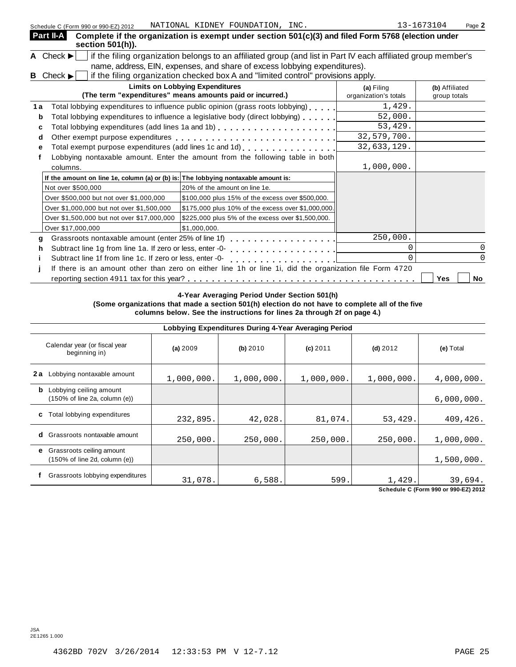| Schedule C (Form 990 or 990-EZ) 2012                           | NATIONAL KIDNEY FOUNDATION, INC.                                                                              |                                     | 13-1673104<br>Page 2           |
|----------------------------------------------------------------|---------------------------------------------------------------------------------------------------------------|-------------------------------------|--------------------------------|
| Part II-A<br>section 501(h)).                                  | Complete if the organization is exempt under section 501(c)(3) and filed Form 5768 (election under            |                                     |                                |
| A Check $\blacktriangleright$                                  | if the filing organization belongs to an affiliated group (and list in Part IV each affiliated group member's |                                     |                                |
|                                                                | name, address, EIN, expenses, and share of excess lobbying expenditures).                                     |                                     |                                |
| Check $\blacktriangleright$<br>B                               | if the filing organization checked box A and "limited control" provisions apply.                              |                                     |                                |
|                                                                | <b>Limits on Lobbying Expenditures</b><br>(The term "expenditures" means amounts paid or incurred.)           | (a) Filing<br>organization's totals | (b) Affiliated<br>group totals |
| 1 a                                                            | Total lobbying expenditures to influence public opinion (grass roots lobbying)                                | 1,429.                              |                                |
| b                                                              | Total lobbying expenditures to influence a legislative body (direct lobbying)                                 | 52,000.                             |                                |
| с                                                              |                                                                                                               | 53,429.                             |                                |
| d                                                              |                                                                                                               | 32,579,700.                         |                                |
|                                                                | Total exempt purpose expenditures (add lines 1c and 1d) [1] [1]                                               | 32,633,129.                         |                                |
|                                                                | Lobbying nontaxable amount. Enter the amount from the following table in both                                 |                                     |                                |
| columns.                                                       |                                                                                                               | 1,000,000.                          |                                |
|                                                                | If the amount on line 1e, column (a) or (b) is: The lobbying nontaxable amount is:                            |                                     |                                |
| Not over \$500,000                                             | 20% of the amount on line 1e.                                                                                 |                                     |                                |
| Over \$500,000 but not over \$1,000,000                        | \$100,000 plus 15% of the excess over \$500,000.                                                              |                                     |                                |
| Over \$1,000,000 but not over \$1,500,000                      | \$175,000 plus 10% of the excess over \$1,000,000.                                                            |                                     |                                |
| Over \$1,500,000 but not over \$17,000,000                     | \$225,000 plus 5% of the excess over \$1,500,000.                                                             |                                     |                                |
| Over \$17,000,000                                              | \$1,000,000.                                                                                                  |                                     |                                |
| Grassroots nontaxable amount (enter 25% of line 1f)<br>a       | . . <b>.</b> .                                                                                                | 250,000.                            |                                |
| Subtract line 1g from line 1a. If zero or less, enter -0-<br>h | .                                                                                                             |                                     |                                |
| Subtract line 1f from line 1c. If zero or less, enter -0-      |                                                                                                               |                                     |                                |
|                                                                | If there is an amount other than zero on either line 1h or line 1i, did the organization file Form 4720       |                                     |                                |
|                                                                |                                                                                                               |                                     | Yes<br>No                      |

**4-Year Averaging Period Under Section 501(h) (Some organizations that made a section 501(h) election do not have to complete all of the five columns below. See the instructions for lines 2a through 2f on page 4.)**

|     | Lobbying Expenditures During 4-Year Averaging Period                                   |            |            |            |            |            |  |  |  |
|-----|----------------------------------------------------------------------------------------|------------|------------|------------|------------|------------|--|--|--|
|     | Calendar year (or fiscal year<br>beginning in)                                         | (a) 2009   | (b) 2010   | $(c)$ 2011 | $(d)$ 2012 | (e) Total  |  |  |  |
| 2 a | Lobbying nontaxable amount                                                             | 1,000,000. | 1,000,000. | 1,000,000. | 1,000,000. | 4,000,000. |  |  |  |
|     | <b>b</b> Lobbying ceiling amount<br>$(150\% \text{ of line } 2a, \text{ column } (e))$ |            |            |            |            | 6,000,000. |  |  |  |
| C   | Total lobbying expenditures                                                            | 232,895.   | 42,028.    | 81,074.    | 53,429.    | 409,426.   |  |  |  |
| d   | Grassroots nontaxable amount                                                           | 250,000.   | 250,000.   | 250,000.   | 250,000.   | 1,000,000. |  |  |  |
|     | <b>e</b> Grassroots ceiling amount<br>(150% of line 2d, column (e))                    |            |            |            |            | 1,500,000. |  |  |  |
|     | Grassroots lobbying expenditures                                                       | 31,078.    | 6,588.     | 599.       | 1,429.     | 39,694.    |  |  |  |

**Schedule C (Form 990 or 990-EZ) 2012**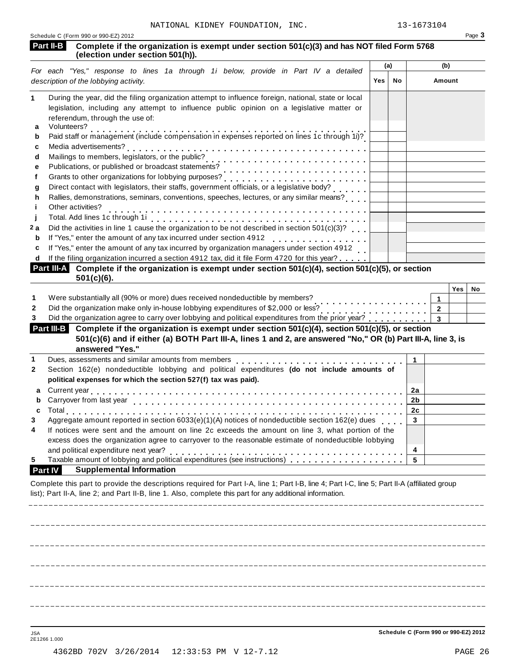|                     | Part II-B<br>Complete if the organization is exempt under section 501(c)(3) and has NOT filed Form 5768<br>(election under section 501(h)).                                                                                                                            |     |     |                |                        |           |
|---------------------|------------------------------------------------------------------------------------------------------------------------------------------------------------------------------------------------------------------------------------------------------------------------|-----|-----|----------------|------------------------|-----------|
|                     | For each "Yes," response to lines 1a through 1i below, provide in Part IV a detailed                                                                                                                                                                                   |     | (a) |                | (b)                    |           |
|                     | description of the lobbying activity.                                                                                                                                                                                                                                  | Yes | No  |                | Amount                 |           |
| 1.                  | During the year, did the filing organization attempt to influence foreign, national, state or local<br>legislation, including any attempt to influence public opinion on a legislative matter or<br>referendum, through the use of:                                    |     |     |                |                        |           |
| a<br>b              | Volunteers?<br>Paid staff or management (include compensation in expenses reported on lines 1c through 1i)?                                                                                                                                                            |     |     |                |                        |           |
| c                   | Media advertisements?                                                                                                                                                                                                                                                  |     |     |                |                        |           |
| d                   | Mailings to members, legislators, or the public?<br>Publications, or published or broadcast statements?<br>Allen was considered as the publications, or published or broadcast statements?                                                                             |     |     |                |                        |           |
| e                   |                                                                                                                                                                                                                                                                        |     |     |                |                        |           |
| f                   | Grants to other organizations for lobbying purposes?                                                                                                                                                                                                                   |     |     |                |                        |           |
| g                   | Direct contact with legislators, their staffs, government officials, or a legislative body?                                                                                                                                                                            |     |     |                |                        |           |
| h                   | Rallies, demonstrations, seminars, conventions, speeches, lectures, or any similar means?                                                                                                                                                                              |     |     |                |                        |           |
| j.                  | Other activities?                                                                                                                                                                                                                                                      |     |     |                |                        |           |
|                     |                                                                                                                                                                                                                                                                        |     |     |                |                        |           |
| 2 a                 | Did the activities in line 1 cause the organization to be not described in section 501(c)(3)?                                                                                                                                                                          |     |     |                |                        |           |
| b                   | If "Yes," enter the amount of any tax incurred under section 4912                                                                                                                                                                                                      |     |     |                |                        |           |
| c                   | If "Yes," enter the amount of any tax incurred by organization managers under section 4912                                                                                                                                                                             |     |     |                |                        |           |
| d                   | If the filing organization incurred a section 4912 tax, did it file Form 4720 for this year?                                                                                                                                                                           |     |     |                |                        |           |
|                     | Part III-A Complete if the organization is exempt under section 501(c)(4), section 501(c)(5), or section<br>$501(c)(6)$ .                                                                                                                                              |     |     |                |                        |           |
| 1<br>2<br>3         | Were substantially all (90% or more) dues received nondeductible by members?<br>Did the organization make only in-house lobbying expenditures of \$2,000 or less?<br>Did the organization agree to carry over lobbying and political expenditures from the prior year? |     |     |                | 1<br>$\mathbf{2}$<br>3 | Yes<br>No |
|                     | Complete if the organization is exempt under section 501(c)(4), section 501(c)(5), or section<br>Part III-B<br>501(c)(6) and if either (a) BOTH Part III-A, lines 1 and 2, are answered "No," OR (b) Part III-A, line 3, is<br>answered "Yes."                         |     |     |                |                        |           |
| 1                   | Dues, assessments and similar amounts from members production and contact the state of                                                                                                                                                                                 |     |     | 1              |                        |           |
| $\mathbf{2}$        | Section 162(e) nondeductible lobbying and political expenditures (do not include amounts of<br>political expenses for which the section 527(f) tax was paid).                                                                                                          |     |     |                |                        |           |
|                     | Current year                                                                                                                                                                                                                                                           |     |     | 2a             |                        |           |
| b                   |                                                                                                                                                                                                                                                                        |     |     | 2 <sub>b</sub> |                        |           |
| C                   |                                                                                                                                                                                                                                                                        |     |     | 2 <sub>c</sub> |                        |           |
|                     | Aggregate amount reported in section 6033(e)(1)(A) notices of nondeductible section 162(e) dues                                                                                                                                                                        |     |     | 3              |                        |           |
|                     | If notices were sent and the amount on line 2c exceeds the amount on line 3, what portion of the                                                                                                                                                                       |     |     |                |                        |           |
|                     |                                                                                                                                                                                                                                                                        |     |     |                |                        |           |
| 3<br>4              | excess does the organization agree to carryover to the reasonable estimate of nondeductible lobbying                                                                                                                                                                   |     |     |                |                        |           |
|                     |                                                                                                                                                                                                                                                                        |     |     | 4              |                        |           |
|                     |                                                                                                                                                                                                                                                                        |     |     | 5              |                        |           |
| 5<br><b>Part IV</b> | <b>Supplemental Information</b>                                                                                                                                                                                                                                        |     |     |                |                        |           |

 $=$   $= -$ 

L.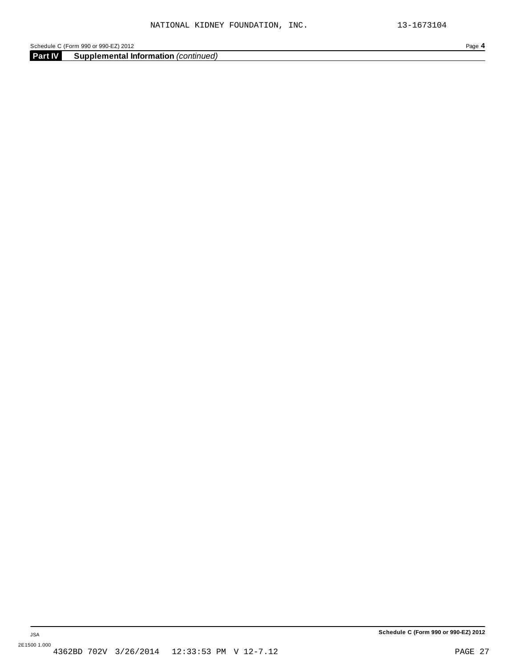**Part IV Supplemental Information** *(continued)*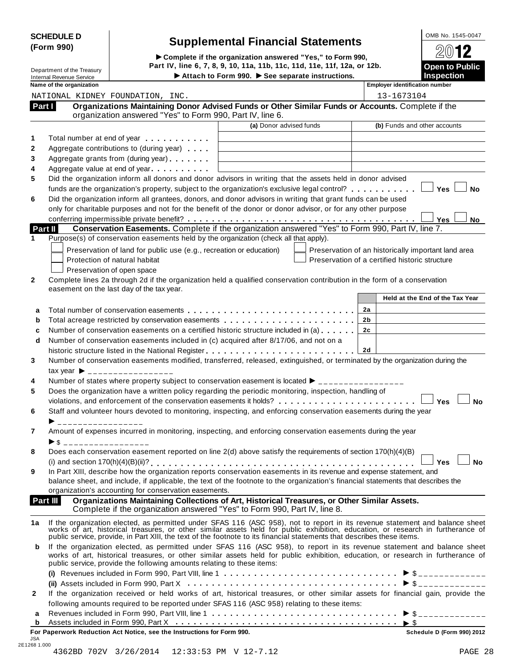| <b>SCHEDULE D</b> |  |
|-------------------|--|
| (Form 990)        |  |

# **Supplemental Financial Statements**<br> **Complete if the organization answered "Yes," to Form 990, 2012**

(Form 990)<br>  $\bullet$  Complete if the organization answered "Yes," to Form 990,<br>
Department of the Treasury Part IV, line 6, 7, 8, 9, 10, 11a, 11b, 11c, 11d, 11e, 11f, 12a, or 12b. Internal Revenue Service I**Attach to Form 990.** I**See separate instructions. Inspection**

| <u>.</u>              |
|-----------------------|
| $\mathfrak{D}$ M12    |
| <b>Open to Public</b> |
|                       |

|              | Name of the organization                                                                                                                                                                                                                                  |                         | <b>Employer identification number</b>               |
|--------------|-----------------------------------------------------------------------------------------------------------------------------------------------------------------------------------------------------------------------------------------------------------|-------------------------|-----------------------------------------------------|
|              | NATIONAL KIDNEY FOUNDATION, INC.                                                                                                                                                                                                                          |                         | 13-1673104                                          |
|              | Organizations Maintaining Donor Advised Funds or Other Similar Funds or Accounts. Complete if the<br>Part I<br>organization answered "Yes" to Form 990, Part IV, line 6.                                                                                  |                         |                                                     |
|              |                                                                                                                                                                                                                                                           | (a) Donor advised funds | (b) Funds and other accounts                        |
| 1            | Total number at end of year                                                                                                                                                                                                                               |                         |                                                     |
| 2            | Aggregate contributions to (during year)                                                                                                                                                                                                                  |                         |                                                     |
| 3            | Aggregate grants from (during year)                                                                                                                                                                                                                       |                         |                                                     |
| 4            | Aggregate value at end of year expression and Aggregate value                                                                                                                                                                                             |                         |                                                     |
| 5            | Did the organization inform all donors and donor advisors in writing that the assets held in donor advised                                                                                                                                                |                         |                                                     |
|              | funds are the organization's property, subject to the organization's exclusive legal control? $\ldots \ldots \ldots$                                                                                                                                      |                         | <sup>∃</sup> Yes<br><b>No</b>                       |
| 6            | Did the organization inform all grantees, donors, and donor advisors in writing that grant funds can be used                                                                                                                                              |                         |                                                     |
|              | only for charitable purposes and not for the benefit of the donor or donor advisor, or for any other purpose                                                                                                                                              |                         |                                                     |
|              |                                                                                                                                                                                                                                                           |                         |                                                     |
|              | Conservation Easements. Complete if the organization answered "Yes" to Form 990, Part IV, line 7.<br>Part II                                                                                                                                              |                         | <b>No</b><br>Yes                                    |
| 1            | Purpose(s) of conservation easements held by the organization (check all that apply).                                                                                                                                                                     |                         |                                                     |
|              |                                                                                                                                                                                                                                                           |                         |                                                     |
|              | Preservation of land for public use (e.g., recreation or education)                                                                                                                                                                                       |                         | Preservation of an historically important land area |
|              | Protection of natural habitat                                                                                                                                                                                                                             |                         | Preservation of a certified historic structure      |
|              | Preservation of open space                                                                                                                                                                                                                                |                         |                                                     |
| 2            | Complete lines 2a through 2d if the organization held a qualified conservation contribution in the form of a conservation                                                                                                                                 |                         |                                                     |
|              | easement on the last day of the tax year.                                                                                                                                                                                                                 |                         |                                                     |
|              |                                                                                                                                                                                                                                                           |                         | Held at the End of the Tax Year                     |
| a            |                                                                                                                                                                                                                                                           |                         | 2a                                                  |
| b            |                                                                                                                                                                                                                                                           |                         | 2b                                                  |
| c            | Number of conservation easements on a certified historic structure included in (a)                                                                                                                                                                        |                         | 2c                                                  |
| d            | Number of conservation easements included in (c) acquired after 8/17/06, and not on a                                                                                                                                                                     |                         |                                                     |
|              |                                                                                                                                                                                                                                                           |                         | 2d                                                  |
| 3            | Number of conservation easements modified, transferred, released, extinguished, or terminated by the organization during the                                                                                                                              |                         |                                                     |
|              | $\text{tax year}$ $\rightarrow$ _________________                                                                                                                                                                                                         |                         |                                                     |
| 4            | Number of states where property subject to conservation easement is located $\blacktriangleright$ _______________                                                                                                                                         |                         |                                                     |
| 5            | Does the organization have a written policy regarding the periodic monitoring, inspection, handling of                                                                                                                                                    |                         |                                                     |
|              | violations, and enforcement of the conservation easements it holds?                                                                                                                                                                                       |                         | $\Box$ Yes<br><b>No</b>                             |
| 6            | Staff and volunteer hours devoted to monitoring, inspecting, and enforcing conservation easements during the year                                                                                                                                         |                         |                                                     |
|              | _________________                                                                                                                                                                                                                                         |                         |                                                     |
| 7            | Amount of expenses incurred in monitoring, inspecting, and enforcing conservation easements during the year                                                                                                                                               |                         |                                                     |
|              | $\triangleright$ \$ ___________________                                                                                                                                                                                                                   |                         |                                                     |
| 8            | Does each conservation easement reported on line 2(d) above satisfy the requirements of section 170(h)(4)(B)                                                                                                                                              |                         |                                                     |
|              |                                                                                                                                                                                                                                                           |                         | $\Box$                                              |
|              |                                                                                                                                                                                                                                                           |                         | <b>No</b><br>Yes                                    |
| 9            | In Part XIII, describe how the organization reports conservation easements in its revenue and expense statement, and<br>balance sheet, and include, if applicable, the text of the footnote to the organization's financial statements that describes the |                         |                                                     |
|              | organization's accounting for conservation easements.                                                                                                                                                                                                     |                         |                                                     |
|              | Organizations Maintaining Collections of Art, Historical Treasures, or Other Similar Assets.<br>Part III                                                                                                                                                  |                         |                                                     |
|              | Complete if the organization answered "Yes" to Form 990, Part IV, line 8.                                                                                                                                                                                 |                         |                                                     |
|              |                                                                                                                                                                                                                                                           |                         |                                                     |
| 1a           | If the organization elected, as permitted under SFAS 116 (ASC 958), not to report in its revenue statement and balance sheet works of art, historical treasures, or other similar assets held for public exhibition, education                            |                         |                                                     |
|              | public service, provide, in Part XIII, the text of the footnote to its financial statements that describes these items.                                                                                                                                   |                         |                                                     |
| b            | If the organization elected, as permitted under SFAS 116 (ASC 958), to report in its revenue statement and balance sheet                                                                                                                                  |                         |                                                     |
|              | works of art, historical treasures, or other similar assets held for public exhibition, education, or research in furtherance of                                                                                                                          |                         |                                                     |
|              | public service, provide the following amounts relating to these items:                                                                                                                                                                                    |                         |                                                     |
|              |                                                                                                                                                                                                                                                           |                         |                                                     |
|              |                                                                                                                                                                                                                                                           |                         |                                                     |
| $\mathbf{2}$ | If the organization received or held works of art, historical treasures, or other similar assets for financial gain, provide the                                                                                                                          |                         |                                                     |
|              | following amounts required to be reported under SFAS 116 (ASC 958) relating to these items:                                                                                                                                                               |                         |                                                     |
| a            |                                                                                                                                                                                                                                                           |                         |                                                     |
| b            |                                                                                                                                                                                                                                                           |                         |                                                     |
|              | For Paperwork Reduction Act Notice, see the Instructions for Form 990.                                                                                                                                                                                    |                         | Schedule D (Form 990) 2012                          |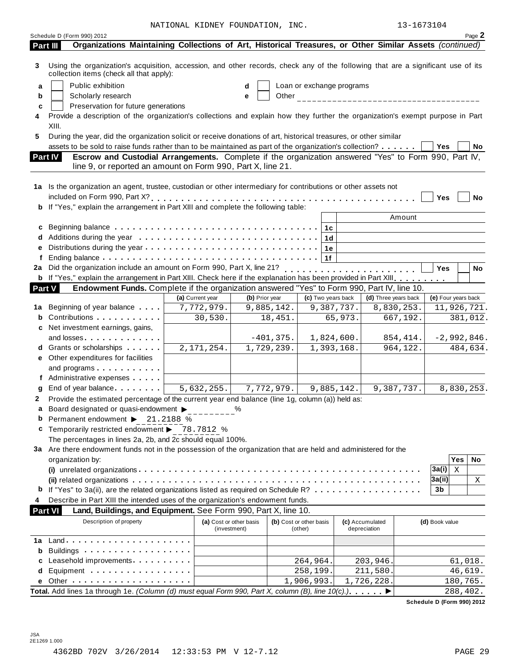NATIONAL KIDNEY FOUNDATION, INC. 13-1673104

| Using the organization's acquisition, accession, and other records, check any of the following that are a significant use of its<br>3<br>collection items (check all that apply):<br>Public exhibition<br>Loan or exchange programs<br>a<br>d<br>Scholarly research<br>e<br>b<br>Preservation for future generations<br>c<br>Provide a description of the organization's collections and explain how they further the organization's exempt purpose in Part<br>4<br>XIII.<br>5<br>During the year, did the organization solicit or receive donations of art, historical treasures, or other similar<br>assets to be sold to raise funds rather than to be maintained as part of the organization's collection?<br>Yes<br>No<br>Escrow and Custodial Arrangements. Complete if the organization answered "Yes" to Form 990, Part IV,<br>Part IV<br>line 9, or reported an amount on Form 990, Part X, line 21.<br>1a Is the organization an agent, trustee, custodian or other intermediary for contributions or other assets not<br>Yes<br>No<br>b If "Yes," explain the arrangement in Part XIII and complete the following table:<br>Amount<br>1c<br>1d<br>1e<br>1f<br>Did the organization include an amount on Form 990, Part X, line 21?<br><br><b>Yes</b><br>No<br>2a<br><b>b</b> If "Yes," explain the arrangement in Part XIII. Check here if the explanation has been provided in Part XIII.<br>Endowment Funds. Complete if the organization answered "Yes" to Form 990, Part IV, line 10.<br><b>Part V</b><br>(e) Four years back<br>(a) Current year<br>(b) Prior year<br>(c) Two years back<br>(d) Three years back<br>Beginning of year balance<br>7,772,979.<br>9,885,142.<br>9,387,737.<br>8,830,253.<br>11,926,721.<br>1a<br>Contributions<br>667,192.<br>30,530.<br>18,451.<br>65,973.<br>381,012.<br>Net investment earnings, gains,<br>c<br>and losses and the set of the set of the set of the set of the set of the set of the set of the set of the set<br>1,824,600.<br>$-2,992,846.$<br>$-401,375.$<br>854, 414.<br>2, 171, 254.<br><b>d</b> Grants or scholarships <b>contains</b><br>1,729,239.<br>1,393,168.<br>964,122.<br>484,634.<br>e Other expenditures for facilities<br>and programs expansion and programs<br>f Administrative expenses<br>5,632,255.<br>7,772,979.<br>8,830,253.<br>End of year balance expansion of year balance<br>9,885,142.<br>9,387,737.<br>Provide the estimated percentage of the current year end balance (line 1g, column (a)) held as:<br>2<br>$\mathbf{a}$<br>Board designated or quasi-endowment $\blacktriangleright$<br>℅<br>Permanent endowment ▶ 21.2188 %<br>b<br>Temporarily restricted endowment > 78.7812 %<br>c<br>The percentages in lines 2a, 2b, and 2c should equal 100%.<br>3a Are there endowment funds not in the possession of the organization that are held and administered for the<br><b>Yes</b><br>No<br>organization by:<br>3a(i)<br>$\mathbf x$<br>3a(ii)<br>Χ<br>3b<br>Describe in Part XIII the intended uses of the organization's endowment funds.<br>4<br><b>Part VI</b><br>Land, Buildings, and Equipment. See Form 990, Part X, line 10.<br>Description of property<br>(b) Cost or other basis<br>(a) Cost or other basis<br>(c) Accumulated<br>(d) Book value<br>(investment)<br>(other)<br>depreciation<br>1а<br>Buildings<br>b<br>Leasehold improvements <b>contains</b> and the set of the set of the set of the set of the set of the set of the set of the set of the set of the set of the set of the set of the set of the set of the set of the set of the set<br>264,964.<br>203,946.<br>61,018.<br>Equipment<br>211,580.<br>46,619.<br>258,199.<br>d<br>1,906,993.<br>1,726,228.<br>180,765.<br>Total. Add lines 1a through 1e. (Column (d) must equal Form 990, Part X, column (B), line $10(c)$ .)<br>288,402.<br>Schedule D (Form 990) 2012 | Schedule D (Form 990) 2012<br>Organizations Maintaining Collections of Art, Historical Treasures, or Other Similar Assets (continued)<br>Part III |  |  | Page 2 |
|-----------------------------------------------------------------------------------------------------------------------------------------------------------------------------------------------------------------------------------------------------------------------------------------------------------------------------------------------------------------------------------------------------------------------------------------------------------------------------------------------------------------------------------------------------------------------------------------------------------------------------------------------------------------------------------------------------------------------------------------------------------------------------------------------------------------------------------------------------------------------------------------------------------------------------------------------------------------------------------------------------------------------------------------------------------------------------------------------------------------------------------------------------------------------------------------------------------------------------------------------------------------------------------------------------------------------------------------------------------------------------------------------------------------------------------------------------------------------------------------------------------------------------------------------------------------------------------------------------------------------------------------------------------------------------------------------------------------------------------------------------------------------------------------------------------------------------------------------------------------------------------------------------------------------------------------------------------------------------------------------------------------------------------------------------------------------------------------------------------------------------------------------------------------------------------------------------------------------------------------------------------------------------------------------------------------------------------------------------------------------------------------------------------------------------------------------------------------------------------------------------------------------------------------------------------------------------------------------------------------------------------------------------------------------------------------------------------------------------------------------------------------------------------------------------------------------------------------------------------------------------------------------------------------------------------------------------------------------------------------------------------------------------------------------------------------------------------------------------------------------------------------------------------------------------------------------------------------------------------------------------------------------------------------------------------------------------------------------------------------------------------------------------------------------------------------------------------------------------------------------------------------------------------------------------------------------------------------------------------------------------------------------------------------------------------------------------------------------------------------------------------------------------------------------------------------------------------------------------------|---------------------------------------------------------------------------------------------------------------------------------------------------|--|--|--------|
|                                                                                                                                                                                                                                                                                                                                                                                                                                                                                                                                                                                                                                                                                                                                                                                                                                                                                                                                                                                                                                                                                                                                                                                                                                                                                                                                                                                                                                                                                                                                                                                                                                                                                                                                                                                                                                                                                                                                                                                                                                                                                                                                                                                                                                                                                                                                                                                                                                                                                                                                                                                                                                                                                                                                                                                                                                                                                                                                                                                                                                                                                                                                                                                                                                                                                                                                                                                                                                                                                                                                                                                                                                                                                                                                                                                                                                                           |                                                                                                                                                   |  |  |        |
|                                                                                                                                                                                                                                                                                                                                                                                                                                                                                                                                                                                                                                                                                                                                                                                                                                                                                                                                                                                                                                                                                                                                                                                                                                                                                                                                                                                                                                                                                                                                                                                                                                                                                                                                                                                                                                                                                                                                                                                                                                                                                                                                                                                                                                                                                                                                                                                                                                                                                                                                                                                                                                                                                                                                                                                                                                                                                                                                                                                                                                                                                                                                                                                                                                                                                                                                                                                                                                                                                                                                                                                                                                                                                                                                                                                                                                                           |                                                                                                                                                   |  |  |        |
|                                                                                                                                                                                                                                                                                                                                                                                                                                                                                                                                                                                                                                                                                                                                                                                                                                                                                                                                                                                                                                                                                                                                                                                                                                                                                                                                                                                                                                                                                                                                                                                                                                                                                                                                                                                                                                                                                                                                                                                                                                                                                                                                                                                                                                                                                                                                                                                                                                                                                                                                                                                                                                                                                                                                                                                                                                                                                                                                                                                                                                                                                                                                                                                                                                                                                                                                                                                                                                                                                                                                                                                                                                                                                                                                                                                                                                                           |                                                                                                                                                   |  |  |        |
|                                                                                                                                                                                                                                                                                                                                                                                                                                                                                                                                                                                                                                                                                                                                                                                                                                                                                                                                                                                                                                                                                                                                                                                                                                                                                                                                                                                                                                                                                                                                                                                                                                                                                                                                                                                                                                                                                                                                                                                                                                                                                                                                                                                                                                                                                                                                                                                                                                                                                                                                                                                                                                                                                                                                                                                                                                                                                                                                                                                                                                                                                                                                                                                                                                                                                                                                                                                                                                                                                                                                                                                                                                                                                                                                                                                                                                                           |                                                                                                                                                   |  |  |        |
|                                                                                                                                                                                                                                                                                                                                                                                                                                                                                                                                                                                                                                                                                                                                                                                                                                                                                                                                                                                                                                                                                                                                                                                                                                                                                                                                                                                                                                                                                                                                                                                                                                                                                                                                                                                                                                                                                                                                                                                                                                                                                                                                                                                                                                                                                                                                                                                                                                                                                                                                                                                                                                                                                                                                                                                                                                                                                                                                                                                                                                                                                                                                                                                                                                                                                                                                                                                                                                                                                                                                                                                                                                                                                                                                                                                                                                                           |                                                                                                                                                   |  |  |        |
|                                                                                                                                                                                                                                                                                                                                                                                                                                                                                                                                                                                                                                                                                                                                                                                                                                                                                                                                                                                                                                                                                                                                                                                                                                                                                                                                                                                                                                                                                                                                                                                                                                                                                                                                                                                                                                                                                                                                                                                                                                                                                                                                                                                                                                                                                                                                                                                                                                                                                                                                                                                                                                                                                                                                                                                                                                                                                                                                                                                                                                                                                                                                                                                                                                                                                                                                                                                                                                                                                                                                                                                                                                                                                                                                                                                                                                                           |                                                                                                                                                   |  |  |        |
|                                                                                                                                                                                                                                                                                                                                                                                                                                                                                                                                                                                                                                                                                                                                                                                                                                                                                                                                                                                                                                                                                                                                                                                                                                                                                                                                                                                                                                                                                                                                                                                                                                                                                                                                                                                                                                                                                                                                                                                                                                                                                                                                                                                                                                                                                                                                                                                                                                                                                                                                                                                                                                                                                                                                                                                                                                                                                                                                                                                                                                                                                                                                                                                                                                                                                                                                                                                                                                                                                                                                                                                                                                                                                                                                                                                                                                                           |                                                                                                                                                   |  |  |        |
|                                                                                                                                                                                                                                                                                                                                                                                                                                                                                                                                                                                                                                                                                                                                                                                                                                                                                                                                                                                                                                                                                                                                                                                                                                                                                                                                                                                                                                                                                                                                                                                                                                                                                                                                                                                                                                                                                                                                                                                                                                                                                                                                                                                                                                                                                                                                                                                                                                                                                                                                                                                                                                                                                                                                                                                                                                                                                                                                                                                                                                                                                                                                                                                                                                                                                                                                                                                                                                                                                                                                                                                                                                                                                                                                                                                                                                                           |                                                                                                                                                   |  |  |        |
|                                                                                                                                                                                                                                                                                                                                                                                                                                                                                                                                                                                                                                                                                                                                                                                                                                                                                                                                                                                                                                                                                                                                                                                                                                                                                                                                                                                                                                                                                                                                                                                                                                                                                                                                                                                                                                                                                                                                                                                                                                                                                                                                                                                                                                                                                                                                                                                                                                                                                                                                                                                                                                                                                                                                                                                                                                                                                                                                                                                                                                                                                                                                                                                                                                                                                                                                                                                                                                                                                                                                                                                                                                                                                                                                                                                                                                                           |                                                                                                                                                   |  |  |        |
|                                                                                                                                                                                                                                                                                                                                                                                                                                                                                                                                                                                                                                                                                                                                                                                                                                                                                                                                                                                                                                                                                                                                                                                                                                                                                                                                                                                                                                                                                                                                                                                                                                                                                                                                                                                                                                                                                                                                                                                                                                                                                                                                                                                                                                                                                                                                                                                                                                                                                                                                                                                                                                                                                                                                                                                                                                                                                                                                                                                                                                                                                                                                                                                                                                                                                                                                                                                                                                                                                                                                                                                                                                                                                                                                                                                                                                                           |                                                                                                                                                   |  |  |        |
|                                                                                                                                                                                                                                                                                                                                                                                                                                                                                                                                                                                                                                                                                                                                                                                                                                                                                                                                                                                                                                                                                                                                                                                                                                                                                                                                                                                                                                                                                                                                                                                                                                                                                                                                                                                                                                                                                                                                                                                                                                                                                                                                                                                                                                                                                                                                                                                                                                                                                                                                                                                                                                                                                                                                                                                                                                                                                                                                                                                                                                                                                                                                                                                                                                                                                                                                                                                                                                                                                                                                                                                                                                                                                                                                                                                                                                                           |                                                                                                                                                   |  |  |        |
|                                                                                                                                                                                                                                                                                                                                                                                                                                                                                                                                                                                                                                                                                                                                                                                                                                                                                                                                                                                                                                                                                                                                                                                                                                                                                                                                                                                                                                                                                                                                                                                                                                                                                                                                                                                                                                                                                                                                                                                                                                                                                                                                                                                                                                                                                                                                                                                                                                                                                                                                                                                                                                                                                                                                                                                                                                                                                                                                                                                                                                                                                                                                                                                                                                                                                                                                                                                                                                                                                                                                                                                                                                                                                                                                                                                                                                                           |                                                                                                                                                   |  |  |        |
|                                                                                                                                                                                                                                                                                                                                                                                                                                                                                                                                                                                                                                                                                                                                                                                                                                                                                                                                                                                                                                                                                                                                                                                                                                                                                                                                                                                                                                                                                                                                                                                                                                                                                                                                                                                                                                                                                                                                                                                                                                                                                                                                                                                                                                                                                                                                                                                                                                                                                                                                                                                                                                                                                                                                                                                                                                                                                                                                                                                                                                                                                                                                                                                                                                                                                                                                                                                                                                                                                                                                                                                                                                                                                                                                                                                                                                                           |                                                                                                                                                   |  |  |        |
|                                                                                                                                                                                                                                                                                                                                                                                                                                                                                                                                                                                                                                                                                                                                                                                                                                                                                                                                                                                                                                                                                                                                                                                                                                                                                                                                                                                                                                                                                                                                                                                                                                                                                                                                                                                                                                                                                                                                                                                                                                                                                                                                                                                                                                                                                                                                                                                                                                                                                                                                                                                                                                                                                                                                                                                                                                                                                                                                                                                                                                                                                                                                                                                                                                                                                                                                                                                                                                                                                                                                                                                                                                                                                                                                                                                                                                                           |                                                                                                                                                   |  |  |        |
|                                                                                                                                                                                                                                                                                                                                                                                                                                                                                                                                                                                                                                                                                                                                                                                                                                                                                                                                                                                                                                                                                                                                                                                                                                                                                                                                                                                                                                                                                                                                                                                                                                                                                                                                                                                                                                                                                                                                                                                                                                                                                                                                                                                                                                                                                                                                                                                                                                                                                                                                                                                                                                                                                                                                                                                                                                                                                                                                                                                                                                                                                                                                                                                                                                                                                                                                                                                                                                                                                                                                                                                                                                                                                                                                                                                                                                                           |                                                                                                                                                   |  |  |        |
|                                                                                                                                                                                                                                                                                                                                                                                                                                                                                                                                                                                                                                                                                                                                                                                                                                                                                                                                                                                                                                                                                                                                                                                                                                                                                                                                                                                                                                                                                                                                                                                                                                                                                                                                                                                                                                                                                                                                                                                                                                                                                                                                                                                                                                                                                                                                                                                                                                                                                                                                                                                                                                                                                                                                                                                                                                                                                                                                                                                                                                                                                                                                                                                                                                                                                                                                                                                                                                                                                                                                                                                                                                                                                                                                                                                                                                                           |                                                                                                                                                   |  |  |        |
|                                                                                                                                                                                                                                                                                                                                                                                                                                                                                                                                                                                                                                                                                                                                                                                                                                                                                                                                                                                                                                                                                                                                                                                                                                                                                                                                                                                                                                                                                                                                                                                                                                                                                                                                                                                                                                                                                                                                                                                                                                                                                                                                                                                                                                                                                                                                                                                                                                                                                                                                                                                                                                                                                                                                                                                                                                                                                                                                                                                                                                                                                                                                                                                                                                                                                                                                                                                                                                                                                                                                                                                                                                                                                                                                                                                                                                                           |                                                                                                                                                   |  |  |        |
|                                                                                                                                                                                                                                                                                                                                                                                                                                                                                                                                                                                                                                                                                                                                                                                                                                                                                                                                                                                                                                                                                                                                                                                                                                                                                                                                                                                                                                                                                                                                                                                                                                                                                                                                                                                                                                                                                                                                                                                                                                                                                                                                                                                                                                                                                                                                                                                                                                                                                                                                                                                                                                                                                                                                                                                                                                                                                                                                                                                                                                                                                                                                                                                                                                                                                                                                                                                                                                                                                                                                                                                                                                                                                                                                                                                                                                                           |                                                                                                                                                   |  |  |        |
|                                                                                                                                                                                                                                                                                                                                                                                                                                                                                                                                                                                                                                                                                                                                                                                                                                                                                                                                                                                                                                                                                                                                                                                                                                                                                                                                                                                                                                                                                                                                                                                                                                                                                                                                                                                                                                                                                                                                                                                                                                                                                                                                                                                                                                                                                                                                                                                                                                                                                                                                                                                                                                                                                                                                                                                                                                                                                                                                                                                                                                                                                                                                                                                                                                                                                                                                                                                                                                                                                                                                                                                                                                                                                                                                                                                                                                                           |                                                                                                                                                   |  |  |        |
|                                                                                                                                                                                                                                                                                                                                                                                                                                                                                                                                                                                                                                                                                                                                                                                                                                                                                                                                                                                                                                                                                                                                                                                                                                                                                                                                                                                                                                                                                                                                                                                                                                                                                                                                                                                                                                                                                                                                                                                                                                                                                                                                                                                                                                                                                                                                                                                                                                                                                                                                                                                                                                                                                                                                                                                                                                                                                                                                                                                                                                                                                                                                                                                                                                                                                                                                                                                                                                                                                                                                                                                                                                                                                                                                                                                                                                                           |                                                                                                                                                   |  |  |        |
|                                                                                                                                                                                                                                                                                                                                                                                                                                                                                                                                                                                                                                                                                                                                                                                                                                                                                                                                                                                                                                                                                                                                                                                                                                                                                                                                                                                                                                                                                                                                                                                                                                                                                                                                                                                                                                                                                                                                                                                                                                                                                                                                                                                                                                                                                                                                                                                                                                                                                                                                                                                                                                                                                                                                                                                                                                                                                                                                                                                                                                                                                                                                                                                                                                                                                                                                                                                                                                                                                                                                                                                                                                                                                                                                                                                                                                                           |                                                                                                                                                   |  |  |        |
|                                                                                                                                                                                                                                                                                                                                                                                                                                                                                                                                                                                                                                                                                                                                                                                                                                                                                                                                                                                                                                                                                                                                                                                                                                                                                                                                                                                                                                                                                                                                                                                                                                                                                                                                                                                                                                                                                                                                                                                                                                                                                                                                                                                                                                                                                                                                                                                                                                                                                                                                                                                                                                                                                                                                                                                                                                                                                                                                                                                                                                                                                                                                                                                                                                                                                                                                                                                                                                                                                                                                                                                                                                                                                                                                                                                                                                                           |                                                                                                                                                   |  |  |        |
|                                                                                                                                                                                                                                                                                                                                                                                                                                                                                                                                                                                                                                                                                                                                                                                                                                                                                                                                                                                                                                                                                                                                                                                                                                                                                                                                                                                                                                                                                                                                                                                                                                                                                                                                                                                                                                                                                                                                                                                                                                                                                                                                                                                                                                                                                                                                                                                                                                                                                                                                                                                                                                                                                                                                                                                                                                                                                                                                                                                                                                                                                                                                                                                                                                                                                                                                                                                                                                                                                                                                                                                                                                                                                                                                                                                                                                                           |                                                                                                                                                   |  |  |        |
|                                                                                                                                                                                                                                                                                                                                                                                                                                                                                                                                                                                                                                                                                                                                                                                                                                                                                                                                                                                                                                                                                                                                                                                                                                                                                                                                                                                                                                                                                                                                                                                                                                                                                                                                                                                                                                                                                                                                                                                                                                                                                                                                                                                                                                                                                                                                                                                                                                                                                                                                                                                                                                                                                                                                                                                                                                                                                                                                                                                                                                                                                                                                                                                                                                                                                                                                                                                                                                                                                                                                                                                                                                                                                                                                                                                                                                                           |                                                                                                                                                   |  |  |        |
|                                                                                                                                                                                                                                                                                                                                                                                                                                                                                                                                                                                                                                                                                                                                                                                                                                                                                                                                                                                                                                                                                                                                                                                                                                                                                                                                                                                                                                                                                                                                                                                                                                                                                                                                                                                                                                                                                                                                                                                                                                                                                                                                                                                                                                                                                                                                                                                                                                                                                                                                                                                                                                                                                                                                                                                                                                                                                                                                                                                                                                                                                                                                                                                                                                                                                                                                                                                                                                                                                                                                                                                                                                                                                                                                                                                                                                                           |                                                                                                                                                   |  |  |        |
|                                                                                                                                                                                                                                                                                                                                                                                                                                                                                                                                                                                                                                                                                                                                                                                                                                                                                                                                                                                                                                                                                                                                                                                                                                                                                                                                                                                                                                                                                                                                                                                                                                                                                                                                                                                                                                                                                                                                                                                                                                                                                                                                                                                                                                                                                                                                                                                                                                                                                                                                                                                                                                                                                                                                                                                                                                                                                                                                                                                                                                                                                                                                                                                                                                                                                                                                                                                                                                                                                                                                                                                                                                                                                                                                                                                                                                                           |                                                                                                                                                   |  |  |        |
|                                                                                                                                                                                                                                                                                                                                                                                                                                                                                                                                                                                                                                                                                                                                                                                                                                                                                                                                                                                                                                                                                                                                                                                                                                                                                                                                                                                                                                                                                                                                                                                                                                                                                                                                                                                                                                                                                                                                                                                                                                                                                                                                                                                                                                                                                                                                                                                                                                                                                                                                                                                                                                                                                                                                                                                                                                                                                                                                                                                                                                                                                                                                                                                                                                                                                                                                                                                                                                                                                                                                                                                                                                                                                                                                                                                                                                                           |                                                                                                                                                   |  |  |        |
|                                                                                                                                                                                                                                                                                                                                                                                                                                                                                                                                                                                                                                                                                                                                                                                                                                                                                                                                                                                                                                                                                                                                                                                                                                                                                                                                                                                                                                                                                                                                                                                                                                                                                                                                                                                                                                                                                                                                                                                                                                                                                                                                                                                                                                                                                                                                                                                                                                                                                                                                                                                                                                                                                                                                                                                                                                                                                                                                                                                                                                                                                                                                                                                                                                                                                                                                                                                                                                                                                                                                                                                                                                                                                                                                                                                                                                                           |                                                                                                                                                   |  |  |        |
|                                                                                                                                                                                                                                                                                                                                                                                                                                                                                                                                                                                                                                                                                                                                                                                                                                                                                                                                                                                                                                                                                                                                                                                                                                                                                                                                                                                                                                                                                                                                                                                                                                                                                                                                                                                                                                                                                                                                                                                                                                                                                                                                                                                                                                                                                                                                                                                                                                                                                                                                                                                                                                                                                                                                                                                                                                                                                                                                                                                                                                                                                                                                                                                                                                                                                                                                                                                                                                                                                                                                                                                                                                                                                                                                                                                                                                                           |                                                                                                                                                   |  |  |        |
|                                                                                                                                                                                                                                                                                                                                                                                                                                                                                                                                                                                                                                                                                                                                                                                                                                                                                                                                                                                                                                                                                                                                                                                                                                                                                                                                                                                                                                                                                                                                                                                                                                                                                                                                                                                                                                                                                                                                                                                                                                                                                                                                                                                                                                                                                                                                                                                                                                                                                                                                                                                                                                                                                                                                                                                                                                                                                                                                                                                                                                                                                                                                                                                                                                                                                                                                                                                                                                                                                                                                                                                                                                                                                                                                                                                                                                                           |                                                                                                                                                   |  |  |        |
|                                                                                                                                                                                                                                                                                                                                                                                                                                                                                                                                                                                                                                                                                                                                                                                                                                                                                                                                                                                                                                                                                                                                                                                                                                                                                                                                                                                                                                                                                                                                                                                                                                                                                                                                                                                                                                                                                                                                                                                                                                                                                                                                                                                                                                                                                                                                                                                                                                                                                                                                                                                                                                                                                                                                                                                                                                                                                                                                                                                                                                                                                                                                                                                                                                                                                                                                                                                                                                                                                                                                                                                                                                                                                                                                                                                                                                                           |                                                                                                                                                   |  |  |        |
|                                                                                                                                                                                                                                                                                                                                                                                                                                                                                                                                                                                                                                                                                                                                                                                                                                                                                                                                                                                                                                                                                                                                                                                                                                                                                                                                                                                                                                                                                                                                                                                                                                                                                                                                                                                                                                                                                                                                                                                                                                                                                                                                                                                                                                                                                                                                                                                                                                                                                                                                                                                                                                                                                                                                                                                                                                                                                                                                                                                                                                                                                                                                                                                                                                                                                                                                                                                                                                                                                                                                                                                                                                                                                                                                                                                                                                                           |                                                                                                                                                   |  |  |        |
|                                                                                                                                                                                                                                                                                                                                                                                                                                                                                                                                                                                                                                                                                                                                                                                                                                                                                                                                                                                                                                                                                                                                                                                                                                                                                                                                                                                                                                                                                                                                                                                                                                                                                                                                                                                                                                                                                                                                                                                                                                                                                                                                                                                                                                                                                                                                                                                                                                                                                                                                                                                                                                                                                                                                                                                                                                                                                                                                                                                                                                                                                                                                                                                                                                                                                                                                                                                                                                                                                                                                                                                                                                                                                                                                                                                                                                                           |                                                                                                                                                   |  |  |        |
|                                                                                                                                                                                                                                                                                                                                                                                                                                                                                                                                                                                                                                                                                                                                                                                                                                                                                                                                                                                                                                                                                                                                                                                                                                                                                                                                                                                                                                                                                                                                                                                                                                                                                                                                                                                                                                                                                                                                                                                                                                                                                                                                                                                                                                                                                                                                                                                                                                                                                                                                                                                                                                                                                                                                                                                                                                                                                                                                                                                                                                                                                                                                                                                                                                                                                                                                                                                                                                                                                                                                                                                                                                                                                                                                                                                                                                                           |                                                                                                                                                   |  |  |        |
|                                                                                                                                                                                                                                                                                                                                                                                                                                                                                                                                                                                                                                                                                                                                                                                                                                                                                                                                                                                                                                                                                                                                                                                                                                                                                                                                                                                                                                                                                                                                                                                                                                                                                                                                                                                                                                                                                                                                                                                                                                                                                                                                                                                                                                                                                                                                                                                                                                                                                                                                                                                                                                                                                                                                                                                                                                                                                                                                                                                                                                                                                                                                                                                                                                                                                                                                                                                                                                                                                                                                                                                                                                                                                                                                                                                                                                                           |                                                                                                                                                   |  |  |        |
|                                                                                                                                                                                                                                                                                                                                                                                                                                                                                                                                                                                                                                                                                                                                                                                                                                                                                                                                                                                                                                                                                                                                                                                                                                                                                                                                                                                                                                                                                                                                                                                                                                                                                                                                                                                                                                                                                                                                                                                                                                                                                                                                                                                                                                                                                                                                                                                                                                                                                                                                                                                                                                                                                                                                                                                                                                                                                                                                                                                                                                                                                                                                                                                                                                                                                                                                                                                                                                                                                                                                                                                                                                                                                                                                                                                                                                                           |                                                                                                                                                   |  |  |        |
|                                                                                                                                                                                                                                                                                                                                                                                                                                                                                                                                                                                                                                                                                                                                                                                                                                                                                                                                                                                                                                                                                                                                                                                                                                                                                                                                                                                                                                                                                                                                                                                                                                                                                                                                                                                                                                                                                                                                                                                                                                                                                                                                                                                                                                                                                                                                                                                                                                                                                                                                                                                                                                                                                                                                                                                                                                                                                                                                                                                                                                                                                                                                                                                                                                                                                                                                                                                                                                                                                                                                                                                                                                                                                                                                                                                                                                                           |                                                                                                                                                   |  |  |        |
|                                                                                                                                                                                                                                                                                                                                                                                                                                                                                                                                                                                                                                                                                                                                                                                                                                                                                                                                                                                                                                                                                                                                                                                                                                                                                                                                                                                                                                                                                                                                                                                                                                                                                                                                                                                                                                                                                                                                                                                                                                                                                                                                                                                                                                                                                                                                                                                                                                                                                                                                                                                                                                                                                                                                                                                                                                                                                                                                                                                                                                                                                                                                                                                                                                                                                                                                                                                                                                                                                                                                                                                                                                                                                                                                                                                                                                                           |                                                                                                                                                   |  |  |        |

JSA 2E1269 1.000 4362BD 702V 3/26/2014 12:33:53 PM V 12-7.12 PAGE 29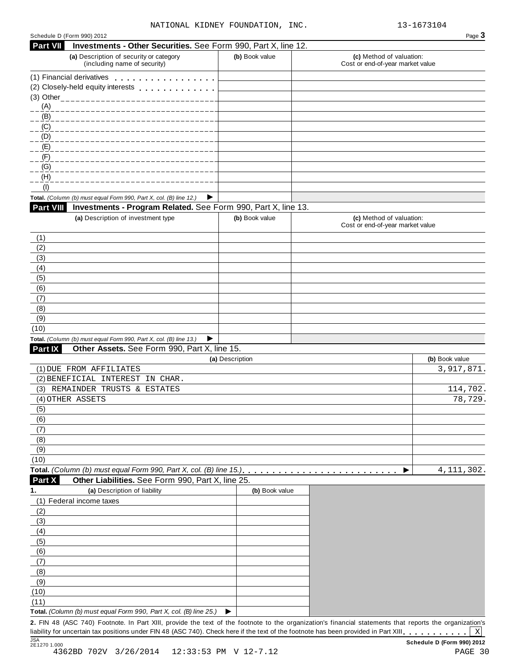| Schedule D (Form 990) 2012 |                                                                                                                                                         |                 |                                                              | Page 3                       |
|----------------------------|---------------------------------------------------------------------------------------------------------------------------------------------------------|-----------------|--------------------------------------------------------------|------------------------------|
| <b>Part VII</b>            | Investments - Other Securities. See Form 990, Part X, line 12.                                                                                          |                 |                                                              |                              |
|                            | (a) Description of security or category<br>(including name of security)                                                                                 | (b) Book value  | (c) Method of valuation:<br>Cost or end-of-year market value |                              |
|                            | (1) Financial derivatives                                                                                                                               |                 |                                                              |                              |
|                            | (2) Closely-held equity interests                                                                                                                       |                 |                                                              |                              |
|                            |                                                                                                                                                         |                 |                                                              |                              |
| (A)                        |                                                                                                                                                         |                 |                                                              |                              |
| (B)                        |                                                                                                                                                         |                 |                                                              |                              |
| (C)                        |                                                                                                                                                         |                 |                                                              |                              |
| (D)                        |                                                                                                                                                         |                 |                                                              |                              |
| (E)<br>(F)                 |                                                                                                                                                         |                 |                                                              |                              |
| (G)                        |                                                                                                                                                         |                 |                                                              |                              |
| (H)                        |                                                                                                                                                         |                 |                                                              |                              |
| (1)                        |                                                                                                                                                         |                 |                                                              |                              |
|                            | Total. (Column (b) must equal Form 990, Part X, col. (B) line 12.)<br>▶                                                                                 |                 |                                                              |                              |
| Part VIII                  | Investments - Program Related. See Form 990, Part X, line 13.                                                                                           |                 |                                                              |                              |
|                            | (a) Description of investment type                                                                                                                      | (b) Book value  | (c) Method of valuation:<br>Cost or end-of-year market value |                              |
| (1)                        |                                                                                                                                                         |                 |                                                              |                              |
| (2)                        |                                                                                                                                                         |                 |                                                              |                              |
| (3)                        |                                                                                                                                                         |                 |                                                              |                              |
| (4)                        |                                                                                                                                                         |                 |                                                              |                              |
| (5)                        |                                                                                                                                                         |                 |                                                              |                              |
| (6)                        |                                                                                                                                                         |                 |                                                              |                              |
| (7)                        |                                                                                                                                                         |                 |                                                              |                              |
| (8)                        |                                                                                                                                                         |                 |                                                              |                              |
| (9)                        |                                                                                                                                                         |                 |                                                              |                              |
| (10)                       |                                                                                                                                                         |                 |                                                              |                              |
|                            | Total. (Column (b) must equal Form 990, Part X, col. (B) line 13.)<br>▶                                                                                 |                 |                                                              |                              |
| Part IX                    | Other Assets. See Form 990, Part X, line 15.                                                                                                            |                 |                                                              |                              |
|                            | (1) DUE FROM AFFILIATES                                                                                                                                 | (a) Description |                                                              | (b) Book value<br>3,917,871. |
|                            | (2) BENEFICIAL INTEREST IN CHAR.                                                                                                                        |                 |                                                              |                              |
|                            | (3) REMAINDER TRUSTS & ESTATES                                                                                                                          |                 |                                                              | 114,702.                     |
|                            | (4) OTHER ASSETS                                                                                                                                        |                 |                                                              | 78,729.                      |
| (5)                        |                                                                                                                                                         |                 |                                                              |                              |
| (6)                        |                                                                                                                                                         |                 |                                                              |                              |
| (7)                        |                                                                                                                                                         |                 |                                                              |                              |
| (8)                        |                                                                                                                                                         |                 |                                                              |                              |
| (9)                        |                                                                                                                                                         |                 |                                                              |                              |
| (10)                       |                                                                                                                                                         |                 |                                                              |                              |
|                            | Total. (Column (b) must equal Form 990, Part X, col. (B) line 15.)                                                                                      |                 |                                                              | 4, 111, 302.                 |
| Part X                     | Other Liabilities. See Form 990, Part X, line 25.                                                                                                       |                 |                                                              |                              |
| 1.                         | (a) Description of liability                                                                                                                            | (b) Book value  |                                                              |                              |
|                            | (1) Federal income taxes                                                                                                                                |                 |                                                              |                              |
| (2)                        |                                                                                                                                                         |                 |                                                              |                              |
| (3)                        |                                                                                                                                                         |                 |                                                              |                              |
| (4)                        |                                                                                                                                                         |                 |                                                              |                              |
| (5)                        |                                                                                                                                                         |                 |                                                              |                              |
| (6)                        |                                                                                                                                                         |                 |                                                              |                              |
| (7)                        |                                                                                                                                                         |                 |                                                              |                              |
| (8)                        |                                                                                                                                                         |                 |                                                              |                              |
| (9)                        |                                                                                                                                                         |                 |                                                              |                              |
| (10)                       |                                                                                                                                                         |                 |                                                              |                              |
| (11)                       | Total. (Column (b) must equal Form 990, Part X, col. (B) line 25.)                                                                                      | ▶               |                                                              |                              |
|                            | 2. FIN 48 (ASC 740) Footnote. In Part XIII, provide the text of the footnote to the organization's financial statements that reports the organization's |                 |                                                              |                              |
|                            |                                                                                                                                                         |                 |                                                              |                              |

1. FIN 48 (ASC 740) Footnote. In Part XIII, provide the text of the footnote to the organization's financial statements that reports the organization's liability for uncertain tax positions under FIN 48 (ASC 740). Check he X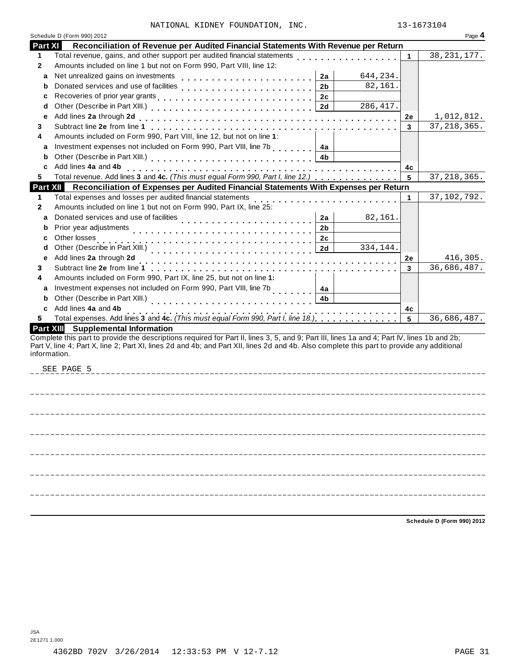|  |  | NATIONAL KIDNEY FOUNDATION, INC |  |
|--|--|---------------------------------|--|
|--|--|---------------------------------|--|

|                  | Schedule D (Form 990) 2012                                                                                                                                                                                                                                                                                |         | Page 4        |
|------------------|-----------------------------------------------------------------------------------------------------------------------------------------------------------------------------------------------------------------------------------------------------------------------------------------------------------|---------|---------------|
| Part XI          | Reconciliation of Revenue per Audited Financial Statements With Revenue per Return                                                                                                                                                                                                                        |         |               |
| 1.               | Total revenue, gains, and other support per audited financial statements                                                                                                                                                                                                                                  | 1       | 38, 231, 177. |
| 2                | Amounts included on line 1 but not on Form 990, Part VIII, line 12:                                                                                                                                                                                                                                       |         |               |
| a                | Net unrealized gains on investments<br>644,234.<br>2a                                                                                                                                                                                                                                                     |         |               |
| b                | 82,161.<br>2 <sub>b</sub>                                                                                                                                                                                                                                                                                 |         |               |
| с                | 2c                                                                                                                                                                                                                                                                                                        |         |               |
| d                | 286, 417.<br>2d                                                                                                                                                                                                                                                                                           |         |               |
| e                |                                                                                                                                                                                                                                                                                                           | 2e      | 1,012,812.    |
| 3                |                                                                                                                                                                                                                                                                                                           | 3       | 37, 218, 365. |
| 4                | Amounts included on Form 990, Part VIII, line 12, but not on line 1:                                                                                                                                                                                                                                      |         |               |
| a                | Investment expenses not included on Form 990, Part VIII, line 7b<br>4a                                                                                                                                                                                                                                    |         |               |
| b                | 4 <sub>b</sub>                                                                                                                                                                                                                                                                                            |         |               |
| c                | Add lines 4a and 4b                                                                                                                                                                                                                                                                                       | 4с      |               |
| 5                | Total revenue. Add lines 3 and 4c. (This must equal Form 990, Part I, line 12.)                                                                                                                                                                                                                           | 5       | 37, 218, 365. |
|                  | Part XII Reconciliation of Expenses per Audited Financial Statements With Expenses per Return                                                                                                                                                                                                             |         |               |
| 1                | Total expenses and losses per audited financial statements                                                                                                                                                                                                                                                | 1       | 37,102,792.   |
| 2                | Amounts included on line 1 but not on Form 990, Part IX, line 25:                                                                                                                                                                                                                                         |         |               |
| a                | Donated services and use of facilities<br>interactions interaction interaction interaction interaction interaction interaction interaction interaction interaction interaction interaction interaction interaction interaction i<br>82,161.<br>2a                                                         |         |               |
| b                | 2 <sub>b</sub>                                                                                                                                                                                                                                                                                            |         |               |
| c                | Other losses<br>2c                                                                                                                                                                                                                                                                                        |         |               |
| d                | 2d<br>334,144.                                                                                                                                                                                                                                                                                            |         |               |
| e                | Add lines 2a through 2d                                                                                                                                                                                                                                                                                   | 2e      | 416,305.      |
| 3                |                                                                                                                                                                                                                                                                                                           | 3       | 36,686,487.   |
| 4                | Amounts included on Form 990, Part IX, line 25, but not on line 1:                                                                                                                                                                                                                                        |         |               |
| a                | Investment expenses not included on Form 990, Part VIII, line 7b<br>4a                                                                                                                                                                                                                                    |         |               |
| b                | Other (Describe in Part XIII.)<br>4b                                                                                                                                                                                                                                                                      |         |               |
| C                | Add lines 4a and 4b                                                                                                                                                                                                                                                                                       |         |               |
| 5                | Total expenses. Add lines 3 and 4c. (This must equal Form 990, Part I, line 18.)                                                                                                                                                                                                                          | 4c<br>5 | 36,686,487.   |
| <b>Part XIII</b> | <b>Supplemental Information</b>                                                                                                                                                                                                                                                                           |         |               |
|                  | Complete this part to provide the descriptions required for Part II, lines 3, 5, and 9; Part III, lines 1a and 4; Part IV, lines 1b and 2b;<br>Part V, line 4; Part X, line 2; Part XI, lines 2d and 4b; and Part XII, lines 2d and 4b. Also complete this part to provide any additional<br>information. |         |               |
|                  | SEE PAGE 5                                                                                                                                                                                                                                                                                                |         |               |
|                  |                                                                                                                                                                                                                                                                                                           |         |               |
|                  |                                                                                                                                                                                                                                                                                                           |         |               |
|                  |                                                                                                                                                                                                                                                                                                           |         |               |
|                  |                                                                                                                                                                                                                                                                                                           |         |               |
|                  |                                                                                                                                                                                                                                                                                                           |         |               |

**Schedule D (Form 990) 2012**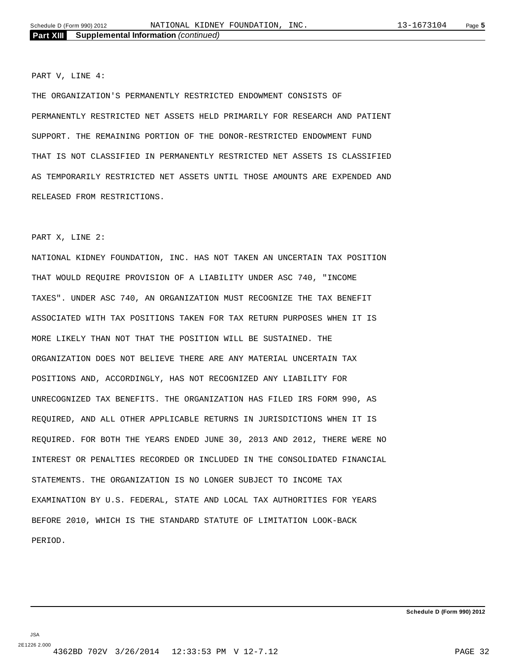PART V, LINE 4:

THE ORGANIZATION'S PERMANENTLY RESTRICTED ENDOWMENT CONSISTS OF PERMANENTLY RESTRICTED NET ASSETS HELD PRIMARILY FOR RESEARCH AND PATIENT SUPPORT. THE REMAINING PORTION OF THE DONOR-RESTRICTED ENDOWMENT FUND THAT IS NOT CLASSIFIED IN PERMANENTLY RESTRICTED NET ASSETS IS CLASSIFIED AS TEMPORARILY RESTRICTED NET ASSETS UNTIL THOSE AMOUNTS ARE EXPENDED AND RELEASED FROM RESTRICTIONS.

#### PART X, LINE 2:

NATIONAL KIDNEY FOUNDATION, INC. HAS NOT TAKEN AN UNCERTAIN TAX POSITION THAT WOULD REQUIRE PROVISION OF A LIABILITY UNDER ASC 740, "INCOME TAXES". UNDER ASC 740, AN ORGANIZATION MUST RECOGNIZE THE TAX BENEFIT ASSOCIATED WITH TAX POSITIONS TAKEN FOR TAX RETURN PURPOSES WHEN IT IS MORE LIKELY THAN NOT THAT THE POSITION WILL BE SUSTAINED. THE ORGANIZATION DOES NOT BELIEVE THERE ARE ANY MATERIAL UNCERTAIN TAX POSITIONS AND, ACCORDINGLY, HAS NOT RECOGNIZED ANY LIABILITY FOR UNRECOGNIZED TAX BENEFITS. THE ORGANIZATION HAS FILED IRS FORM 990, AS REQUIRED, AND ALL OTHER APPLICABLE RETURNS IN JURISDICTIONS WHEN IT IS REQUIRED. FOR BOTH THE YEARS ENDED JUNE 30, 2013 AND 2012, THERE WERE NO INTEREST OR PENALTIES RECORDED OR INCLUDED IN THE CONSOLIDATED FINANCIAL STATEMENTS. THE ORGANIZATION IS NO LONGER SUBJECT TO INCOME TAX EXAMINATION BY U.S. FEDERAL, STATE AND LOCAL TAX AUTHORITIES FOR YEARS BEFORE 2010, WHICH IS THE STANDARD STATUTE OF LIMITATION LOOK-BACK PERIOD.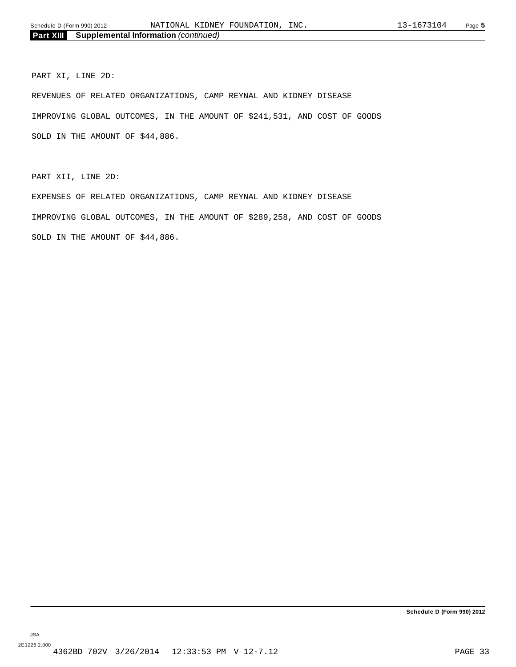PART XI, LINE 2D:

REVENUES OF RELATED ORGANIZATIONS, CAMP REYNAL AND KIDNEY DISEASE IMPROVING GLOBAL OUTCOMES, IN THE AMOUNT OF \$241,531, AND COST OF GOODS SOLD IN THE AMOUNT OF \$44,886.

PART XII, LINE 2D:

EXPENSES OF RELATED ORGANIZATIONS, CAMP REYNAL AND KIDNEY DISEASE IMPROVING GLOBAL OUTCOMES, IN THE AMOUNT OF \$289,258, AND COST OF GOODS SOLD IN THE AMOUNT OF \$44,886.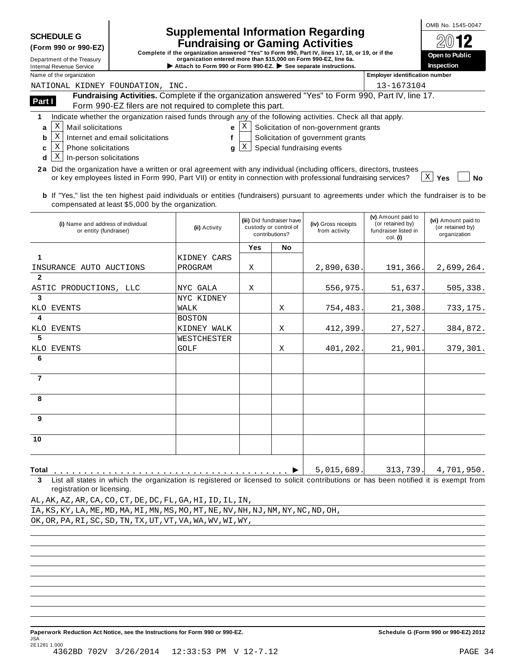**7**

**8**

**9**

**10**

| (Form 990 or 990-EZ |  |  |  |  |
|---------------------|--|--|--|--|
|---------------------|--|--|--|--|

|  | Internal Revenue Service |  |
|--|--------------------------|--|
|  |                          |  |

# Supplemental Information Regarding **COMB No. 1545-0047**

SCHEDULE G<br>
(Form 990 or 990-EZ)<br>
Complete if the organization answered "Yes" to Form 990, Part IV, lines 17, 18, or 19, or if the<br>
Department of the Treasury<br>
Internal Revenue Service<br>
Name of the organization<br>
Name of t

| $20$ 12               |
|-----------------------|
| <b>Open to Public</b> |
| Inspection            |
|                       |

| Name of the organization                                                                                                                                                                                                                                                                                                                                                                                                                         |               |                                                                      |    |                                      | <b>Employer identification number</b>                                      |                                                         |  |  |  |
|--------------------------------------------------------------------------------------------------------------------------------------------------------------------------------------------------------------------------------------------------------------------------------------------------------------------------------------------------------------------------------------------------------------------------------------------------|---------------|----------------------------------------------------------------------|----|--------------------------------------|----------------------------------------------------------------------------|---------------------------------------------------------|--|--|--|
| NATIONAL KIDNEY FOUNDATION, INC.                                                                                                                                                                                                                                                                                                                                                                                                                 |               |                                                                      |    |                                      | 13-1673104                                                                 |                                                         |  |  |  |
| Fundraising Activities. Complete if the organization answered "Yes" to Form 990, Part IV, line 17.<br>Part I<br>Form 990-EZ filers are not required to complete this part.                                                                                                                                                                                                                                                                       |               |                                                                      |    |                                      |                                                                            |                                                         |  |  |  |
| Indicate whether the organization raised funds through any of the following activities. Check all that apply.                                                                                                                                                                                                                                                                                                                                    |               |                                                                      |    |                                      |                                                                            |                                                         |  |  |  |
| X<br>Mail solicitations<br>Solicitation of non-government grants<br>X<br>a<br>e                                                                                                                                                                                                                                                                                                                                                                  |               |                                                                      |    |                                      |                                                                            |                                                         |  |  |  |
| X<br>Solicitation of government grants<br>Internet and email solicitations<br>b                                                                                                                                                                                                                                                                                                                                                                  |               |                                                                      |    |                                      |                                                                            |                                                         |  |  |  |
| X<br>Phone solicitations<br>c                                                                                                                                                                                                                                                                                                                                                                                                                    | a             | $\mathbf{X}$                                                         |    | Special fundraising events           |                                                                            |                                                         |  |  |  |
| X<br>In-person solicitations<br>d                                                                                                                                                                                                                                                                                                                                                                                                                |               |                                                                      |    |                                      |                                                                            |                                                         |  |  |  |
| Did the organization have a written or oral agreement with any individual (including officers, directors, trustees<br>2a<br>or key employees listed in Form 990, Part VII) or entity in connection with professional fundraising services?<br><b>b</b> If "Yes," list the ten highest paid individuals or entities (fundraisers) pursuant to agreements under which the fundraiser is to be<br>compensated at least \$5,000 by the organization. |               |                                                                      |    |                                      |                                                                            | - X  <br><b>Yes</b><br><b>No</b>                        |  |  |  |
| (i) Name and address of individual<br>or entity (fundraiser)                                                                                                                                                                                                                                                                                                                                                                                     | (ii) Activity | (iii) Did fundraiser have<br>custody or control of<br>contributions? |    | (iv) Gross receipts<br>from activity | (v) Amount paid to<br>(or retained by)<br>fundraiser listed in<br>col. (i) | (vi) Amount paid to<br>(or retained by)<br>organization |  |  |  |
|                                                                                                                                                                                                                                                                                                                                                                                                                                                  |               | <b>Yes</b>                                                           | No |                                      |                                                                            |                                                         |  |  |  |
| 1                                                                                                                                                                                                                                                                                                                                                                                                                                                | KIDNEY CARS   |                                                                      |    |                                      |                                                                            |                                                         |  |  |  |
| INSURANCE AUTO AUCTIONS                                                                                                                                                                                                                                                                                                                                                                                                                          | PROGRAM       | X                                                                    |    | 2,890,630.                           | 191,366.                                                                   | 2,699,264.                                              |  |  |  |
| $\mathbf{2}$                                                                                                                                                                                                                                                                                                                                                                                                                                     |               |                                                                      |    |                                      |                                                                            |                                                         |  |  |  |
| ASTIC PRODUCTIONS, LLC                                                                                                                                                                                                                                                                                                                                                                                                                           | NYC GALA      | X                                                                    |    | 556,975.                             | 51,637                                                                     | 505,338.                                                |  |  |  |
| 3                                                                                                                                                                                                                                                                                                                                                                                                                                                | NYC KIDNEY    |                                                                      |    |                                      |                                                                            |                                                         |  |  |  |
| EVENTS<br>KLO                                                                                                                                                                                                                                                                                                                                                                                                                                    | WALK          |                                                                      | Χ  | 754,483.                             | 21,308                                                                     | 733,175.                                                |  |  |  |
| 4                                                                                                                                                                                                                                                                                                                                                                                                                                                | <b>BOSTON</b> |                                                                      |    |                                      |                                                                            |                                                         |  |  |  |
| EVENTS<br>KLO                                                                                                                                                                                                                                                                                                                                                                                                                                    | KIDNEY WALK   |                                                                      | X  | 412,399.                             | 27,527.                                                                    | 384,872.                                                |  |  |  |
| 5                                                                                                                                                                                                                                                                                                                                                                                                                                                | WESTCHESTER   |                                                                      |    |                                      |                                                                            |                                                         |  |  |  |
| <b>KLO</b><br>EVENTS                                                                                                                                                                                                                                                                                                                                                                                                                             | <b>GOLF</b>   |                                                                      | X  | 401,202.                             | 21,901                                                                     | 379,301.                                                |  |  |  |
| 6                                                                                                                                                                                                                                                                                                                                                                                                                                                |               |                                                                      |    |                                      |                                                                            |                                                         |  |  |  |

**Total** m m m m m m m m m m m m m m m m m m m m m m m m m m m m m m m m m m m m m m m I **3** List all states in which the organization is registered or licensed to solicit contributions or has been notified it is exempt from registration or licensing.

|  | AL, AK, AZ, AR, CA, CO, CT, DE, DC, FL, GA, HI, ID, IL, IN, |  |  |  |  |  |  |  |  |                                                                                     |
|--|-------------------------------------------------------------|--|--|--|--|--|--|--|--|-------------------------------------------------------------------------------------|
|  |                                                             |  |  |  |  |  |  |  |  | IA, KS, KY, LA, ME, MD, MA, MI, MN, MS, MO, MT, NE, NV, NH, NJ, NM, NY, NC, ND, OH, |
|  | OK, OR, PA, RI, SC, SD, TN, TX, UT, VT, VA, WA, WV, WI, WY, |  |  |  |  |  |  |  |  |                                                                                     |

5,015,689. 313,739. 4,701,950.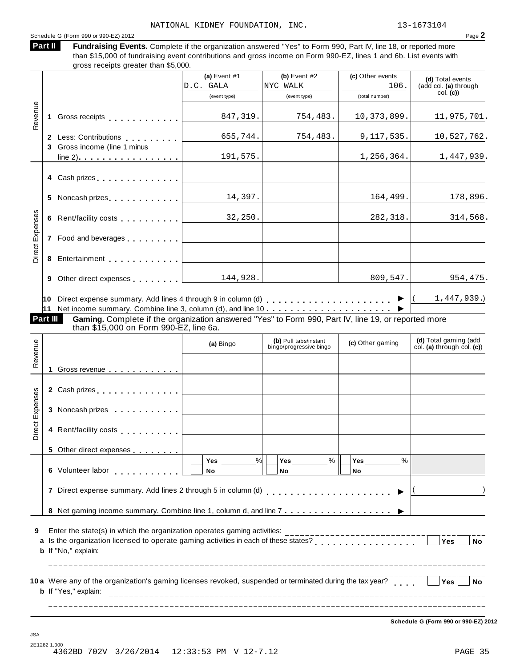Schedule <sup>G</sup> (Form <sup>990</sup> or 990-EZ) <sup>2012</sup> Page **2** Fundraising Events. Complete if the organization answered "Yes" to Form 990, Part IV, line 18, or reported more than \$15,000 of fundraising event contributions and gross income on Form 990-EZ, lines 1 and 6b. List events with gross receipts greater than \$5,000. **Part II (a)** Event #1 **(b)** Event #2 **(c)** Other events **(d)** Total events (add col. **(a)** through col. **(c)**) (event type) (event type) (total number) **1** Gross receipts **manual** measure is a manual series of the Gross receipts **manual 2** Less: Contributions **manual 3** Gross income (line 1 minus line 2) m m m m m m m m m m m m m m m m m Revenue **4** Cash prizes . . . . . . . . . . . . . **5** Noncash prizes **man m m m m m m m m m m m m m m m 6** Rent/facility costs **. . . . . . . . .** . **7** Food and beverages **.** . . . . . . . . **8** Entertainment . . . . . . . . . . . **9** Other direct expenses **manual**  $\overline{\phantom{a}}$ **10** Direct expense summary. Add lines 4 through 9 in column (d) m m m m m m m m m m m m m m m m m m m m m **11** Net income summary. Combine line 3, column (d), and line 10  $\bullet$   $($  1,447,939.) m m m m m m m m m m m m m m m m m m m m m I Direct Expenses **Part III Gaming.** Complete if the organization answered "Yes" to Form 990, Part IV, line 19, or reported more<br>than \$15,000 on Form 990-EZ, line 6a. **(d)** Total gaming (add col. **(a)** through col. **(c)**) **(b)** Pull tabs/instant (a) Bingo **(b)** Pull tabs/instant **(c)** Other gaming **(c)** Other gaming **1** Gross revenue **2** Cash prizes <sub>.</sub> . . . . . . . . . . . . . **3** Noncash prizes **man m m m m m m m m m m m m**  $\begin{bmatrix} a \\ b \\ c \\ d \end{bmatrix}$ <br> $\begin{bmatrix} a \\ c \\ d \end{bmatrix}$  1 Gross revenue  $\begin{bmatrix} a & b \\ c & d \end{bmatrix}$  1 Gross revenue **4** Rent/facility costs **manual** metal with  $\cdot$ **5** Other direct expenses **6** Volunteer labor **7** Direct expense summary. Add lines 2 through 5 in column (d) m m m m m m m m m m m m m m m m m m m m m I **8** Net gaming income summary. Combine line 1, column d, and line 7 **.** . . . . . . . . . . . . . . . . ▶ ▶ │ . <u>. . . . . . .</u> Direct Expenses **Yes No Yes No Yes No** % % % m m m m m m m m m m m  $($  ) **9** Enter the state(s) in which the organization operates gaming activities: **10** Were any of the organization's gaming licenses revoked, suspended or terminated during the tax year? **a** Enter the state(s) in which the organization operates gaming activities:<br>**a** Is the organization licensed to operate gaming activities in each of these states?<br>**a** list the state of the state of the states of the states of **b** If "No," explain: **b** If "Yes," explain: **i**  $\qquad \qquad$  Yes  $\Box$  No NATIONAL KIDNEY FOUNDATION, INC. 13-1673104 D.C. GALA | NYC WALK | 106. 847,319. 754,483. 10,373,899. 11,975,701. 655,744. 754,483. 9,117,535. 10,527,762. 191,575. 1.256,364. 1,447,939. 14,397. 164,499. 178,896. 32,250. 282,318. 314,568. 144,928.

**Schedule G (Form 990 or 990-EZ) 2012**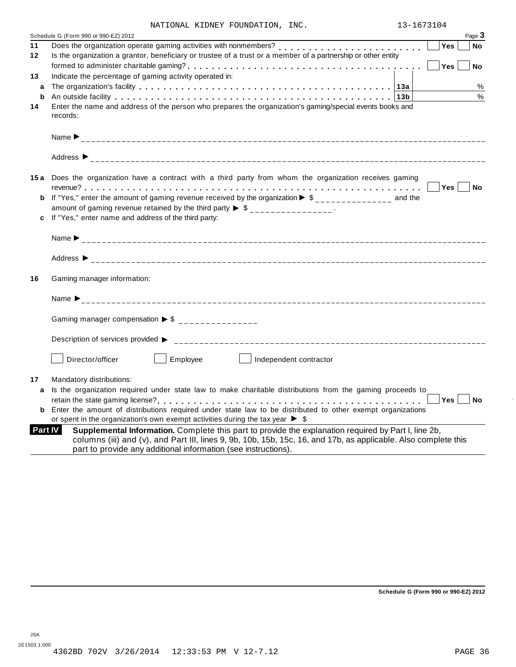|  |  | NATIONAL KIDNEY FOUNDATION, INC. |  |
|--|--|----------------------------------|--|
|--|--|----------------------------------|--|

|                | NATIONAL KIDNEY FOUNDATION, INC.                                                                                                                                                                                                                                                          | 13-1673104 |           |
|----------------|-------------------------------------------------------------------------------------------------------------------------------------------------------------------------------------------------------------------------------------------------------------------------------------------|------------|-----------|
|                | Schedule G (Form 990 or 990-EZ) 2012                                                                                                                                                                                                                                                      |            | Page 3    |
| 11             |                                                                                                                                                                                                                                                                                           | Yes        | No        |
| 12             | Is the organization a grantor, beneficiary or trustee of a trust or a member of a partnership or other entity                                                                                                                                                                             |            |           |
|                |                                                                                                                                                                                                                                                                                           | Yes        | <b>No</b> |
| 13             | Indicate the percentage of gaming activity operated in:                                                                                                                                                                                                                                   |            |           |
| a              |                                                                                                                                                                                                                                                                                           |            | $\%$      |
| b              |                                                                                                                                                                                                                                                                                           |            | $\%$      |
| 14             | Enter the name and address of the person who prepares the organization's gaming/special events books and<br>records:                                                                                                                                                                      |            |           |
|                |                                                                                                                                                                                                                                                                                           |            |           |
|                | Address $\triangleright$                                                                                                                                                                                                                                                                  |            |           |
|                | 15a Does the organization have a contract with a third party from whom the organization receives gaming                                                                                                                                                                                   |            |           |
|                |                                                                                                                                                                                                                                                                                           | Yes        | No        |
|                | <b>b</b> If "Yes," enter the amount of gaming revenue received by the organization $\triangleright$ \$______________ and the                                                                                                                                                              |            |           |
|                | amount of gaming revenue retained by the third party $\triangleright$ \$ _______________.                                                                                                                                                                                                 |            |           |
|                | If "Yes," enter name and address of the third party:                                                                                                                                                                                                                                      |            |           |
|                |                                                                                                                                                                                                                                                                                           |            |           |
|                |                                                                                                                                                                                                                                                                                           |            |           |
| 16             | Gaming manager information:                                                                                                                                                                                                                                                               |            |           |
|                |                                                                                                                                                                                                                                                                                           |            |           |
|                | Gaming manager compensation $\triangleright$ \$ _______________                                                                                                                                                                                                                           |            |           |
|                |                                                                                                                                                                                                                                                                                           |            |           |
|                | Director/officer<br>Employee<br>Independent contractor                                                                                                                                                                                                                                    |            |           |
| 17             | Mandatory distributions:                                                                                                                                                                                                                                                                  |            |           |
| a              | Is the organization required under state law to make charitable distributions from the gaming proceeds to                                                                                                                                                                                 |            |           |
|                |                                                                                                                                                                                                                                                                                           |            |           |
|                | <b>b</b> Enter the amount of distributions required under state law to be distributed to other exempt organizations                                                                                                                                                                       |            |           |
|                | or spent in the organization's own exempt activities during the tax year $\blacktriangleright$ \$                                                                                                                                                                                         |            |           |
| <b>Part IV</b> | Supplemental Information. Complete this part to provide the explanation required by Part I, line 2b,<br>columns (iii) and (v), and Part III, lines 9, 9b, 10b, 15b, 15c, 16, and 17b, as applicable. Also complete this<br>part to provide any additional information (see instructions). |            |           |

**Schedule G (Form 990 or 990-EZ) 2012**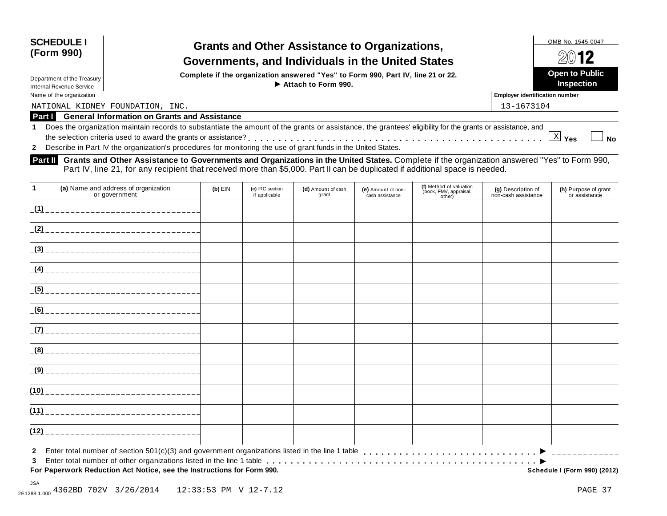| <b>SCHEDULE I</b> |  |
|-------------------|--|
| (Form 990)        |  |

## **Grants and Other Assistance to Organizations, Governments, and Individuals in the United States Assistance Assistance** *PO12*

Department of the Treasury **Department of the Treasury** Complete if the organization answered "Yes" to Form 990, Part IV, line 21 or 22.<br>Department of the Treasury **Depart of Public**<br>Department of the Treasury of the Depa

Department of the Treasury

Name of the organization **Employer identification number in the original of the original of the organization in the original of the organization in the original of the original of the original of the original of the** 

NATIONAL KIDNEY FOUNDATION, INC. 13-1673104

**Part I General Information on Grants and Assistance**

**1** Does the organization maintain records to substantiate the amount of the grants or assistance, the grantees' eligibility for the grants or assistance, and Does the organization maintain records to substantiate the amount of the grants or assistance, the grantees' eligibility for the grants or assistance, and<br>the selection criteria used to award the grants or assistance?<br>- $\overline{X}$  Yes

**2** Describe in Part IV the organization's procedures for monitoring the use of grant funds in the United States.

**Grants and Other Assistance to Governments and Organizations in the United States.** Complete ifthe organization answered "Yes" to Form 990, Part IV, line 21, for any recipient that received more than \$5,000. Part II can be duplicated if additional space is needed.

| $\mathbf{1}$ | (a) Name and address of organization<br>or government                  | $(b)$ EIN | (c) IRC section<br>if applicable | (d) Amount of cash<br>grant | (e) Amount of non-<br>cash assistance | (f) Method of valuation<br>(book, FMV, appraisal,<br>other) | (g) Description of<br>non-cash assistance | (h) Purpose of grant<br>or assistance |
|--------------|------------------------------------------------------------------------|-----------|----------------------------------|-----------------------------|---------------------------------------|-------------------------------------------------------------|-------------------------------------------|---------------------------------------|
|              |                                                                        |           |                                  |                             |                                       |                                                             |                                           |                                       |
|              |                                                                        |           |                                  |                             |                                       |                                                             |                                           |                                       |
|              |                                                                        |           |                                  |                             |                                       |                                                             |                                           |                                       |
|              |                                                                        |           |                                  |                             |                                       |                                                             |                                           |                                       |
|              |                                                                        |           |                                  |                             |                                       |                                                             |                                           |                                       |
|              |                                                                        |           |                                  |                             |                                       |                                                             |                                           |                                       |
|              |                                                                        |           |                                  |                             |                                       |                                                             |                                           |                                       |
|              |                                                                        |           |                                  |                             |                                       |                                                             |                                           |                                       |
|              |                                                                        |           |                                  |                             |                                       |                                                             |                                           |                                       |
|              |                                                                        |           |                                  |                             |                                       |                                                             |                                           |                                       |
|              |                                                                        |           |                                  |                             |                                       |                                                             |                                           |                                       |
|              |                                                                        |           |                                  |                             |                                       |                                                             |                                           |                                       |
| $\mathbf{2}$ |                                                                        |           |                                  |                             |                                       |                                                             |                                           |                                       |
| 3            |                                                                        |           |                                  |                             |                                       |                                                             |                                           |                                       |
|              | For Paperwork Reduction Act Notice, see the Instructions for Form 990. |           |                                  |                             |                                       |                                                             |                                           | Schedule I (Form 990) (2012)          |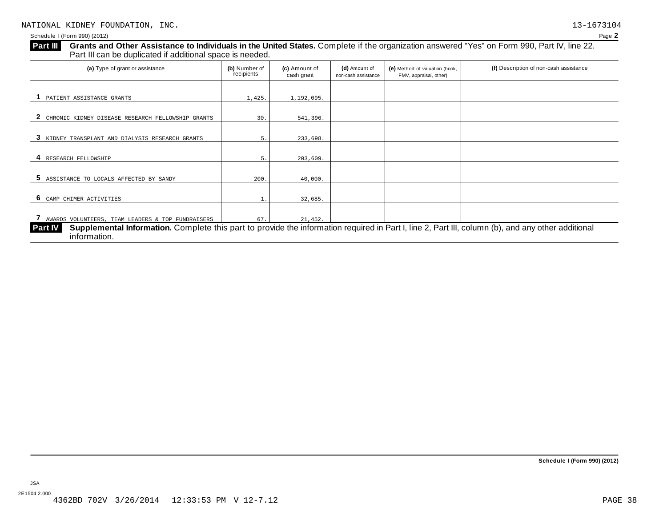| <b>Part III</b> | Grants and Other Assistance to Individuals in the United States. Complete if the organization answered "Yes" on Form 990, Part IV, line 22.<br>Part III can be duplicated if additional space is needed. |                             |                             |                                      |                                                          |                                        |
|-----------------|----------------------------------------------------------------------------------------------------------------------------------------------------------------------------------------------------------|-----------------------------|-----------------------------|--------------------------------------|----------------------------------------------------------|----------------------------------------|
|                 | (a) Type of grant or assistance                                                                                                                                                                          | (b) Number of<br>recipients | (c) Amount of<br>cash grant | (d) Amount of<br>non-cash assistance | (e) Method of valuation (book,<br>FMV, appraisal, other) | (f) Description of non-cash assistance |
|                 | PATIENT ASSISTANCE GRANTS                                                                                                                                                                                | 1,425.                      | 1,192,095.                  |                                      |                                                          |                                        |
|                 |                                                                                                                                                                                                          |                             |                             |                                      |                                                          |                                        |

| CHRONIC KIDNEY DISEASE RESEARCH FELLOWSHIP GRANTS                                                                                                                    | 30.  | 541,396. |  |  |
|----------------------------------------------------------------------------------------------------------------------------------------------------------------------|------|----------|--|--|
|                                                                                                                                                                      |      |          |  |  |
| 3 KIDNEY TRANSPLANT AND DIALYSIS RESEARCH GRANTS                                                                                                                     |      | 233,698. |  |  |
|                                                                                                                                                                      |      |          |  |  |
| RESEARCH FELLOWSHIP                                                                                                                                                  |      | 203,609. |  |  |
|                                                                                                                                                                      |      |          |  |  |
| 5 ASSISTANCE TO LOCALS AFFECTED BY SANDY                                                                                                                             | 200. | 40,000.  |  |  |
|                                                                                                                                                                      |      |          |  |  |
| 6 CAMP CHIMER ACTIVITIES                                                                                                                                             |      | 32,685.  |  |  |
|                                                                                                                                                                      |      |          |  |  |
| 7 AWARDS VOLUNTEERS, TEAM LEADERS & TOP FUNDRAISERS                                                                                                                  | 67.  | 21,452.  |  |  |
| Supplemental Information. Complete this part to provide the information required in Part I, line 2, Part III, column (b), and any other additional<br><b>Part IV</b> |      |          |  |  |
| information.                                                                                                                                                         |      |          |  |  |

JSA 2E1504 2.000 4362BD 702V 3/26/2014 12:33:53 PM V 12-7.12 PAGE 38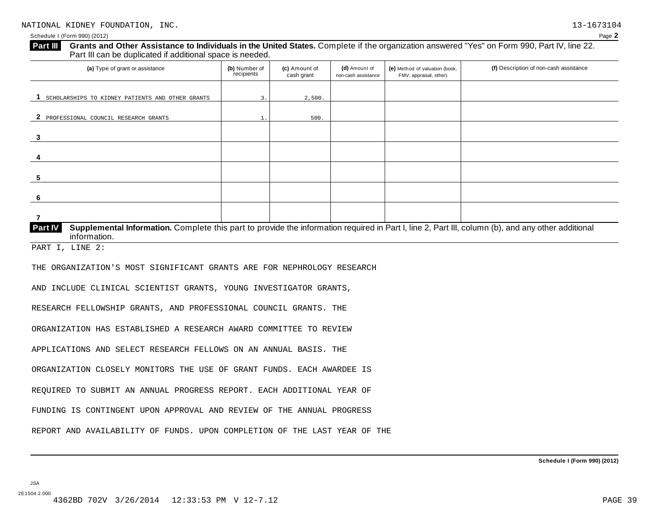#### Schedule I (Form 990) (2012) Page **2**

**3**

**4**

**5**

**Grants and Other Assistance to Individuals in the United States.** Complete ifthe organization answered "Yes" on Form 990, Part IV, line 22. **Part III** Grants and Other Assistance to Individuals in the Unit Part III can be duplicated if additional space is needed. (a) Type of grant or assistance **(b)** Number of **(c)** Amount of **(d)** Amount of **(e)** Method of valuation (book, **(f)** Description of non-cash assistance FMV, appraisal, other) **(b)** Number of recipients **(d)** Amount of non-cash assistance **(c)** Amount of cash grant 1 SCHOLARSHIPS TO KIDNEY PATIENTS AND OTHER GRANTS 3. 3. 2,500.

| Part IV | Supplemental Information. Complete this part to provide the information required in Part I, line 2, Part III, column (b), and any other additional |  |  |  |
|---------|----------------------------------------------------------------------------------------------------------------------------------------------------|--|--|--|
|         | information.                                                                                                                                       |  |  |  |

PART I, LINE 2:

THE ORGANIZATION'S MOST SIGNIFICANT GRANTS ARE FOR NEPHROLOGY RESEARCH

AND INCLUDE CLINICAL SCIENTIST GRANTS, YOUNG INVESTIGATOR GRANTS,

**2** PROFESSIONAL COUNCIL RESEARCH GRANTS 1. 1. 500.

RESEARCH FELLOWSHIP GRANTS, AND PROFESSIONAL COUNCIL GRANTS. THE

ORGANIZATION HAS ESTABLISHED A RESEARCH AWARD COMMITTEE TO REVIEW

APPLICATIONS AND SELECT RESEARCH FELLOWS ON AN ANNUAL BASIS. THE

ORGANIZATION CLOSELY MONITORS THE USE OF GRANT FUNDS. EACH AWARDEE IS

REQUIRED TO SUBMIT AN ANNUAL PROGRESS REPORT. EACH ADDITIONAL YEAR OF

FUNDING IS CONTINGENT UPON APPROVAL AND REVIEW OF THE ANNUAL PROGRESS

REPORT AND AVAILABILITY OF FUNDS. UPON COMPLETION OF THE LAST YEAR OF THE

JSA 2E1504 2.000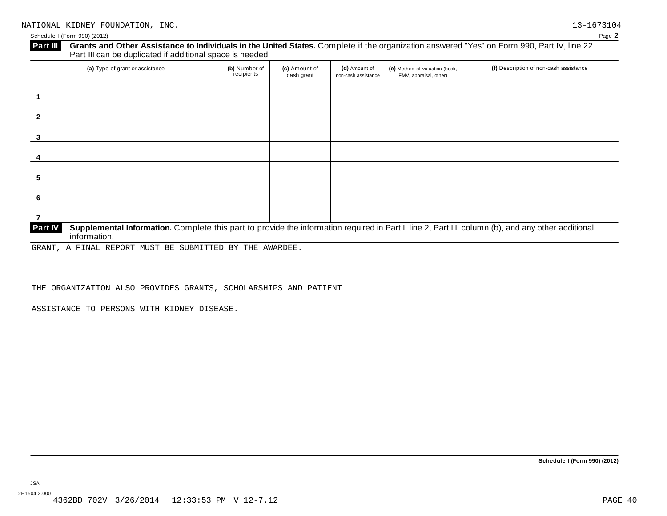#### Schedule I (Form 990) (2012) Page **2**

**Grants and Other Assistance to Individuals in the United States.** Complete ifthe organization answered "Yes" on Form 990, Part IV, line 22. **Part III** Grants and Other Assistance to Individuals in the Unit Part III can be duplicated if additional space is needed.

| (a) Type of grant or assistance                                                                                                                                                      | (b) Number of<br>recipients | (c) Amount of<br>cash grant | (d) Amount of<br>non-cash assistance | (e) Method of valuation (book,<br>FMV, appraisal, other) | (f) Description of non-cash assistance |
|--------------------------------------------------------------------------------------------------------------------------------------------------------------------------------------|-----------------------------|-----------------------------|--------------------------------------|----------------------------------------------------------|----------------------------------------|
|                                                                                                                                                                                      |                             |                             |                                      |                                                          |                                        |
|                                                                                                                                                                                      |                             |                             |                                      |                                                          |                                        |
| 3                                                                                                                                                                                    |                             |                             |                                      |                                                          |                                        |
|                                                                                                                                                                                      |                             |                             |                                      |                                                          |                                        |
|                                                                                                                                                                                      |                             |                             |                                      |                                                          |                                        |
| 6                                                                                                                                                                                    |                             |                             |                                      |                                                          |                                        |
|                                                                                                                                                                                      |                             |                             |                                      |                                                          |                                        |
| Supplemental Information. Complete this part to provide the information required in Part I, line 2, Part III, column (b), and any other additional<br><b>Part IV</b><br>information. |                             |                             |                                      |                                                          |                                        |

GRANT, A FINAL REPORT MUST BE SUBMITTED BY THE AWARDEE.

THE ORGANIZATION ALSO PROVIDES GRANTS, SCHOLARSHIPS AND PATIENT

ASSISTANCE TO PERSONS WITH KIDNEY DISEASE.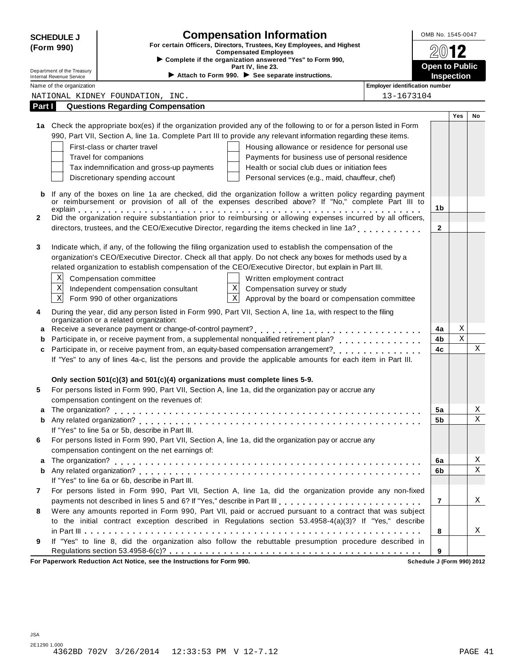|              | <b>SCHEDULE J</b>                                      | <b>Compensation Information</b>                                                                                                | OMB No. 1545-0047                   |         |             |
|--------------|--------------------------------------------------------|--------------------------------------------------------------------------------------------------------------------------------|-------------------------------------|---------|-------------|
|              | (Form 990)                                             | For certain Officers, Directors, Trustees, Key Employees, and Highest<br><b>Compensated Employees</b>                          |                                     |         |             |
|              |                                                        | Complete if the organization answered "Yes" to Form 990,                                                                       |                                     |         |             |
|              | Department of the Treasury<br>Internal Revenue Service | Part IV, line 23.<br>Attach to Form 990. See separate instructions.                                                            | <b>Open to Public</b><br>Inspection |         |             |
|              | Name of the organization                               | <b>Employer identification number</b>                                                                                          |                                     |         |             |
|              |                                                        | 13-1673104<br>NATIONAL KIDNEY FOUNDATION, INC.                                                                                 |                                     |         |             |
| Part I       |                                                        | <b>Questions Regarding Compensation</b>                                                                                        |                                     |         |             |
|              |                                                        |                                                                                                                                |                                     | Yes     | No          |
|              |                                                        | 1a Check the appropriate box(es) if the organization provided any of the following to or for a person listed in Form           |                                     |         |             |
|              |                                                        | 990, Part VII, Section A, line 1a. Complete Part III to provide any relevant information regarding these items.                |                                     |         |             |
|              |                                                        | First-class or charter travel<br>Housing allowance or residence for personal use                                               |                                     |         |             |
|              |                                                        | Travel for companions<br>Payments for business use of personal residence<br>Health or social club dues or initiation fees      |                                     |         |             |
|              |                                                        | Tax indemnification and gross-up payments<br>Discretionary spending account<br>Personal services (e.g., maid, chauffeur, chef) |                                     |         |             |
|              |                                                        |                                                                                                                                |                                     |         |             |
| b            |                                                        | If any of the boxes on line 1a are checked, did the organization follow a written policy regarding payment                     |                                     |         |             |
|              |                                                        | or reimbursement or provision of all of the expenses described above? If "No," complete Part III to                            | 1 <sub>b</sub>                      |         |             |
| $\mathbf{2}$ |                                                        | Did the organization require substantiation prior to reimbursing or allowing expenses incurred by all officers,                |                                     |         |             |
|              |                                                        | directors, trustees, and the CEO/Executive Director, regarding the items checked in line 1a?                                   | $\mathbf{2}$                        |         |             |
|              |                                                        |                                                                                                                                |                                     |         |             |
| 3            |                                                        | Indicate which, if any, of the following the filing organization used to establish the compensation of the                     |                                     |         |             |
|              |                                                        | organization's CEO/Executive Director. Check all that apply. Do not check any boxes for methods used by a                      |                                     |         |             |
|              |                                                        | related organization to establish compensation of the CEO/Executive Director, but explain in Part III.                         |                                     |         |             |
|              | Χ                                                      | Compensation committee<br>Written employment contract                                                                          |                                     |         |             |
|              | $\mathbf X$                                            | $\mathbf X$<br>Compensation survey or study<br>Independent compensation consultant                                             |                                     |         |             |
|              | $\mathbf X$                                            | $\overline{\mathbf{x}}$<br>Approval by the board or compensation committee<br>Form 990 of other organizations                  |                                     |         |             |
| 4            |                                                        | During the year, did any person listed in Form 990, Part VII, Section A, line 1a, with respect to the filing                   |                                     |         |             |
|              |                                                        | organization or a related organization:                                                                                        |                                     |         |             |
|              |                                                        |                                                                                                                                | 4a                                  | Χ       |             |
|              |                                                        |                                                                                                                                | 4b                                  | $\rm X$ |             |
| c            |                                                        |                                                                                                                                | 4c                                  |         | Χ           |
|              |                                                        | If "Yes" to any of lines 4a-c, list the persons and provide the applicable amounts for each item in Part III.                  |                                     |         |             |
|              |                                                        |                                                                                                                                |                                     |         |             |
|              |                                                        | Only section $501(c)(3)$ and $501(c)(4)$ organizations must complete lines 5-9.                                                |                                     |         |             |
| 5            |                                                        | For persons listed in Form 990, Part VII, Section A, line 1a, did the organization pay or accrue any                           |                                     |         |             |
|              |                                                        | compensation contingent on the revenues of:                                                                                    |                                     |         |             |
|              |                                                        |                                                                                                                                | 5a                                  |         | Χ<br>Χ      |
| b            |                                                        | If "Yes" to line 5a or 5b, describe in Part III.                                                                               | 5b                                  |         |             |
| 6            |                                                        | For persons listed in Form 990, Part VII, Section A, line 1a, did the organization pay or accrue any                           |                                     |         |             |
|              |                                                        | compensation contingent on the net earnings of:                                                                                |                                     |         |             |
| a            |                                                        |                                                                                                                                | 6a                                  |         | Χ           |
| b            |                                                        |                                                                                                                                | 6b                                  |         | $\mathbf X$ |
|              |                                                        | If "Yes" to line 6a or 6b, describe in Part III.                                                                               |                                     |         |             |
| 7            |                                                        | For persons listed in Form 990, Part VII, Section A, line 1a, did the organization provide any non-fixed                       |                                     |         |             |
|              |                                                        | payments not described in lines 5 and 6? If "Yes," describe in Part III                                                        | $\overline{7}$                      |         | X           |
| 8            |                                                        | Were any amounts reported in Form 990, Part VII, paid or accrued pursuant to a contract that was subject                       |                                     |         |             |
|              |                                                        | to the initial contract exception described in Regulations section 53.4958-4(a)(3)? If "Yes," describe                         |                                     |         |             |
|              |                                                        |                                                                                                                                | 8                                   |         | X           |
| 9            |                                                        | If "Yes" to line 8, did the organization also follow the rebuttable presumption procedure described in                         |                                     |         |             |
|              |                                                        |                                                                                                                                | 9                                   |         |             |
|              |                                                        | For Paperwork Reduction Act Notice, see the Instructions for Form 990.                                                         | Schedule J (Form 990) 2012          |         |             |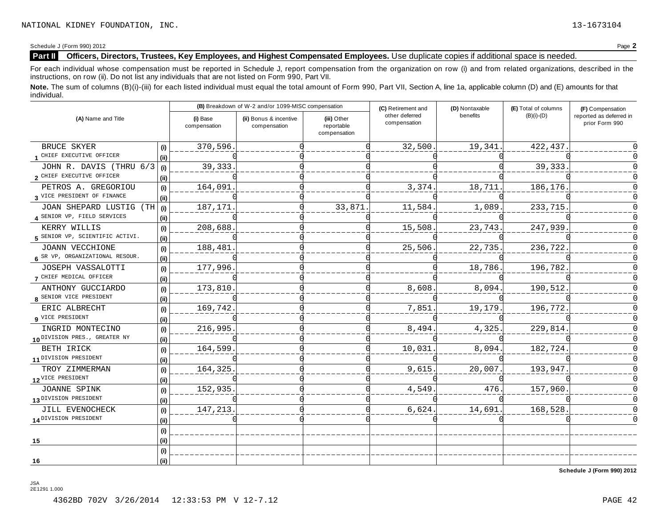Schedule J (Form 990) 2012 Page **2**

JSA 2E1291 1.000

#### **Part II Officers, Directors, Trustees, Key Employees, and Highest Compensated Employees.** Use duplicate copies ifadditional space is needed.

For each individual whose compensation must be reported in Schedule J, report compensation from the organization on row (i) and from related organizations, described in the instructions, on row (ii). Do not list any individuals that are not listed on Form 990, Part VII.

Note. The sum of columns (B)(i)-(iii) for each listed individual must equal the total amount of Form 990, Part VII, Section A, line 1a, applicable column (D) and (E) amounts for that individual.

|                                          |      |                          | (B) Breakdown of W-2 and/or 1099-MISC compensation |                                           | (C) Retirement and             | (D) Nontaxable | (E) Total of columns | (F) Compensation                          |  |
|------------------------------------------|------|--------------------------|----------------------------------------------------|-------------------------------------------|--------------------------------|----------------|----------------------|-------------------------------------------|--|
| (A) Name and Title                       |      | (i) Base<br>compensation | (ii) Bonus & incentive<br>compensation             | (iii) Other<br>reportable<br>compensation | other deferred<br>compensation | benefits       | $(B)(i)-(D)$         | reported as deferred in<br>prior Form 990 |  |
| BRUCE SKYER                              | (i)  | 370,596.                 |                                                    |                                           | 32,500.                        | 19,341.        | 422,437              |                                           |  |
| 1 CHIEF EXECUTIVE OFFICER                | (i)  |                          |                                                    |                                           |                                |                |                      |                                           |  |
| JOHN R. DAVIS (THRU 6/3                  | (i)  | 39, 333.                 |                                                    |                                           |                                |                | 39,333               |                                           |  |
| 2 CHIEF EXECUTIVE OFFICER                | (ii) |                          |                                                    |                                           |                                |                |                      |                                           |  |
| PETROS A. GREGORIOU                      | (i)  | 164,091                  |                                                    |                                           | 3,374                          | 18,711         | 186,176              |                                           |  |
| 3 VICE PRESIDENT OF FINANCE              | (i)  |                          |                                                    |                                           |                                |                |                      |                                           |  |
| JOAN SHEPARD LUSTIG (TH                  | (i)  | 187,171                  |                                                    | 33,871                                    | 11,584                         | 1,089          | 233,715              |                                           |  |
| 4 SENIOR VP, FIELD SERVICES              | (ii) |                          |                                                    |                                           |                                |                |                      |                                           |  |
| KERRY WILLIS                             | (i)  | 208,688                  |                                                    |                                           | 15,508                         | 23,743.        | 247,939              |                                           |  |
| 5 SENIOR VP, SCIENTIFIC ACTIVI.          | (ii) |                          |                                                    |                                           |                                |                |                      |                                           |  |
| JOANN VECCHIONE                          | (i)  | 188,481                  |                                                    |                                           | 25,506                         | 22,735.        | 236,722              |                                           |  |
| 6 SR VP, ORGANIZATIONAL RESOUR.          | (ii) |                          |                                                    |                                           |                                |                |                      |                                           |  |
| JOSEPH VASSALOTTI                        | (i)  | 177,996                  |                                                    |                                           |                                | 18,786.        | 196,782              |                                           |  |
| 7 CHIEF MEDICAL OFFICER                  | (i)  |                          |                                                    |                                           |                                |                |                      |                                           |  |
| ANTHONY GUCCIARDO                        | (i)  | 173,810                  |                                                    |                                           | 8,608                          | 8,094.         | 190,512              |                                           |  |
| 8 SENIOR VICE PRESIDENT                  | (ii) |                          |                                                    |                                           |                                |                |                      |                                           |  |
| ERIC ALBRECHT                            | (i)  | 169,742                  |                                                    |                                           | 7,851                          | 19,179         | 196,772              |                                           |  |
| 9 VICE PRESIDENT                         | (ii) |                          |                                                    |                                           |                                |                |                      |                                           |  |
| INGRID MONTECINO                         | (i)  | 216,995                  |                                                    |                                           | 8,494                          | 4,325.         | 229,814              |                                           |  |
| 10 <sup>DIVISION</sup> PRES., GREATER NY | (i)  |                          |                                                    |                                           |                                |                |                      |                                           |  |
| BETH IRICK                               | (i)  | 164,599                  |                                                    |                                           | 10,031                         | 8,094.         | 182,724              |                                           |  |
| 11 DIVISION PRESIDENT                    | (ii) |                          |                                                    |                                           |                                |                |                      |                                           |  |
| TROY ZIMMERMAN                           | (i)  | 164,325                  |                                                    |                                           | 9,615                          | 20,007         | 193,947              |                                           |  |
| 12 <sup>VICE</sup> PRESIDENT             | (ii) |                          |                                                    |                                           |                                |                |                      |                                           |  |
| JOANNE SPINK                             | (i)  | 152,935                  |                                                    |                                           | 4,549                          | 476.           | 157,960              |                                           |  |
| 13 <sup>DIVISION</sup> PRESIDENT         | (ii) |                          |                                                    |                                           |                                |                |                      |                                           |  |
| JILL EVENOCHECK                          | (i)  | 147,213                  |                                                    |                                           | 6,624                          | 14,691         | 168,528              |                                           |  |
| 14 <sup>DIVISION</sup> PRESIDENT         | (ii) |                          |                                                    |                                           |                                |                |                      |                                           |  |
|                                          | (i)  |                          |                                                    |                                           |                                |                |                      |                                           |  |
| 15                                       | (ii) |                          |                                                    |                                           |                                |                |                      |                                           |  |
|                                          | (i)  |                          |                                                    |                                           |                                |                |                      |                                           |  |
| 16                                       | (ii) |                          |                                                    |                                           |                                |                |                      |                                           |  |

**Schedule J (Form 990) 2012**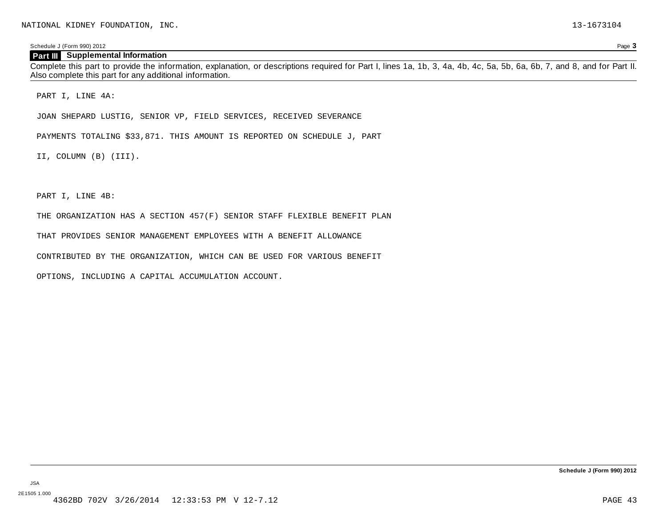Schedule J (Form 990) 2012 Page **3**

#### **Part III Supplemental Information**

Complete this part to provide the information, explanation, or descriptions required for Part I, lines 1a, 1b, 3, 4a, 4b, 4c, 5a, 5b, 6a, 6b, 7, and 8, and for Part II. Also complete this part for any additional information.

PART I, LINE 4A:

JOAN SHEPARD LUSTIG, SENIOR VP, FIELD SERVICES, RECEIVED SEVERANCE

PAYMENTS TOTALING \$33,871. THIS AMOUNT IS REPORTED ON SCHEDULE J, PART

II, COLUMN (B) (III).

PART I, LINE 4B:

THE ORGANIZATION HAS A SECTION 457(F) SENIOR STAFF FLEXIBLE BENEFIT PLAN

THAT PROVIDES SENIOR MANAGEMENT EMPLOYEES WITH A BENEFIT ALLOWANCE

CONTRIBUTED BY THE ORGANIZATION, WHICH CAN BE USED FOR VARIOUS BENEFIT

OPTIONS, INCLUDING A CAPITAL ACCUMULATION ACCOUNT.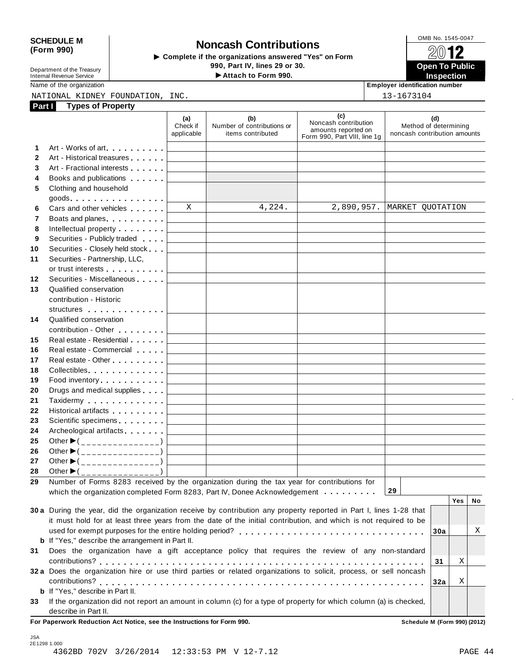SCHEDULE M<br>
Form 990) **Depends to All School Contributions**<br>
Somplete if the organizations answered "Yes" on Form and the Trees of The Complete if the organizations answered "Yes" on Form **COMB No. 1545-0047** Department of the Treasury Internal Revenue Service **Open To Public** I**Attach to Form 990. Inspection**

Name of the organization **Employer identification number**

NATIONAL KIDNEY FOUNDATION, INC. 13-1673104

| Part I       | <b>Types of Property</b>                                                                                                 |                               |                                                        |                                                                                    |                                                              |     |    |
|--------------|--------------------------------------------------------------------------------------------------------------------------|-------------------------------|--------------------------------------------------------|------------------------------------------------------------------------------------|--------------------------------------------------------------|-----|----|
|              |                                                                                                                          | (a)<br>Check if<br>applicable | (b)<br>Number of contributions or<br>items contributed | (c)<br>Noncash contribution<br>amounts reported on<br>Form 990, Part VIII, line 1g | (d)<br>Method of determining<br>noncash contribution amounts |     |    |
| 1            | Art - Works of art<br>1990 - Part II and II am a street and the street and the street and the street and the street area |                               |                                                        |                                                                                    |                                                              |     |    |
| $\mathbf{2}$ | Art - Historical treasures                                                                                               |                               |                                                        |                                                                                    |                                                              |     |    |
| 3            | Art - Fractional interests                                                                                               |                               |                                                        |                                                                                    |                                                              |     |    |
| 4            | Books and publications <b>contains</b>                                                                                   |                               |                                                        |                                                                                    |                                                              |     |    |
| 5            | Clothing and household                                                                                                   |                               |                                                        |                                                                                    |                                                              |     |    |
|              | $goods$                                                                                                                  |                               |                                                        |                                                                                    |                                                              |     |    |
| 6            | Cars and other vehicles <b>Cars</b>                                                                                      | X                             | 4,224.                                                 |                                                                                    | 2,890,957.   MARKET QUOTATION                                |     |    |
| 7            | Boats and planes [19]                                                                                                    |                               |                                                        |                                                                                    |                                                              |     |    |
| 8            | Intellectual property [19]                                                                                               |                               |                                                        |                                                                                    |                                                              |     |    |
| 9            | Securities - Publicly traded                                                                                             |                               |                                                        |                                                                                    |                                                              |     |    |
| 10           | Securities - Closely held stock                                                                                          |                               |                                                        |                                                                                    |                                                              |     |    |
| 11           | Securities - Partnership, LLC,                                                                                           |                               |                                                        |                                                                                    |                                                              |     |    |
|              | or trust interests [                                                                                                     |                               |                                                        |                                                                                    |                                                              |     |    |
| 12           | Securities - Miscellaneous                                                                                               |                               |                                                        |                                                                                    |                                                              |     |    |
| 13           | Qualified conservation                                                                                                   |                               |                                                        |                                                                                    |                                                              |     |    |
|              | contribution - Historic                                                                                                  |                               |                                                        |                                                                                    |                                                              |     |    |
|              | structures                                                                                                               |                               |                                                        |                                                                                    |                                                              |     |    |
| 14           | Qualified conservation                                                                                                   |                               |                                                        |                                                                                    |                                                              |     |    |
|              | contribution - Other [19]                                                                                                |                               |                                                        |                                                                                    |                                                              |     |    |
| 15           | Real estate - Residential                                                                                                |                               |                                                        |                                                                                    |                                                              |     |    |
| 16           | Real estate - Commercial                                                                                                 |                               |                                                        |                                                                                    |                                                              |     |    |
| 17           | Real estate - Other Products                                                                                             |                               |                                                        |                                                                                    |                                                              |     |    |
| 18           | Collectibles                                                                                                             |                               |                                                        |                                                                                    |                                                              |     |    |
| 19           | Food inventory [1, 1, 1, 1, 1, 1, 1, 1]                                                                                  |                               |                                                        |                                                                                    |                                                              |     |    |
| 20           | Drugs and medical supplies                                                                                               |                               |                                                        |                                                                                    |                                                              |     |    |
| 21           |                                                                                                                          |                               |                                                        |                                                                                    |                                                              |     |    |
| 22           | Historical artifacts [19] Nistorical artifacts                                                                           |                               |                                                        |                                                                                    |                                                              |     |    |
| 23           | Scientific specimens [1994]                                                                                              |                               |                                                        |                                                                                    |                                                              |     |    |
| 24           | Archeological artifacts                                                                                                  |                               |                                                        |                                                                                    |                                                              |     |    |
| 25           | Other $\blacktriangleright$ (_______________)                                                                            |                               |                                                        |                                                                                    |                                                              |     |    |
| 26           | Other $\blacktriangleright$ (_______________)                                                                            |                               |                                                        |                                                                                    |                                                              |     |    |
| 27           | Other $\blacktriangleright$ (_______________)                                                                            |                               |                                                        |                                                                                    |                                                              |     |    |
| 28           | Other $\blacktriangleright$ (_______________)                                                                            |                               |                                                        |                                                                                    |                                                              |     |    |
| 29           | Number of Forms 8283 received by the organization during the tax year for contributions for                              |                               |                                                        |                                                                                    |                                                              |     |    |
|              | which the organization completed Form 8283, Part IV, Donee Acknowledgement                                               |                               |                                                        |                                                                                    | 29                                                           |     |    |
|              |                                                                                                                          |                               |                                                        |                                                                                    |                                                              | Yes | No |
|              | 30 a During the year, did the organization receive by contribution any property reported in Part I, lines 1-28 that      |                               |                                                        |                                                                                    |                                                              |     |    |
|              | it must hold for at least three years from the date of the initial contribution, and which is not required to be         |                               |                                                        |                                                                                    |                                                              |     |    |
|              |                                                                                                                          |                               |                                                        |                                                                                    | 30a                                                          |     | Χ  |
|              | <b>b</b> If "Yes," describe the arrangement in Part II.                                                                  |                               |                                                        |                                                                                    |                                                              |     |    |
| 31           | Does the organization have a gift acceptance policy that requires the review of any non-standard                         |                               |                                                        |                                                                                    |                                                              |     |    |
|              |                                                                                                                          |                               |                                                        |                                                                                    | 31                                                           | Х   |    |
|              | 32 a Does the organization hire or use third parties or related organizations to solicit, process, or sell noncash       |                               |                                                        |                                                                                    |                                                              |     |    |
|              |                                                                                                                          |                               |                                                        |                                                                                    | 32a                                                          | Χ   |    |
|              | <b>b</b> If "Yes," describe in Part II.                                                                                  |                               |                                                        |                                                                                    |                                                              |     |    |
| 33           | If the organization did not report an amount in column (c) for a type of property for which column (a) is checked,       |                               |                                                        |                                                                                    |                                                              |     |    |
|              | describe in Part II.                                                                                                     |                               |                                                        |                                                                                    |                                                              |     |    |
|              | For Paperwork Reduction Act Notice, see the Instructions for Form 990.                                                   |                               |                                                        |                                                                                    | Schedule M (Form 990) (2012)                                 |     |    |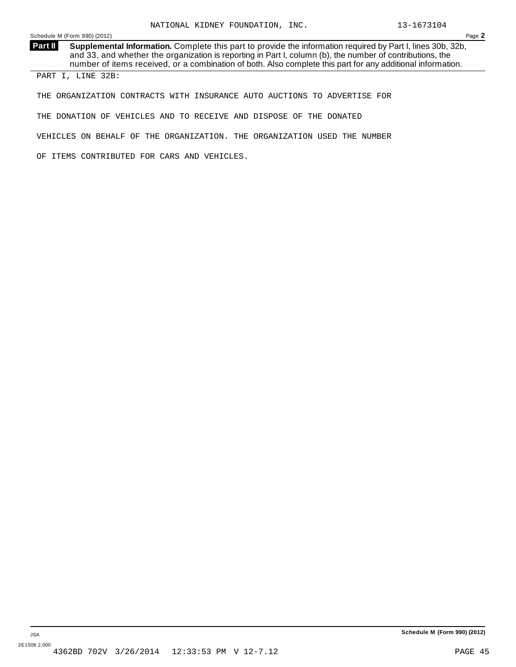Schedule M (Form 990) (2012) Page **2**

**Supplemental Information.** Complete this part to provide the information required by Part I, lines 30b, 32b, and 33, and whether the organization is reporting in Part I, column (b), the number of contributions, the number of items received, or a combination of both. Also complete this part for any additional information. **Part II**

PART I, LINE 32B:

THE ORGANIZATION CONTRACTS WITH INSURANCE AUTO AUCTIONS TO ADVERTISE FOR

THE DONATION OF VEHICLES AND TO RECEIVE AND DISPOSE OF THE DONATED

VEHICLES ON BEHALF OF THE ORGANIZATION. THE ORGANIZATION USED THE NUMBER

OF ITEMS CONTRIBUTED FOR CARS AND VEHICLES.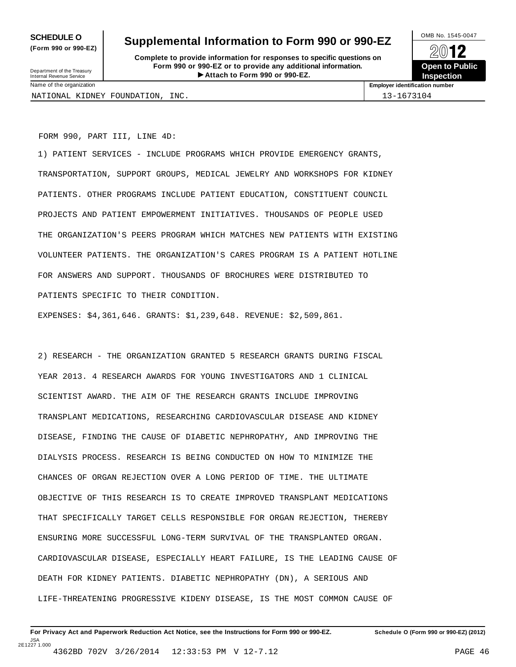**(Form 990 or 990-EZ)**

## **SCHEDULE O** Supplemental Information to Form 990 or 990-EZ  $\left\lvert \frac{\text{OMB No. 1545-0047}}{\text{OMB No. 1545-0047}} \right\rgroup$

**Complete to provide information for responses to specific questions on Form 990 or 990-EZ or to provide any additional information.** Fraction of the **Formation of the COV of the COV of the COV**<br>
10-EZ or to provide any additional information.<br>
Attach to Form 990 or 990-EZ.<br>
Attach to Form 990 or 990-EZ. Department of the Treasury Internal Revenue Service I



NATIONAL KIDNEY FOUNDATION, INC. 13-1673104

FORM 990, PART III, LINE 4D:

1) PATIENT SERVICES - INCLUDE PROGRAMS WHICH PROVIDE EMERGENCY GRANTS, TRANSPORTATION, SUPPORT GROUPS, MEDICAL JEWELRY AND WORKSHOPS FOR KIDNEY PATIENTS. OTHER PROGRAMS INCLUDE PATIENT EDUCATION, CONSTITUENT COUNCIL PROJECTS AND PATIENT EMPOWERMENT INITIATIVES. THOUSANDS OF PEOPLE USED THE ORGANIZATION'S PEERS PROGRAM WHICH MATCHES NEW PATIENTS WITH EXISTING VOLUNTEER PATIENTS. THE ORGANIZATION'S CARES PROGRAM IS A PATIENT HOTLINE FOR ANSWERS AND SUPPORT. THOUSANDS OF BROCHURES WERE DISTRIBUTED TO PATIENTS SPECIFIC TO THEIR CONDITION.

EXPENSES: \$4,361,646. GRANTS: \$1,239,648. REVENUE: \$2,509,861.

2) RESEARCH - THE ORGANIZATION GRANTED 5 RESEARCH GRANTS DURING FISCAL YEAR 2013. 4 RESEARCH AWARDS FOR YOUNG INVESTIGATORS AND 1 CLINICAL SCIENTIST AWARD. THE AIM OF THE RESEARCH GRANTS INCLUDE IMPROVING TRANSPLANT MEDICATIONS, RESEARCHING CARDIOVASCULAR DISEASE AND KIDNEY DISEASE, FINDING THE CAUSE OF DIABETIC NEPHROPATHY, AND IMPROVING THE DIALYSIS PROCESS. RESEARCH IS BEING CONDUCTED ON HOW TO MINIMIZE THE CHANCES OF ORGAN REJECTION OVER A LONG PERIOD OF TIME. THE ULTIMATE OBJECTIVE OF THIS RESEARCH IS TO CREATE IMPROVED TRANSPLANT MEDICATIONS THAT SPECIFICALLY TARGET CELLS RESPONSIBLE FOR ORGAN REJECTION, THEREBY ENSURING MORE SUCCESSFUL LONG-TERM SURVIVAL OF THE TRANSPLANTED ORGAN. CARDIOVASCULAR DISEASE, ESPECIALLY HEART FAILURE, IS THE LEADING CAUSE OF DEATH FOR KIDNEY PATIENTS. DIABETIC NEPHROPATHY (DN), A SERIOUS AND LIFE-THREATENING PROGRESSIVE KIDENY DISEASE, IS THE MOST COMMON CAUSE OF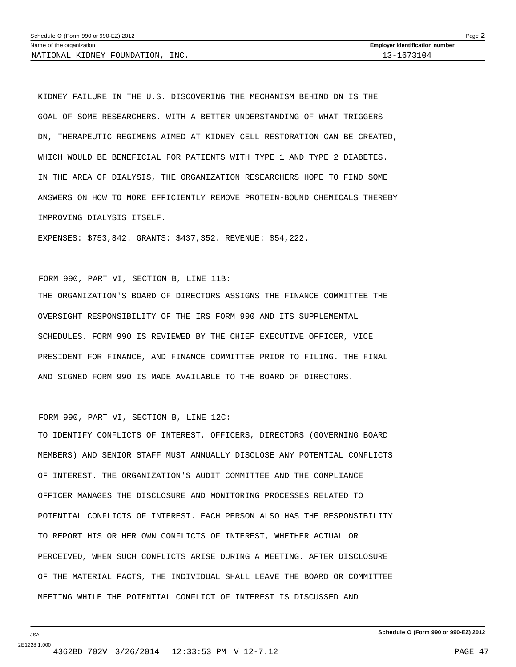KIDNEY FAILURE IN THE U.S. DISCOVERING THE MECHANISM BEHIND DN IS THE GOAL OF SOME RESEARCHERS. WITH A BETTER UNDERSTANDING OF WHAT TRIGGERS DN, THERAPEUTIC REGIMENS AIMED AT KIDNEY CELL RESTORATION CAN BE CREATED, WHICH WOULD BE BENEFICIAL FOR PATIENTS WITH TYPE 1 AND TYPE 2 DIABETES. IN THE AREA OF DIALYSIS, THE ORGANIZATION RESEARCHERS HOPE TO FIND SOME ANSWERS ON HOW TO MORE EFFICIENTLY REMOVE PROTEIN-BOUND CHEMICALS THEREBY IMPROVING DIALYSIS ITSELF.

EXPENSES: \$753,842. GRANTS: \$437,352. REVENUE: \$54,222.

#### FORM 990, PART VI, SECTION B, LINE 11B:

THE ORGANIZATION'S BOARD OF DIRECTORS ASSIGNS THE FINANCE COMMITTEE THE OVERSIGHT RESPONSIBILITY OF THE IRS FORM 990 AND ITS SUPPLEMENTAL SCHEDULES. FORM 990 IS REVIEWED BY THE CHIEF EXECUTIVE OFFICER, VICE PRESIDENT FOR FINANCE, AND FINANCE COMMITTEE PRIOR TO FILING. THE FINAL AND SIGNED FORM 990 IS MADE AVAILABLE TO THE BOARD OF DIRECTORS.

#### FORM 990, PART VI, SECTION B, LINE 12C:

TO IDENTIFY CONFLICTS OF INTEREST, OFFICERS, DIRECTORS (GOVERNING BOARD MEMBERS) AND SENIOR STAFF MUST ANNUALLY DISCLOSE ANY POTENTIAL CONFLICTS OF INTEREST. THE ORGANIZATION'S AUDIT COMMITTEE AND THE COMPLIANCE OFFICER MANAGES THE DISCLOSURE AND MONITORING PROCESSES RELATED TO POTENTIAL CONFLICTS OF INTEREST. EACH PERSON ALSO HAS THE RESPONSIBILITY TO REPORT HIS OR HER OWN CONFLICTS OF INTEREST, WHETHER ACTUAL OR PERCEIVED, WHEN SUCH CONFLICTS ARISE DURING A MEETING. AFTER DISCLOSURE OF THE MATERIAL FACTS, THE INDIVIDUAL SHALL LEAVE THE BOARD OR COMMITTEE MEETING WHILE THE POTENTIAL CONFLICT OF INTEREST IS DISCUSSED AND

JSA 2E1228 1.000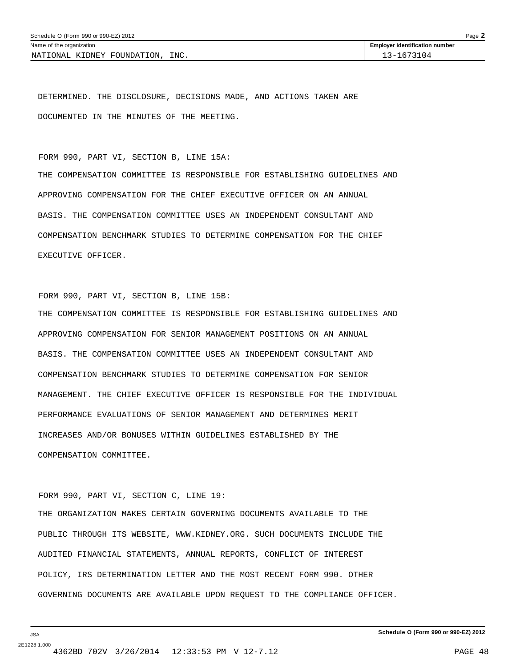DETERMINED. THE DISCLOSURE, DECISIONS MADE, AND ACTIONS TAKEN ARE DOCUMENTED IN THE MINUTES OF THE MEETING.

FORM 990, PART VI, SECTION B, LINE 15A:

THE COMPENSATION COMMITTEE IS RESPONSIBLE FOR ESTABLISHING GUIDELINES AND APPROVING COMPENSATION FOR THE CHIEF EXECUTIVE OFFICER ON AN ANNUAL BASIS. THE COMPENSATION COMMITTEE USES AN INDEPENDENT CONSULTANT AND COMPENSATION BENCHMARK STUDIES TO DETERMINE COMPENSATION FOR THE CHIEF EXECUTIVE OFFICER.

```
FORM 990, PART VI, SECTION B, LINE 15B:
```
THE COMPENSATION COMMITTEE IS RESPONSIBLE FOR ESTABLISHING GUIDELINES AND APPROVING COMPENSATION FOR SENIOR MANAGEMENT POSITIONS ON AN ANNUAL BASIS. THE COMPENSATION COMMITTEE USES AN INDEPENDENT CONSULTANT AND COMPENSATION BENCHMARK STUDIES TO DETERMINE COMPENSATION FOR SENIOR MANAGEMENT. THE CHIEF EXECUTIVE OFFICER IS RESPONSIBLE FOR THE INDIVIDUAL PERFORMANCE EVALUATIONS OF SENIOR MANAGEMENT AND DETERMINES MERIT INCREASES AND/OR BONUSES WITHIN GUIDELINES ESTABLISHED BY THE COMPENSATION COMMITTEE.

FORM 990, PART VI, SECTION C, LINE 19:

THE ORGANIZATION MAKES CERTAIN GOVERNING DOCUMENTS AVAILABLE TO THE PUBLIC THROUGH ITS WEBSITE, WWW.KIDNEY.ORG. SUCH DOCUMENTS INCLUDE THE AUDITED FINANCIAL STATEMENTS, ANNUAL REPORTS, CONFLICT OF INTEREST POLICY, IRS DETERMINATION LETTER AND THE MOST RECENT FORM 990. OTHER GOVERNING DOCUMENTS ARE AVAILABLE UPON REQUEST TO THE COMPLIANCE OFFICER.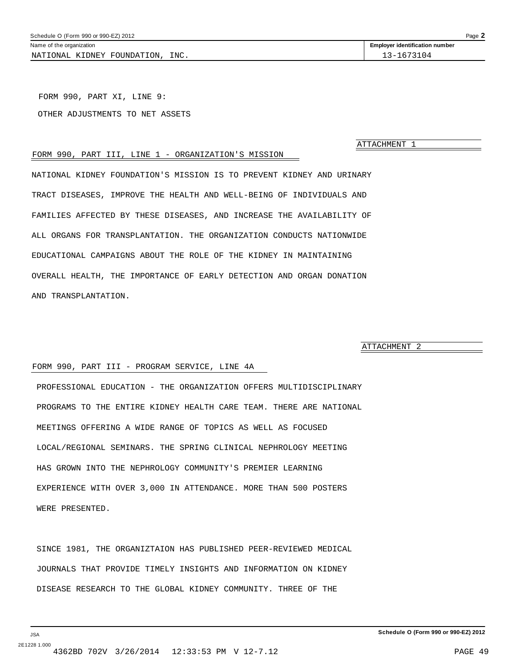<span id="page-48-0"></span>NATIONAL KIDNEY FOUNDATION, INC. 13-1673104

FORM 990, PART XI, LINE 9: OTHER ADJUSTMENTS TO NET ASSETS

**ATTACHMENT** 

#### FORM 990, PART III, LINE 1 - ORGANIZATION'S MISSION

NATIONAL KIDNEY FOUNDATION'S MISSION IS TO PREVENT KIDNEY AND URINARY TRACT DISEASES, IMPROVE THE HEALTH AND WELL-BEING OF INDIVIDUALS AND FAMILIES AFFECTED BY THESE DISEASES, AND INCREASE THE AVAILABILITY OF ALL ORGANS FOR TRANSPLANTATION. THE ORGANIZATION CONDUCTS NATIONWIDE EDUCATIONAL CAMPAIGNS ABOUT THE ROLE OF THE KIDNEY IN MAINTAINING OVERALL HEALTH, THE IMPORTANCE OF EARLY DETECTION AND ORGAN DONATION AND TRANSPLANTATION.

ATTACHMENT 2

#### FORM 990, PART III - PROGRAM SERVICE, LINE 4A

PROFESSIONAL EDUCATION - THE ORGANIZATION OFFERS MULTIDISCIPLINARY PROGRAMS TO THE ENTIRE KIDNEY HEALTH CARE TEAM. THERE ARE NATIONAL MEETINGS OFFERING A WIDE RANGE OF TOPICS AS WELL AS FOCUSED LOCAL/REGIONAL SEMINARS. THE SPRING CLINICAL NEPHROLOGY MEETING HAS GROWN INTO THE NEPHROLOGY COMMUNITY'S PREMIER LEARNING EXPERIENCE WITH OVER 3,000 IN ATTENDANCE. MORE THAN 500 POSTERS WERE PRESENTED.

SINCE 1981, THE ORGANIZTAION HAS PUBLISHED PEER-REVIEWED MEDICAL JOURNALS THAT PROVIDE TIMELY INSIGHTS AND INFORMATION ON KIDNEY DISEASE RESEARCH TO THE GLOBAL KIDNEY COMMUNITY. THREE OF THE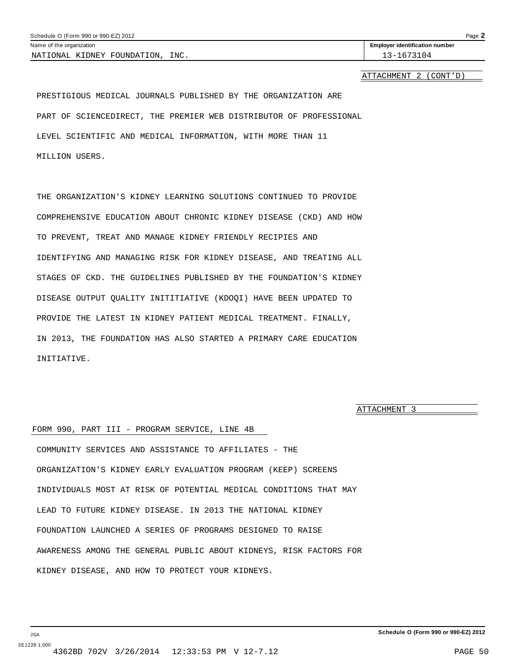ATTACHMENT 2 (CONT'D)

<span id="page-49-0"></span>PRESTIGIOUS MEDICAL JOURNALS PUBLISHED BY THE ORGANIZATION ARE PART OF SCIENCEDIRECT, THE PREMIER WEB DISTRIBUTOR OF PROFESSIONAL LEVEL SCIENTIFIC AND MEDICAL INFORMATION, WITH MORE THAN 11 MILLION USERS.

THE ORGANIZATION'S KIDNEY LEARNING SOLUTIONS CONTINUED TO PROVIDE COMPREHENSIVE EDUCATION ABOUT CHRONIC KIDNEY DISEASE (CKD) AND HOW TO PREVENT, TREAT AND MANAGE KIDNEY FRIENDLY RECIPIES AND IDENTIFYING AND MANAGING RISK FOR KIDNEY DISEASE, AND TREATING ALL STAGES OF CKD. THE GUIDELINES PUBLISHED BY THE FOUNDATION'S KIDNEY DISEASE OUTPUT QUALITY INITITIATIVE (KDOQI) HAVE BEEN UPDATED TO PROVIDE THE LATEST IN KIDNEY PATIENT MEDICAL TREATMENT. FINALLY, IN 2013, THE FOUNDATION HAS ALSO STARTED A PRIMARY CARE EDUCATION INITIATIVE.

ATTACHMENT 3

#### FORM 990, PART III - PROGRAM SERVICE, LINE 4B

COMMUNITY SERVICES AND ASSISTANCE TO AFFILIATES - THE ORGANIZATION'S KIDNEY EARLY EVALUATION PROGRAM (KEEP) SCREENS INDIVIDUALS MOST AT RISK OF POTENTIAL MEDICAL CONDITIONS THAT MAY LEAD TO FUTURE KIDNEY DISEASE. IN 2013 THE NATIONAL KIDNEY FOUNDATION LAUNCHED A SERIES OF PROGRAMS DESIGNED TO RAISE AWARENESS AMONG THE GENERAL PUBLIC ABOUT KIDNEYS, RISK FACTORS FOR KIDNEY DISEASE, AND HOW TO PROTECT YOUR KIDNEYS.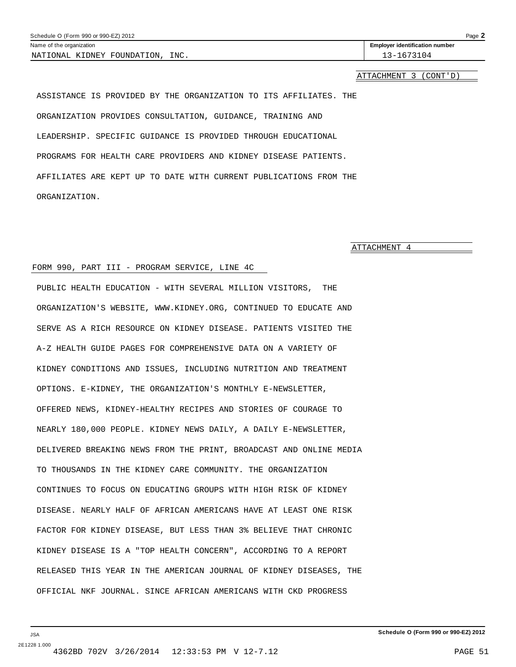<span id="page-50-0"></span>

| Schedule O (Form 990 or 990-EZ) 2012<br>Page $\blacktriangle$ |                                       |  |  |  |  |
|---------------------------------------------------------------|---------------------------------------|--|--|--|--|
| Name of the organization                                      | <b>Employer identification number</b> |  |  |  |  |
| INC.<br>NATIONAL KIDNEY FOUNDATION,                           | 13-1673104                            |  |  |  |  |
|                                                               |                                       |  |  |  |  |

#### ATTACHMENT 3 (CONT'D)

ASSISTANCE IS PROVIDED BY THE ORGANIZATION TO ITS AFFILIATES. THE ORGANIZATION PROVIDES CONSULTATION, GUIDANCE, TRAINING AND LEADERSHIP. SPECIFIC GUIDANCE IS PROVIDED THROUGH EDUCATIONAL PROGRAMS FOR HEALTH CARE PROVIDERS AND KIDNEY DISEASE PATIENTS. AFFILIATES ARE KEPT UP TO DATE WITH CURRENT PUBLICATIONS FROM THE ORGANIZATION.

ATTACHMENT 4

#### FORM 990, PART III - PROGRAM SERVICE, LINE 4C

PUBLIC HEALTH EDUCATION - WITH SEVERAL MILLION VISITORS, THE ORGANIZATION'S WEBSITE, WWW.KIDNEY.ORG, CONTINUED TO EDUCATE AND SERVE AS A RICH RESOURCE ON KIDNEY DISEASE. PATIENTS VISITED THE A-Z HEALTH GUIDE PAGES FOR COMPREHENSIVE DATA ON A VARIETY OF KIDNEY CONDITIONS AND ISSUES, INCLUDING NUTRITION AND TREATMENT OPTIONS. E-KIDNEY, THE ORGANIZATION'S MONTHLY E-NEWSLETTER, OFFERED NEWS, KIDNEY-HEALTHY RECIPES AND STORIES OF COURAGE TO NEARLY 180,000 PEOPLE. KIDNEY NEWS DAILY, A DAILY E-NEWSLETTER, DELIVERED BREAKING NEWS FROM THE PRINT, BROADCAST AND ONLINE MEDIA TO THOUSANDS IN THE KIDNEY CARE COMMUNITY. THE ORGANIZATION CONTINUES TO FOCUS ON EDUCATING GROUPS WITH HIGH RISK OF KIDNEY DISEASE. NEARLY HALF OF AFRICAN AMERICANS HAVE AT LEAST ONE RISK FACTOR FOR KIDNEY DISEASE, BUT LESS THAN 3% BELIEVE THAT CHRONIC KIDNEY DISEASE IS A "TOP HEALTH CONCERN", ACCORDING TO A REPORT RELEASED THIS YEAR IN THE AMERICAN JOURNAL OF KIDNEY DISEASES, THE OFFICIAL NKF JOURNAL. SINCE AFRICAN AMERICANS WITH CKD PROGRESS

JSA 2E1228 1.000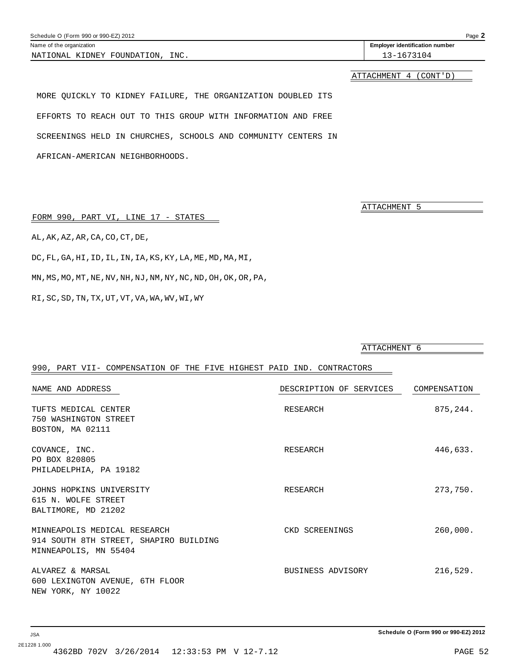<span id="page-51-0"></span>

| Schedule O (Form 990 or 990-EZ) 2012<br>Page |                                       |  |  |  |  |
|----------------------------------------------|---------------------------------------|--|--|--|--|
| Name of the organization                     | <b>Employer identification number</b> |  |  |  |  |
| INC.<br>FOUNDATION<br>NATIONAL<br>. KIDNEY   | $\pm 04$<br>. .                       |  |  |  |  |

ATTACHMENT 4 (CONT'D)

MORE QUICKLY TO KIDNEY FAILURE, THE ORGANIZATION DOUBLED ITS EFFORTS TO REACH OUT TO THIS GROUP WITH INFORMATION AND FREE SCREENINGS HELD IN CHURCHES, SCHOOLS AND COMMUNITY CENTERS IN AFRICAN-AMERICAN NEIGHBORHOODS.

ATTACHMENT 5

FORM 990, PART VI, LINE 17 - STATES

AL,AK,AZ,AR,CA,CO,CT,DE,

DC,FL,GA,HI,ID,IL,IN,IA,KS,KY,LA,ME,MD,MA,MI,

MN,MS,MO,MT,NE,NV,NH,NJ,NM,NY,NC,ND,OH,OK,OR,PA,

RI,SC,SD,TN,TX,UT,VT,VA,WA,WV,WI,WY

|                                                                                                 | ATTACHMENT 6            |              |
|-------------------------------------------------------------------------------------------------|-------------------------|--------------|
| 990, PART VII- COMPENSATION OF THE FIVE HIGHEST PAID IND. CONTRACTORS                           |                         |              |
| NAME AND ADDRESS                                                                                | DESCRIPTION OF SERVICES | COMPENSATION |
| TUFTS MEDICAL CENTER<br>750 WASHINGTON STREET<br>BOSTON, MA 02111                               | RESEARCH                | 875, 244.    |
| COVANCE, INC.<br>PO BOX 820805<br>PHILADELPHIA, PA 19182                                        | RESEARCH                | 446,633.     |
| JOHNS HOPKINS UNIVERSITY<br>615 N. WOLFE STREET<br>BALTIMORE, MD 21202                          | RESEARCH                | 273,750.     |
| MINNEAPOLIS MEDICAL RESEARCH<br>914 SOUTH 8TH STREET, SHAPIRO BUILDING<br>MINNEAPOLIS, MN 55404 | CKD SCREENINGS          | 260,000.     |
| ALVAREZ & MARSAL<br>600 LEXINGTON AVENUE, 6TH FLOOR<br>NEW YORK, NY 10022                       | BUSINESS ADVISORY       | 216,529.     |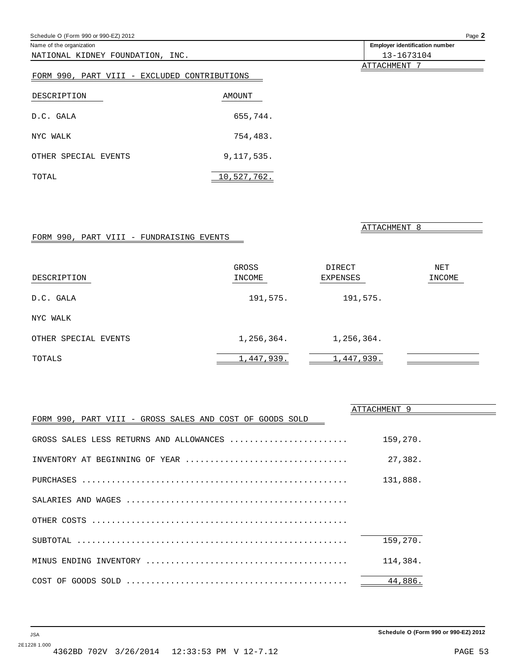<span id="page-52-0"></span>

| Schedule O (Form 990 or 990-EZ) 2012         | Page 2       |                                       |
|----------------------------------------------|--------------|---------------------------------------|
| Name of the organization                     |              | <b>Employer identification number</b> |
| NATIONAL KIDNEY FOUNDATION, INC.             |              | 13-1673104                            |
|                                              |              | ATTACHMENT 7                          |
| FORM 990, PART VIII - EXCLUDED CONTRIBUTIONS |              |                                       |
| DESCRIPTION                                  | AMOUNT       |                                       |
| D.C. GALA                                    | 655,744.     |                                       |
| NYC WALK                                     | 754,483.     |                                       |
| OTHER SPECIAL EVENTS                         | 9, 117, 535. |                                       |
| TOTAL                                        | 10,527,762.  |                                       |
|                                              |              |                                       |
|                                              |              |                                       |
|                                              |              | ATTACHMENT 8                          |

### FORM 990, PART VIII - FUNDRAISING EVENTS

| DESCRIPTION          | GROSS<br>INCOME | DIRECT<br><b>EXPENSES</b> | NET<br>INCOME |
|----------------------|-----------------|---------------------------|---------------|
| D.C. GALA            | 191,575.        | 191,575.                  |               |
| NYC WALK             |                 |                           |               |
| OTHER SPECIAL EVENTS | 1,256,364.      | 1,256,364.                |               |
| TOTALS               | 1,447,939.      | 1,447,939.                |               |

|                                                          | ATTACHMENT 9 |
|----------------------------------------------------------|--------------|
| FORM 990, PART VIII - GROSS SALES AND COST OF GOODS SOLD |              |
| GROSS SALES LESS RETURNS AND ALLOWANCES                  | 159,270.     |
| INVENTORY AT BEGINNING OF YEAR                           | 27,382.      |
|                                                          | 131,888.     |
|                                                          |              |
|                                                          |              |
|                                                          | 159,270.     |
|                                                          | 114,384.     |
|                                                          | 44,886.      |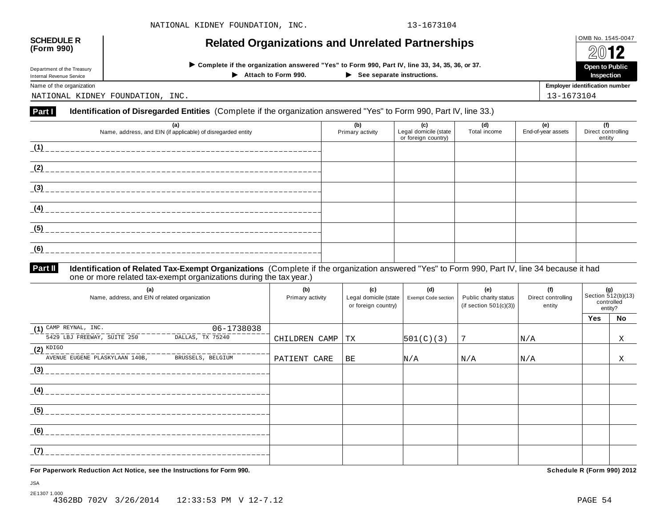| <b>SCHEDULE R</b><br>(Form 990)                                                                                                                                                                                                      | <b>Related Organizations and Unrelated Partnerships</b>                                                             |                         |                                                     |                     |                           |                                       |  |  |
|--------------------------------------------------------------------------------------------------------------------------------------------------------------------------------------------------------------------------------------|---------------------------------------------------------------------------------------------------------------------|-------------------------|-----------------------------------------------------|---------------------|---------------------------|---------------------------------------|--|--|
| > Complete if the organization answered "Yes" to Form 990, Part IV, line 33, 34, 35, 36, or 37.<br>Department of the Treasury<br>Attach to Form 990.<br>$\blacktriangleright$ See separate instructions.<br>Internal Revenue Service |                                                                                                                     |                         |                                                     |                     |                           |                                       |  |  |
| Name of the organization                                                                                                                                                                                                             |                                                                                                                     |                         |                                                     |                     |                           | <b>Employer identification number</b> |  |  |
|                                                                                                                                                                                                                                      | NATIONAL KIDNEY FOUNDATION, INC.                                                                                    |                         |                                                     |                     | 13-1673104                |                                       |  |  |
| <b>Part I</b>                                                                                                                                                                                                                        | Identification of Disregarded Entities (Complete if the organization answered "Yes" to Form 990, Part IV, line 33.) |                         |                                                     |                     |                           |                                       |  |  |
|                                                                                                                                                                                                                                      | (a)<br>Name, address, and EIN (if applicable) of disregarded entity                                                 | (b)<br>Primary activity | (c)<br>Legal domicile (state<br>or foreign country) | (d)<br>Total income | (e)<br>End-of-year assets | (f)<br>Direct controlling<br>entity   |  |  |
| (1)                                                                                                                                                                                                                                  |                                                                                                                     |                         |                                                     |                     |                           |                                       |  |  |
| (2)                                                                                                                                                                                                                                  |                                                                                                                     |                         |                                                     |                     |                           |                                       |  |  |
| (3)                                                                                                                                                                                                                                  |                                                                                                                     |                         |                                                     |                     |                           |                                       |  |  |
| (4)                                                                                                                                                                                                                                  |                                                                                                                     |                         |                                                     |                     |                           |                                       |  |  |
| (5)                                                                                                                                                                                                                                  |                                                                                                                     |                         |                                                     |                     |                           |                                       |  |  |
| (6)                                                                                                                                                                                                                                  |                                                                                                                     |                         |                                                     |                     |                           |                                       |  |  |

#### **Identification of Related Tax-Exempt Organizations** (Complete if the organization answered "Yes" to Form 990, Part IV, line 34 because it had one or more related tax-exempt organizations during the tax year.) **Part II**

| (a)<br>Name, address, and EIN of related organization | (b)<br>Primary activity | (c)<br>Legal domicile (state<br>or foreign country) | (d)<br>Exempt Code section | (e)<br>Public charity status<br>(if section $501(c)(3)$ ) | (f)<br>Direct controlling<br>entity |     | (g)<br>Section 512(b)(13)<br>controlled<br>entity? |
|-------------------------------------------------------|-------------------------|-----------------------------------------------------|----------------------------|-----------------------------------------------------------|-------------------------------------|-----|----------------------------------------------------|
|                                                       |                         |                                                     |                            |                                                           |                                     | Yes | <b>No</b>                                          |
| $(1)$ CAMP REYNAL, INC.<br>06-1738038                 |                         |                                                     |                            |                                                           |                                     |     |                                                    |
| 5429 LBJ FREEWAY, SUITE 250<br>DALLAS, TX 75240       | CHILDREN CAMP           | TX                                                  | 501(C)(3)                  | 7                                                         | N/A                                 |     | Χ                                                  |
| $(2)$ KDIGO                                           |                         |                                                     |                            |                                                           |                                     |     |                                                    |
| AVENUE EUGENE PLASKYLAAN 140B,<br>BRUSSELS, BELGIUM   | PATIENT CARE            | BE                                                  | N/A                        | N/A                                                       | N/A                                 |     | X                                                  |
| (3)                                                   |                         |                                                     |                            |                                                           |                                     |     |                                                    |
| (4)                                                   |                         |                                                     |                            |                                                           |                                     |     |                                                    |
| (5)                                                   |                         |                                                     |                            |                                                           |                                     |     |                                                    |
| (6)                                                   |                         |                                                     |                            |                                                           |                                     |     |                                                    |
| (7)                                                   |                         |                                                     |                            |                                                           |                                     |     |                                                    |

**For Paperwork Reduction Act Notice, see the Instructions for Form 990. Schedule R (Form 990) 2012**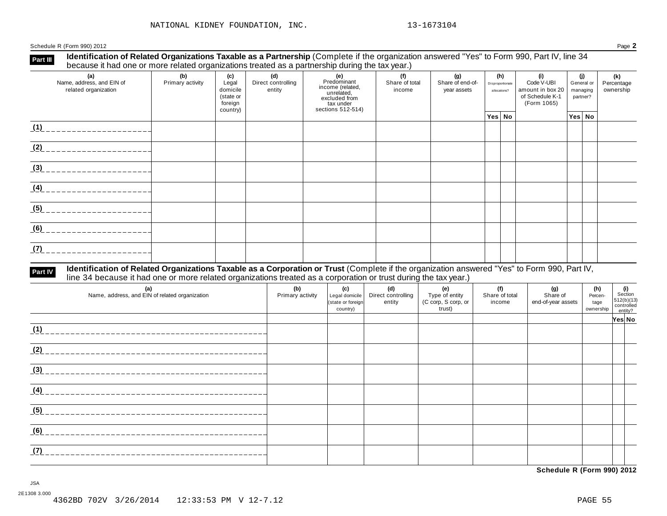Schedule R (Form 990) 2012 Page **2**

#### **Identification of Related Organizations Taxable as a Partnership** (Complete if the organization answered "Yes" to Form 990, Part IV, line 34 **because it had one or more related organizations i axable as a Partnership (Complete if the organizations) because it had one or more related organizations treated as a partnership during the tax year.)**

| <u>booddoo it had ono of more related organizations treated as a partnereinplaaning the tax jean;</u><br>(a)<br>Name, address, and EIN of<br>related organization | (b)<br>Primary activity | (c)<br>Legal<br>domicile<br>(state or<br>foreign | (d)<br>Direct controlling<br>entity | (e)<br>Predominant<br>income (related,<br>unrelated,<br>excluded from<br>tax under | (f)<br>Share of total<br>income | (g)<br>Share of end-of-<br>year assets | (h)<br>Disproportionate<br>allocations? | (i)<br>Code V-UBI<br>amount in box 20<br>of Schedule K-1<br>(Form 1065) |  | (i)<br>General or<br>managing<br>partner? | (k)<br>Percentage<br>ownership |
|-------------------------------------------------------------------------------------------------------------------------------------------------------------------|-------------------------|--------------------------------------------------|-------------------------------------|------------------------------------------------------------------------------------|---------------------------------|----------------------------------------|-----------------------------------------|-------------------------------------------------------------------------|--|-------------------------------------------|--------------------------------|
|                                                                                                                                                                   |                         | country)                                         |                                     | sections 512-514)                                                                  |                                 |                                        | Yes No                                  |                                                                         |  | Yes No                                    |                                |
| (1)                                                                                                                                                               |                         |                                                  |                                     |                                                                                    |                                 |                                        |                                         |                                                                         |  |                                           |                                |
| (2)                                                                                                                                                               |                         |                                                  |                                     |                                                                                    |                                 |                                        |                                         |                                                                         |  |                                           |                                |
| (3)                                                                                                                                                               |                         |                                                  |                                     |                                                                                    |                                 |                                        |                                         |                                                                         |  |                                           |                                |
| (4)                                                                                                                                                               |                         |                                                  |                                     |                                                                                    |                                 |                                        |                                         |                                                                         |  |                                           |                                |
| (5)                                                                                                                                                               |                         |                                                  |                                     |                                                                                    |                                 |                                        |                                         |                                                                         |  |                                           |                                |
| (6)                                                                                                                                                               |                         |                                                  |                                     |                                                                                    |                                 |                                        |                                         |                                                                         |  |                                           |                                |
| (7)                                                                                                                                                               |                         |                                                  |                                     |                                                                                    |                                 |                                        |                                         |                                                                         |  |                                           |                                |

# Part IV Identification of Related Organizations Taxable as a Corporation or Trust (Complete if the organization answered "Yes" to Form 990, Part IV,<br>line 34 because it had one or more related organizations treated as a cor

| (a)<br>Name, address, and EIN of related organization | (b)<br>Primary activity | (c)<br>Legal domicile<br>(state or foreign<br>country) | (d)<br>Direct controlling<br>entity | (e)<br>Type of entity<br>(C corp, S corp, or<br>trust) | (f)<br>Share of total<br>income | (g)<br>Share of<br>end-of-year assets | (h)<br>Percen-<br>tage<br>ownership | (i)<br>Section<br>512(b)(13)<br>controlled<br>entity? |  |
|-------------------------------------------------------|-------------------------|--------------------------------------------------------|-------------------------------------|--------------------------------------------------------|---------------------------------|---------------------------------------|-------------------------------------|-------------------------------------------------------|--|
|                                                       |                         |                                                        |                                     |                                                        |                                 |                                       |                                     | Yes No                                                |  |
| (1)                                                   |                         |                                                        |                                     |                                                        |                                 |                                       |                                     |                                                       |  |
| (2)                                                   |                         |                                                        |                                     |                                                        |                                 |                                       |                                     |                                                       |  |
| (3)                                                   |                         |                                                        |                                     |                                                        |                                 |                                       |                                     |                                                       |  |
| (4)                                                   |                         |                                                        |                                     |                                                        |                                 |                                       |                                     |                                                       |  |
| (5)                                                   |                         |                                                        |                                     |                                                        |                                 |                                       |                                     |                                                       |  |
| (6)                                                   |                         |                                                        |                                     |                                                        |                                 |                                       |                                     |                                                       |  |
| (7)<br><u>. 2000 - 2000 - 2000 - 2000 - 20</u>        |                         |                                                        |                                     |                                                        |                                 |                                       |                                     |                                                       |  |

**Schedule R (Form 990) 2012**

JSA 2E1308 3.000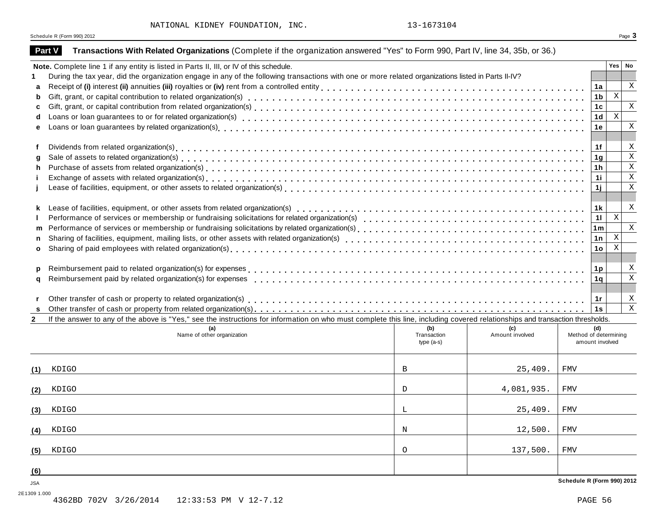NATIONAL KIDNEY FOUNDATION, INC. 13-1673104

Schedule <sup>R</sup> (Form 990) <sup>2012</sup> Page **3**

2E1309 1.000

| <b>Part V</b> | Transactions With Related Organizations (Complete if the organization answered "Yes" to Form 990, Part IV, line 34, 35b, or 36.)                                                                                                  |             |                 |                            |                           |               |  |  |  |  |
|---------------|-----------------------------------------------------------------------------------------------------------------------------------------------------------------------------------------------------------------------------------|-------------|-----------------|----------------------------|---------------------------|---------------|--|--|--|--|
|               | Note. Complete line 1 if any entity is listed in Parts II, III, or IV of this schedule.                                                                                                                                           |             |                 |                            |                           | $Yes \mid No$ |  |  |  |  |
|               | During the tax year, did the organization engage in any of the following transactions with one or more related organizations listed in Parts II-IV?                                                                               |             |                 |                            |                           |               |  |  |  |  |
| a             |                                                                                                                                                                                                                                   |             |                 | 1a                         |                           | X             |  |  |  |  |
| b             |                                                                                                                                                                                                                                   |             |                 |                            |                           |               |  |  |  |  |
| c             |                                                                                                                                                                                                                                   |             |                 | 1c                         |                           | $\mathbf{X}$  |  |  |  |  |
| d             | oans or loan guarantees to or for related organization(s) enters as a series of the content of the content of the content of the content of the content of the content of the content of the content of the content of the con    |             |                 | 1 <sub>d</sub>             | $\mathbf X$               |               |  |  |  |  |
| е             |                                                                                                                                                                                                                                   |             |                 | 1e                         |                           | X             |  |  |  |  |
|               |                                                                                                                                                                                                                                   |             |                 |                            |                           |               |  |  |  |  |
| f             |                                                                                                                                                                                                                                   |             |                 | 1f                         |                           | X             |  |  |  |  |
| g             |                                                                                                                                                                                                                                   |             |                 | 1 <sub>g</sub>             |                           | $\mathbf X$   |  |  |  |  |
| h             |                                                                                                                                                                                                                                   |             |                 | 1h                         |                           | $\mathbf X$   |  |  |  |  |
|               |                                                                                                                                                                                                                                   |             |                 | 11                         |                           | $\mathbf X$   |  |  |  |  |
|               |                                                                                                                                                                                                                                   |             |                 | 1j                         |                           | X             |  |  |  |  |
|               |                                                                                                                                                                                                                                   |             |                 |                            |                           |               |  |  |  |  |
| k             |                                                                                                                                                                                                                                   |             |                 | 1k                         |                           | X             |  |  |  |  |
|               | Performance of services or membership or fundraising solicitations for related organization(s)<br>examination(s) examination(s) examples and an analyzer or an analyzer or an analyzer and reading solicitations for relations of |             |                 | 11                         | $\boldsymbol{\mathrm{X}}$ |               |  |  |  |  |
| m             |                                                                                                                                                                                                                                   |             |                 |                            |                           |               |  |  |  |  |
|               |                                                                                                                                                                                                                                   |             |                 | 1 <sub>m</sub><br>1n       | $\mathbf X$               |               |  |  |  |  |
| o             |                                                                                                                                                                                                                                   |             |                 | 1o                         | $\boldsymbol{\mathrm{X}}$ |               |  |  |  |  |
|               |                                                                                                                                                                                                                                   |             |                 |                            |                           |               |  |  |  |  |
| p             |                                                                                                                                                                                                                                   |             |                 | 1p                         |                           | X             |  |  |  |  |
| a             |                                                                                                                                                                                                                                   |             |                 | 1q                         |                           | $\mathbf X$   |  |  |  |  |
|               |                                                                                                                                                                                                                                   |             |                 |                            |                           |               |  |  |  |  |
|               |                                                                                                                                                                                                                                   |             |                 | 1r                         |                           | X             |  |  |  |  |
|               |                                                                                                                                                                                                                                   |             |                 |                            |                           | $\mathbf{X}$  |  |  |  |  |
| $\mathbf{2}$  | If the answer to any of the above is "Yes," see the instructions for information on who must complete this line, including covered relationships and transaction thresholds.                                                      |             |                 |                            |                           |               |  |  |  |  |
|               | (a)                                                                                                                                                                                                                               | (b)         | (c)             | (d)                        |                           |               |  |  |  |  |
|               | Name of other organization                                                                                                                                                                                                        | Transaction | Amount involved | Method of determining      |                           |               |  |  |  |  |
|               |                                                                                                                                                                                                                                   | type (a-s)  |                 | amount involved            |                           |               |  |  |  |  |
|               |                                                                                                                                                                                                                                   | B           | 25,409.         | <b>FMV</b>                 |                           |               |  |  |  |  |
| (1)           | KDIGO                                                                                                                                                                                                                             |             |                 |                            |                           |               |  |  |  |  |
|               | KDIGO                                                                                                                                                                                                                             | D           | 4,081,935.      | <b>FMV</b>                 |                           |               |  |  |  |  |
| (2)           |                                                                                                                                                                                                                                   |             |                 |                            |                           |               |  |  |  |  |
| (3)           | KDIGO                                                                                                                                                                                                                             | L           | 25,409.         | <b>FMV</b>                 |                           |               |  |  |  |  |
|               |                                                                                                                                                                                                                                   |             |                 |                            |                           |               |  |  |  |  |
| (4)           | KDIGO                                                                                                                                                                                                                             | N           | 12,500.         | <b>FMV</b>                 |                           |               |  |  |  |  |
|               |                                                                                                                                                                                                                                   |             |                 |                            |                           |               |  |  |  |  |
| (5)           | KDIGO                                                                                                                                                                                                                             | $\circ$     | 137,500.        | <b>FMV</b>                 |                           |               |  |  |  |  |
|               |                                                                                                                                                                                                                                   |             |                 |                            |                           |               |  |  |  |  |
| (6)           |                                                                                                                                                                                                                                   |             |                 |                            |                           |               |  |  |  |  |
| JSA           |                                                                                                                                                                                                                                   |             |                 | Schedule R (Form 990) 2012 |                           |               |  |  |  |  |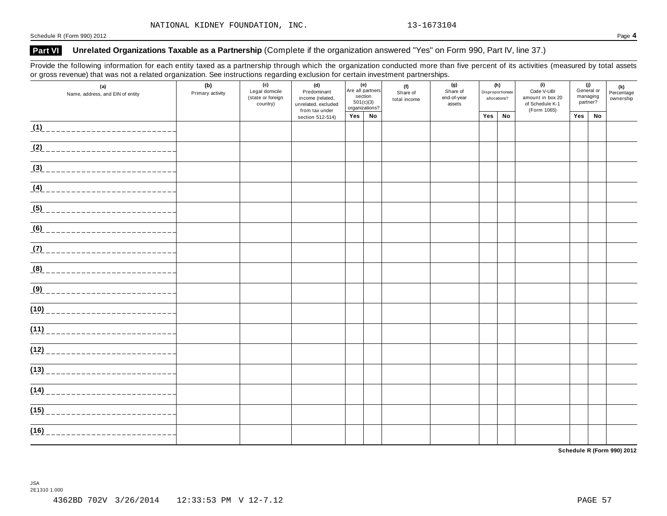#### **Part VI Unrelated Organizations Taxable as a Partnership** (Complete if the organization answered "Yes" on Form 990, Part IV, line 37.)

Provide the following information for each entity taxed as a partnership through which the organization conducted more than five percent of its activities (measured by total assets or gross revenue) that was not a related organization. See instructions regarding exclusion for certain investment partnerships.

| (a)<br>Name, address, and EIN of entity | (b)<br>Primary activity | (c)<br>Legal domicile<br>(state or foreign<br>country) | (d)<br>Predominant<br>income (related,<br>unrelated, excluded<br>from tax under | (e)<br>section |    | Are all partners<br>501(c)(3)<br>organizations? |  | (f)<br>Share of<br>total income | (g)<br>Share of<br>end-of-year<br>assets | Disproportionate | (h)<br>allocations? | (i)<br>Code V-UBI<br>amount in box 20<br>of Schedule K-1<br>(Form 1065) | (i)<br>General or<br>managing<br>partner? |  | (k)<br>Percentage<br>ownership |  |
|-----------------------------------------|-------------------------|--------------------------------------------------------|---------------------------------------------------------------------------------|----------------|----|-------------------------------------------------|--|---------------------------------|------------------------------------------|------------------|---------------------|-------------------------------------------------------------------------|-------------------------------------------|--|--------------------------------|--|
|                                         |                         |                                                        | section 512-514)                                                                | Yes            | No |                                                 |  | Yes                             | No                                       |                  | Yes                 | No                                                                      |                                           |  |                                |  |
| (1)                                     |                         |                                                        |                                                                                 |                |    |                                                 |  |                                 |                                          |                  |                     |                                                                         |                                           |  |                                |  |
| (2)                                     |                         |                                                        |                                                                                 |                |    |                                                 |  |                                 |                                          |                  |                     |                                                                         |                                           |  |                                |  |
| (3)                                     |                         |                                                        |                                                                                 |                |    |                                                 |  |                                 |                                          |                  |                     |                                                                         |                                           |  |                                |  |
|                                         |                         |                                                        |                                                                                 |                |    |                                                 |  |                                 |                                          |                  |                     |                                                                         |                                           |  |                                |  |
|                                         |                         |                                                        |                                                                                 |                |    |                                                 |  |                                 |                                          |                  |                     |                                                                         |                                           |  |                                |  |
|                                         |                         |                                                        |                                                                                 |                |    |                                                 |  |                                 |                                          |                  |                     |                                                                         |                                           |  |                                |  |
| (7)                                     |                         |                                                        |                                                                                 |                |    |                                                 |  |                                 |                                          |                  |                     |                                                                         |                                           |  |                                |  |
|                                         |                         |                                                        |                                                                                 |                |    |                                                 |  |                                 |                                          |                  |                     |                                                                         |                                           |  |                                |  |
| (9)                                     |                         |                                                        |                                                                                 |                |    |                                                 |  |                                 |                                          |                  |                     |                                                                         |                                           |  |                                |  |
| (10)<br>___________________________     |                         |                                                        |                                                                                 |                |    |                                                 |  |                                 |                                          |                  |                     |                                                                         |                                           |  |                                |  |
| (11)                                    |                         |                                                        |                                                                                 |                |    |                                                 |  |                                 |                                          |                  |                     |                                                                         |                                           |  |                                |  |
| (12)                                    |                         |                                                        |                                                                                 |                |    |                                                 |  |                                 |                                          |                  |                     |                                                                         |                                           |  |                                |  |
| (13)                                    |                         |                                                        |                                                                                 |                |    |                                                 |  |                                 |                                          |                  |                     |                                                                         |                                           |  |                                |  |
| (14)                                    |                         |                                                        |                                                                                 |                |    |                                                 |  |                                 |                                          |                  |                     |                                                                         |                                           |  |                                |  |
| (15)<br>______________________          |                         |                                                        |                                                                                 |                |    |                                                 |  |                                 |                                          |                  |                     |                                                                         |                                           |  |                                |  |
| (16)<br>___________________             |                         |                                                        |                                                                                 |                |    |                                                 |  |                                 |                                          |                  |                     |                                                                         |                                           |  |                                |  |

**Schedule R (Form 990) 2012**

JSA 2E1310 1.000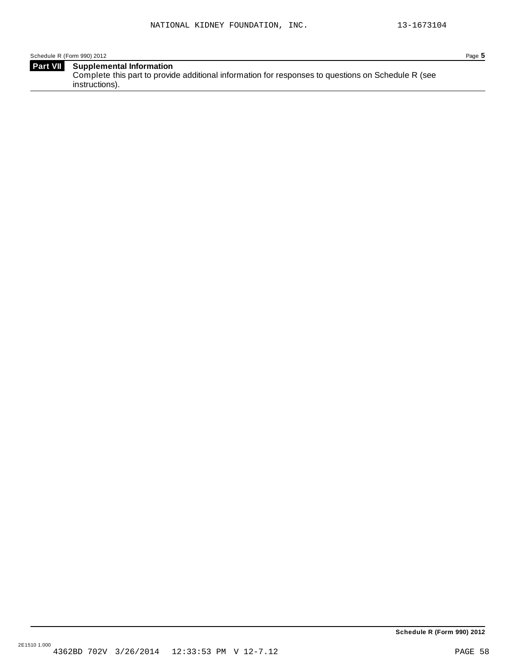Schedule R (Form 990) 2012 Page **5**

| <b>Part VII</b> Supplemental Information                                                           |
|----------------------------------------------------------------------------------------------------|
| Complete this part to provide additional information for responses to questions on Schedule R (see |
| instructions).                                                                                     |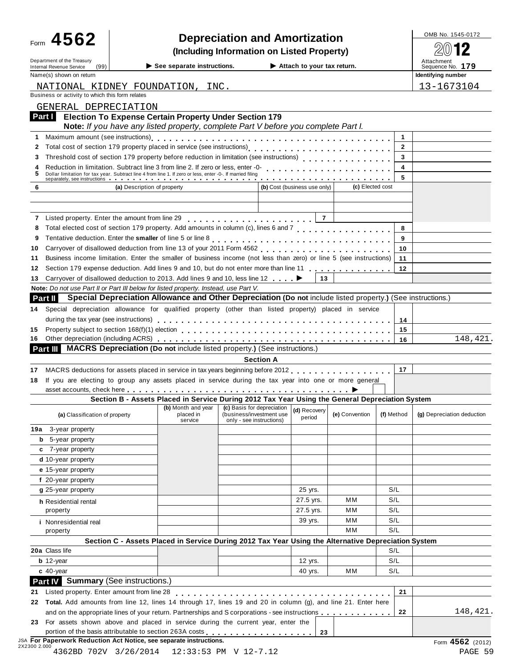|          | Form 4562                                                                                                                                                                          |                             |                                                                                                     |                          |                  | <b>Depreciation and Amortization</b> |                  |                              | OMB No. 1545-0172          |
|----------|------------------------------------------------------------------------------------------------------------------------------------------------------------------------------------|-----------------------------|-----------------------------------------------------------------------------------------------------|--------------------------|------------------|--------------------------------------|------------------|------------------------------|----------------------------|
|          |                                                                                                                                                                                    |                             | (Including Information on Listed Property)                                                          |                          |                  |                                      |                  |                              |                            |
|          | Department of the Treasury                                                                                                                                                         |                             |                                                                                                     |                          |                  |                                      |                  |                              | Attachment                 |
|          | Internal Revenue Service<br>(99)                                                                                                                                                   |                             | $\blacktriangleright$ See separate instructions.                                                    |                          |                  | Attach to your tax return.           |                  |                              | Sequence No. 179           |
|          | Name(s) shown on return                                                                                                                                                            |                             |                                                                                                     |                          |                  |                                      |                  |                              | Identifying number         |
|          | NATIONAL KIDNEY FOUNDATION, INC.<br>Business or activity to which this form relates                                                                                                |                             |                                                                                                     |                          |                  |                                      |                  |                              | 13-1673104                 |
|          | GENERAL DEPRECIATION                                                                                                                                                               |                             |                                                                                                     |                          |                  |                                      |                  |                              |                            |
| Part I L | <b>Election To Expense Certain Property Under Section 179</b>                                                                                                                      |                             |                                                                                                     |                          |                  |                                      |                  |                              |                            |
|          |                                                                                                                                                                                    |                             | Note: If you have any listed property, complete Part V before you complete Part I.                  |                          |                  |                                      |                  |                              |                            |
|          |                                                                                                                                                                                    |                             |                                                                                                     |                          |                  |                                      |                  | $\mathbf{1}$                 |                            |
| 2        |                                                                                                                                                                                    |                             |                                                                                                     |                          |                  |                                      |                  | $\overline{2}$               |                            |
|          | Threshold cost of section 179 property before reduction in limitation (see instructions)                                                                                           |                             |                                                                                                     |                          |                  |                                      |                  | 3                            |                            |
| 5        | Dollar limitation for tax year. Subtract line 4 from line 1. If zero or less, enter -0-. If married filing                                                                         |                             |                                                                                                     |                          |                  |                                      |                  | $\overline{\mathbf{4}}$<br>5 |                            |
| 6        |                                                                                                                                                                                    | (a) Description of property |                                                                                                     |                          |                  | (b) Cost (business use only)         | (c) Elected cost |                              |                            |
|          |                                                                                                                                                                                    |                             |                                                                                                     |                          |                  |                                      |                  |                              |                            |
|          |                                                                                                                                                                                    |                             |                                                                                                     |                          |                  |                                      |                  |                              |                            |
|          |                                                                                                                                                                                    |                             |                                                                                                     |                          |                  |                                      |                  |                              |                            |
| 8        | Total elected cost of section 179 property. Add amounts in column (c), lines 6 and 7 [1] [1]                                                                                       |                             |                                                                                                     |                          |                  |                                      |                  | 8                            |                            |
| 9        |                                                                                                                                                                                    |                             |                                                                                                     |                          |                  |                                      |                  | 9                            |                            |
| 10       |                                                                                                                                                                                    |                             |                                                                                                     |                          |                  |                                      |                  | 10                           |                            |
| 11       | Business income limitation. Enter the smaller of business income (not less than zero) or line 5 (see instructions)                                                                 |                             |                                                                                                     |                          |                  |                                      |                  | 11                           |                            |
| 12       | Section 179 expense deduction. Add lines 9 and 10, but do not enter more than line 11                                                                                              |                             |                                                                                                     |                          |                  |                                      |                  | 12                           |                            |
| 13       | Carryover of disallowed deduction to 2013. Add lines 9 and 10, less line 12 $\dots$ .                                                                                              |                             |                                                                                                     |                          |                  |                                      |                  |                              |                            |
|          | Note: Do not use Part II or Part III below for listed property. Instead, use Part V.                                                                                               |                             |                                                                                                     |                          |                  |                                      |                  |                              |                            |
|          | <b>Part II</b> Special Depreciation Allowance and Other Depreciation (Do not include listed property.) (See instructions.)                                                         |                             |                                                                                                     |                          |                  |                                      |                  |                              |                            |
| 14.      | Special depreciation allowance for qualified property (other than listed property) placed in service                                                                               |                             |                                                                                                     |                          |                  |                                      |                  |                              |                            |
|          |                                                                                                                                                                                    |                             |                                                                                                     |                          |                  |                                      |                  | 14                           |                            |
| 15<br>16 |                                                                                                                                                                                    |                             |                                                                                                     |                          |                  |                                      |                  | 15<br>16                     | 148,421.                   |
| Part III |                                                                                                                                                                                    |                             | <b>MACRS Depreciation (Do not include listed property.) (See instructions.)</b>                     |                          |                  |                                      |                  |                              |                            |
|          |                                                                                                                                                                                    |                             |                                                                                                     |                          | <b>Section A</b> |                                      |                  |                              |                            |
| 17       | MACRS deductions for assets placed in service in tax years beginning before 2012                                                                                                   |                             |                                                                                                     |                          |                  |                                      |                  | 17                           |                            |
| 18       | If you are electing to group any assets placed in service during the tax year into one or more general                                                                             |                             |                                                                                                     |                          |                  |                                      |                  |                              |                            |
|          |                                                                                                                                                                                    |                             |                                                                                                     |                          |                  |                                      |                  |                              |                            |
|          |                                                                                                                                                                                    |                             |                                                                                                     |                          |                  |                                      |                  |                              |                            |
|          |                                                                                                                                                                                    |                             | Section B - Assets Placed in Service During 2012 Tax Year Using the General Depreciation System     |                          |                  |                                      |                  |                              |                            |
|          | (a) Classification of property                                                                                                                                                     |                             | $\sqrt{(b)}$ Month and year $\sqrt{(c)}$ Basis for depreciation $\frac{1}{(d)}$<br>placed in        | (business/investment use |                  | (d) Recovery<br>period               | (e) Convention   | (f) Method                   | (g) Depreciation deduction |
|          | <b>19a</b> 3-year property                                                                                                                                                         |                             | service                                                                                             | only - see instructions) |                  |                                      |                  |                              |                            |
|          | <b>b</b> 5-year property                                                                                                                                                           |                             |                                                                                                     |                          |                  |                                      |                  |                              |                            |
|          | c 7-year property                                                                                                                                                                  |                             |                                                                                                     |                          |                  |                                      |                  |                              |                            |
|          | d 10-year property                                                                                                                                                                 |                             |                                                                                                     |                          |                  |                                      |                  |                              |                            |
|          | e 15-year property                                                                                                                                                                 |                             |                                                                                                     |                          |                  |                                      |                  |                              |                            |
|          | f 20-year property                                                                                                                                                                 |                             |                                                                                                     |                          |                  |                                      |                  |                              |                            |
|          | g 25-year property                                                                                                                                                                 |                             |                                                                                                     |                          |                  | 25 yrs.                              |                  | S/L                          |                            |
|          | h Residential rental                                                                                                                                                               |                             |                                                                                                     |                          |                  | 27.5 yrs.                            | мм               | S/L                          |                            |
|          | property                                                                                                                                                                           |                             |                                                                                                     |                          |                  | 27.5 yrs.                            | мм               | S/L                          |                            |
|          | <i>i</i> Nonresidential real                                                                                                                                                       |                             |                                                                                                     |                          |                  | 39 yrs.                              | мм               | S/L                          |                            |
|          | property                                                                                                                                                                           |                             |                                                                                                     |                          |                  |                                      | МM               | S/L                          |                            |
|          |                                                                                                                                                                                    |                             | Section C - Assets Placed in Service During 2012 Tax Year Using the Alternative Depreciation System |                          |                  |                                      |                  |                              |                            |
|          | 20a Class life                                                                                                                                                                     |                             |                                                                                                     |                          |                  |                                      |                  | S/L                          |                            |
|          | $b$ 12-year                                                                                                                                                                        |                             |                                                                                                     |                          |                  | 12 yrs.                              |                  | S/L                          |                            |
|          | $c$ 40-year                                                                                                                                                                        |                             |                                                                                                     |                          |                  | 40 yrs.                              | мм               | S/L                          |                            |
|          | <b>Part IV</b> Summary (See instructions.)                                                                                                                                         |                             |                                                                                                     |                          |                  |                                      |                  |                              |                            |
| 21       | Listed property. Enter amount from line 28                                                                                                                                         |                             |                                                                                                     |                          |                  |                                      |                  | 21                           |                            |
|          | Total. Add amounts from line 12, lines 14 through 17, lines 19 and 20 in column (g), and line 21. Enter here                                                                       |                             |                                                                                                     |                          |                  |                                      |                  | 22                           |                            |
| 22<br>23 | and on the appropriate lines of your return. Partnerships and S corporations - see instructions<br>For assets shown above and placed in service during the current year, enter the |                             |                                                                                                     |                          |                  |                                      |                  |                              | 148,421.                   |

### JSA **For Paperwork Reduction Act Notice, see separate instructions.** Form **4562** (2012) 2X2300 2.000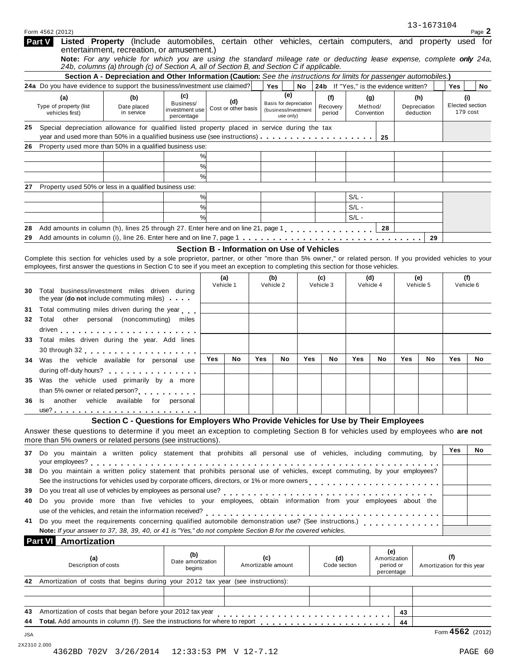|                       | (a)                                                                                                                                                                                                                                                                                            | (b)                                                                                 | (C)                         |           | (d)                                                                                |     | (e)                |                                             | (f)          | (g)       |                           | (h)       |                             | (i)                        |     |
|-----------------------|------------------------------------------------------------------------------------------------------------------------------------------------------------------------------------------------------------------------------------------------------------------------------------------------|-------------------------------------------------------------------------------------|-----------------------------|-----------|------------------------------------------------------------------------------------|-----|--------------------|---------------------------------------------|--------------|-----------|---------------------------|-----------|-----------------------------|----------------------------|-----|
|                       | Type of property (list<br>vehicles first)                                                                                                                                                                                                                                                      | Business/<br>Date placed<br>investment use<br>in service<br>percentage              |                             |           | Basis for depreciation<br>Cost or other basis<br>(business/investment<br>use only) |     |                    | Method/<br>Recovery<br>period<br>Convention |              |           | Depreciation<br>deduction |           | Elected section<br>179 cost |                            |     |
| 25                    | Special depreciation allowance for qualified listed property placed in service during the tax<br>year and used more than 50% in a qualified business use (see instructions)                                                                                                                    |                                                                                     |                             |           |                                                                                    |     |                    |                                             |              |           | 25                        |           |                             |                            |     |
| 26                    | Property used more than 50% in a qualified business use:                                                                                                                                                                                                                                       |                                                                                     |                             |           |                                                                                    |     |                    |                                             |              |           |                           |           |                             |                            |     |
|                       |                                                                                                                                                                                                                                                                                                |                                                                                     |                             | %         |                                                                                    |     |                    |                                             |              |           |                           |           |                             |                            |     |
|                       |                                                                                                                                                                                                                                                                                                |                                                                                     |                             | %         |                                                                                    |     |                    |                                             |              |           |                           |           |                             |                            |     |
|                       |                                                                                                                                                                                                                                                                                                |                                                                                     |                             | %         |                                                                                    |     |                    |                                             |              |           |                           |           |                             |                            |     |
| 27                    | Property used 50% or less in a qualified business use:                                                                                                                                                                                                                                         |                                                                                     |                             |           |                                                                                    |     |                    |                                             |              |           |                           |           |                             |                            |     |
|                       |                                                                                                                                                                                                                                                                                                |                                                                                     |                             | %         |                                                                                    |     |                    |                                             |              | $S/L -$   |                           |           |                             |                            |     |
|                       |                                                                                                                                                                                                                                                                                                |                                                                                     |                             | %         |                                                                                    |     |                    |                                             |              | $S/L -$   |                           |           |                             |                            |     |
|                       |                                                                                                                                                                                                                                                                                                |                                                                                     |                             | %         |                                                                                    |     |                    |                                             |              | $S/L -$   |                           |           |                             |                            |     |
| 28                    | Add amounts in column (h), lines 25 through 27. Enter here and on line 21, page 1.                                                                                                                                                                                                             |                                                                                     |                             |           |                                                                                    |     |                    |                                             |              |           | 28                        |           |                             |                            |     |
| 29                    |                                                                                                                                                                                                                                                                                                |                                                                                     |                             |           |                                                                                    |     |                    |                                             |              |           |                           |           | 29                          |                            |     |
|                       |                                                                                                                                                                                                                                                                                                |                                                                                     |                             |           | Section B - Information on Use of Vehicles                                         |     |                    |                                             |              |           |                           |           |                             |                            |     |
|                       | Complete this section for vehicles used by a sole proprietor, partner, or other "more than 5% owner," or related person. If you provided vehicles to your<br>employees, first answer the questions in Section C to see if you meet an exception to completing this section for those vehicles. |                                                                                     |                             |           |                                                                                    |     |                    |                                             |              |           |                           |           |                             |                            |     |
|                       |                                                                                                                                                                                                                                                                                                |                                                                                     |                             |           | (a)                                                                                |     | (b)                |                                             | (c)          | (d)       |                           | (e)       |                             |                            | (f) |
| 30                    | Total business/investment miles driven during                                                                                                                                                                                                                                                  |                                                                                     |                             | Vehicle 1 |                                                                                    |     | Vehicle 2          |                                             | Vehicle 3    | Vehicle 4 |                           | Vehicle 5 |                             | Vehicle 6                  |     |
|                       | the year (do not include commuting miles)                                                                                                                                                                                                                                                      |                                                                                     |                             |           |                                                                                    |     |                    |                                             |              |           |                           |           |                             |                            |     |
| 31                    | Total commuting miles driven during the year                                                                                                                                                                                                                                                   |                                                                                     |                             |           |                                                                                    |     |                    |                                             |              |           |                           |           |                             |                            |     |
| 32                    | Total other personal (noncommuting) miles                                                                                                                                                                                                                                                      |                                                                                     |                             |           |                                                                                    |     |                    |                                             |              |           |                           |           |                             |                            |     |
|                       |                                                                                                                                                                                                                                                                                                |                                                                                     |                             |           |                                                                                    |     |                    |                                             |              |           |                           |           |                             |                            |     |
| 33                    | Total miles driven during the year. Add lines                                                                                                                                                                                                                                                  |                                                                                     |                             |           |                                                                                    |     |                    |                                             |              |           |                           |           |                             |                            |     |
|                       |                                                                                                                                                                                                                                                                                                |                                                                                     |                             |           |                                                                                    |     |                    |                                             |              |           |                           |           |                             |                            |     |
| 34                    | Was the vehicle available for personal use                                                                                                                                                                                                                                                     |                                                                                     |                             | Yes       | No                                                                                 | Yes | No                 | Yes                                         | No           | Yes       | No                        | Yes       | No                          | Yes                        | No  |
|                       | during off-duty hours?                                                                                                                                                                                                                                                                         |                                                                                     |                             |           |                                                                                    |     |                    |                                             |              |           |                           |           |                             |                            |     |
| 35.                   | Was the vehicle used primarily by a more                                                                                                                                                                                                                                                       |                                                                                     |                             |           |                                                                                    |     |                    |                                             |              |           |                           |           |                             |                            |     |
|                       | than 5% owner or related person?                                                                                                                                                                                                                                                               |                                                                                     |                             |           |                                                                                    |     |                    |                                             |              |           |                           |           |                             |                            |     |
| 36                    | ls l                                                                                                                                                                                                                                                                                           | another vehicle available for personal                                              |                             |           |                                                                                    |     |                    |                                             |              |           |                           |           |                             |                            |     |
|                       |                                                                                                                                                                                                                                                                                                |                                                                                     |                             |           |                                                                                    |     |                    |                                             |              |           |                           |           |                             |                            |     |
|                       |                                                                                                                                                                                                                                                                                                | Section C - Questions for Employers Who Provide Vehicles for Use by Their Employees |                             |           |                                                                                    |     |                    |                                             |              |           |                           |           |                             |                            |     |
|                       | Answer these questions to determine if you meet an exception to completing Section B for vehicles used by employees who are not                                                                                                                                                                |                                                                                     |                             |           |                                                                                    |     |                    |                                             |              |           |                           |           |                             |                            |     |
|                       |                                                                                                                                                                                                                                                                                                |                                                                                     |                             |           |                                                                                    |     |                    |                                             |              |           |                           |           |                             |                            |     |
|                       | more than 5% owners or related persons (see instructions).                                                                                                                                                                                                                                     |                                                                                     |                             |           |                                                                                    |     |                    |                                             |              |           |                           |           |                             |                            |     |
|                       |                                                                                                                                                                                                                                                                                                |                                                                                     |                             |           |                                                                                    |     |                    |                                             |              |           |                           |           |                             | Yes                        | No  |
|                       | 37 Do you maintain a written policy statement that prohibits all personal use of vehicles, including commuting, by                                                                                                                                                                             |                                                                                     |                             |           |                                                                                    |     |                    |                                             |              |           |                           |           |                             |                            |     |
|                       |                                                                                                                                                                                                                                                                                                |                                                                                     |                             |           |                                                                                    |     |                    |                                             |              |           |                           |           |                             |                            |     |
|                       | Do you maintain a written policy statement that prohibits personal use of vehicles, except commuting, by your employees?                                                                                                                                                                       |                                                                                     |                             |           |                                                                                    |     |                    |                                             |              |           |                           |           |                             |                            |     |
|                       | See the instructions for vehicles used by corporate officers, directors, or 1% or more owners processes and contact the set of the set of the set of the set of the context of the set of the set of the context of the contex                                                                 |                                                                                     |                             |           |                                                                                    |     |                    |                                             |              |           |                           |           |                             |                            |     |
|                       | Do you treat all use of vehicles by employees as personal use?<br>                                                                                                                                                                                                                             |                                                                                     |                             |           |                                                                                    |     |                    |                                             | .            |           |                           |           |                             |                            |     |
|                       | Do you provide more than five vehicles to your employees, obtain information from your employees about the                                                                                                                                                                                     |                                                                                     |                             |           |                                                                                    |     |                    |                                             |              |           |                           |           |                             |                            |     |
|                       | use of the vehicles, and retain the information received?                                                                                                                                                                                                                                      |                                                                                     |                             |           |                                                                                    |     |                    |                                             |              |           |                           |           |                             |                            |     |
|                       | Do you meet the requirements concerning qualified automobile demonstration use? (See instructions.)                                                                                                                                                                                            |                                                                                     |                             |           |                                                                                    |     |                    |                                             |              |           |                           |           |                             |                            |     |
|                       | Note: If your answer to 37, 38, 39, 40, or 41 is "Yes," do not complete Section B for the covered vehicles.                                                                                                                                                                                    |                                                                                     |                             |           |                                                                                    |     |                    |                                             |              |           |                           |           |                             |                            |     |
|                       | <b>Part VI</b> Amortization                                                                                                                                                                                                                                                                    |                                                                                     |                             |           |                                                                                    |     |                    |                                             |              |           |                           |           |                             |                            |     |
|                       | (a)                                                                                                                                                                                                                                                                                            |                                                                                     | (b)                         |           |                                                                                    | (c) |                    |                                             | (d)          |           | (e)<br>Amortization       |           |                             | (f)                        |     |
|                       | Description of costs                                                                                                                                                                                                                                                                           |                                                                                     | Date amortization<br>begins |           |                                                                                    |     | Amortizable amount |                                             | Code section |           | period or                 |           |                             | Amortization for this year |     |
|                       |                                                                                                                                                                                                                                                                                                |                                                                                     |                             |           |                                                                                    |     |                    |                                             |              |           | percentage                |           |                             |                            |     |
|                       | 42 Amortization of costs that begins during your 2012 tax year (see instructions):                                                                                                                                                                                                             |                                                                                     |                             |           |                                                                                    |     |                    |                                             |              |           |                           |           |                             |                            |     |
|                       |                                                                                                                                                                                                                                                                                                |                                                                                     |                             |           |                                                                                    |     |                    |                                             |              |           |                           |           |                             |                            |     |
| 38.<br>39<br>40<br>41 |                                                                                                                                                                                                                                                                                                |                                                                                     |                             |           |                                                                                    |     |                    |                                             |              |           |                           |           |                             |                            |     |
|                       | Amortization of costs that began before your 2012 tax year                                                                                                                                                                                                                                     |                                                                                     |                             |           |                                                                                    |     |                    |                                             |              |           |                           | 43        |                             |                            |     |
| 43<br>44<br>JSA       | Total. Add amounts in column (f). See the instructions for where to report                                                                                                                                                                                                                     |                                                                                     |                             |           |                                                                                    |     |                    |                                             |              |           |                           | 44        |                             | Form 4562 (2012)           |     |

**Listed Property** (Include automobiles, certain other vehicles, certain computers, and property used for

Note: For any vehicle for which you are using the standard mileage rate or deducting lease expense, complete only 24a,

Section A - Depreciation and Other Information (Caution: See the instructions for limits for passenger automobiles.) **24a** Do you have evidence to support the business/investment use claimed? **Yes No 24b** If "Yes," is the evidence written? **Yes No**

**(c) (e)**

entertainment, recreation, or amusement.)

*24b, columns (a) through (c) of Section A, all of Section B, and Section C if applicable.*

**Part V**

#### 13-1673104